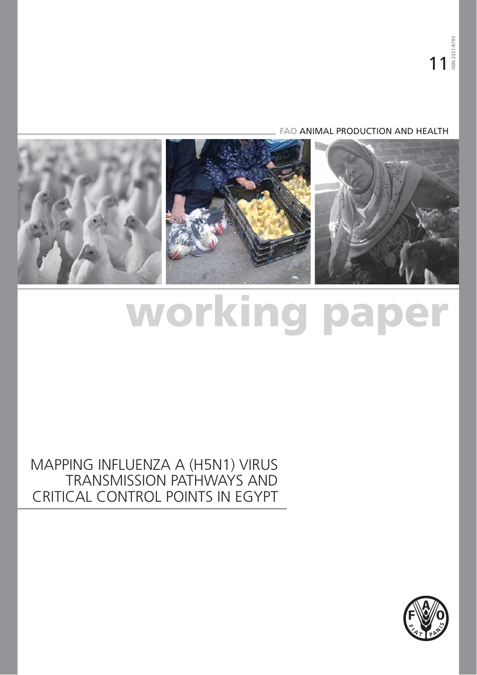FAO ANIMAL PRODUCTION AND HEALTH



# **working paper**

# MAPPING INFLUENZA A (H5N1) VIRUS TRANSMISSION PATHWAYS AND CRITICAL CONTROL POINTS IN EGYPT

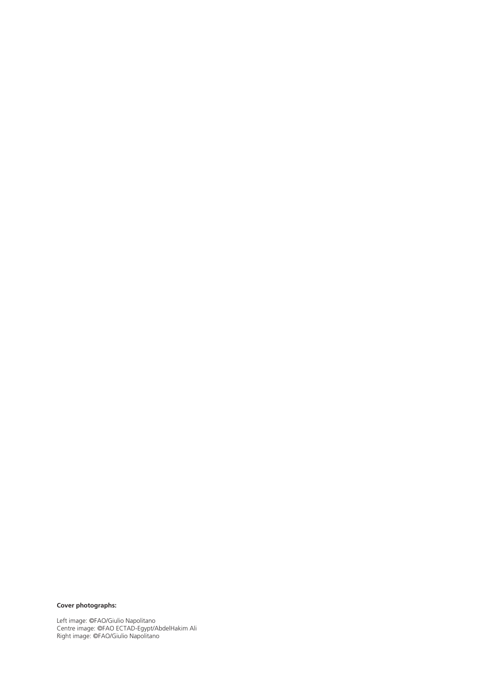#### **Cover photographs:**

Left image: ©FAO/Giulio Napolitano Centre image: ©FAO ECTAD-Egypt/AbdelHakim Ali Right image: ©FAO/Giulio Napolitano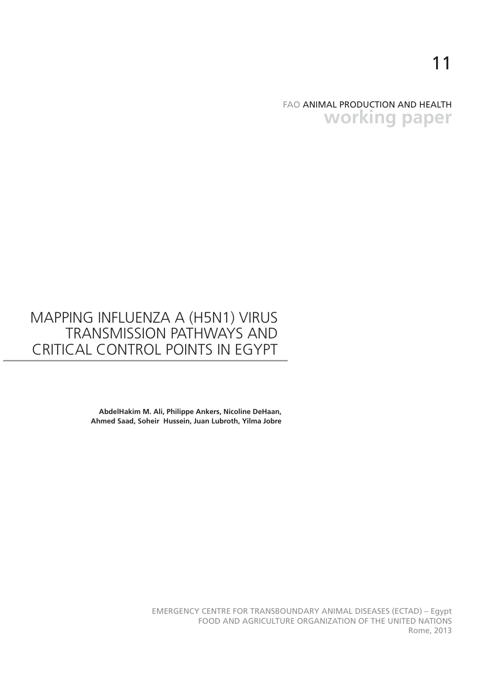## FAO ANIMAL PRODUCTION AND HEALTH **working paper**

# MAPPING INFLUENZA A (H5N1) VIRUS TRANSMISSION PATHWAYS AND CRITICAL CONTROL POINTS IN EGYPT

**AbdelHakim M. Ali, Philippe Ankers, Nicoline DeHaan, Ahmed Saad, Soheir Hussein, Juan Lubroth, Yilma Jobre**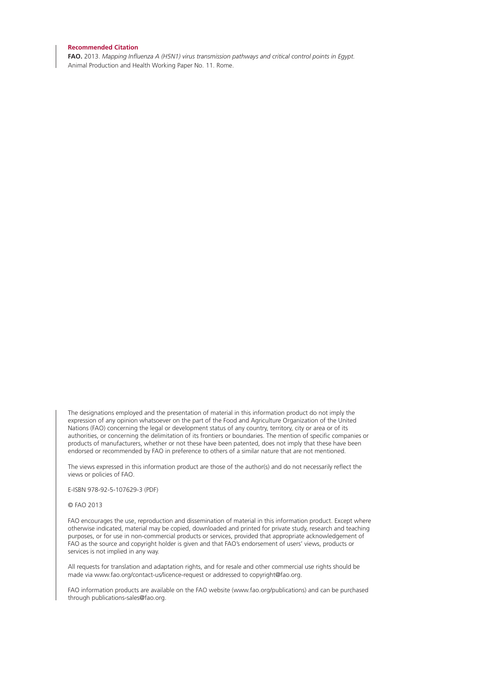#### **Recommended Citation**

**FAO.** 2013. *Mapping Influenza A (H5N1) virus transmission pathways and critical control points in Egypt.*  Animal Production and Health Working Paper No. 11. Rome.

The designations employed and the presentation of material in this information product do not imply the expression of any opinion whatsoever on the part of the Food and Agriculture Organization of the United Nations (FAO) concerning the legal or development status of any country, territory, city or area or of its authorities, or concerning the delimitation of its frontiers or boundaries. The mention of specific companies or products of manufacturers, whether or not these have been patented, does not imply that these have been endorsed or recommended by FAO in preference to others of a similar nature that are not mentioned.

The views expressed in this information product are those of the author(s) and do not necessarily reflect the views or policies of FAO.

E-ISBN 978-92-5-107629-3 (PDF)

© FAO 2013

FAO encourages the use, reproduction and dissemination of material in this information product. Except where otherwise indicated, material may be copied, downloaded and printed for private study, research and teaching purposes, or for use in non-commercial products or services, provided that appropriate acknowledgement of FAO as the source and copyright holder is given and that FAO's endorsement of users' views, products or services is not implied in any way.

All requests for translation and adaptation rights, and for resale and other commercial use rights should be made via www.fao.org/contact-us/licence-request or addressed to copyright@fao.org.

FAO information products are available on the FAO website (www.fao.org/publications) and can be purchased through publications-sales@fao.org.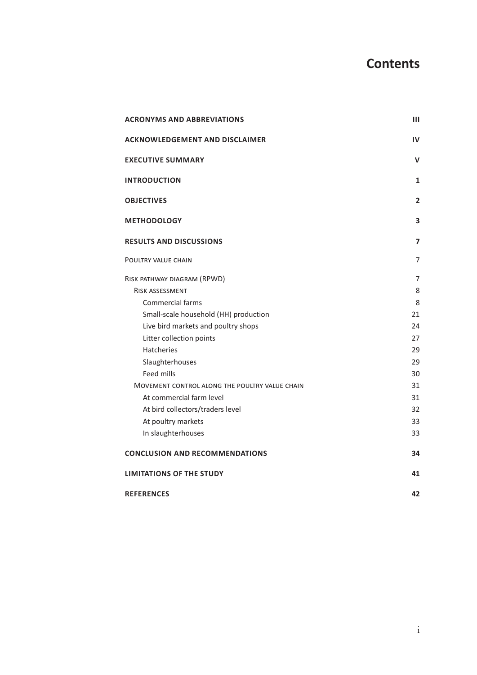| <b>ACRONYMS AND ABBREVIATIONS</b>              | Ш                       |
|------------------------------------------------|-------------------------|
| <b>ACKNOWLEDGEMENT AND DISCLAIMER</b>          | IV                      |
| <b>EXECUTIVE SUMMARY</b>                       | $\mathsf{v}$            |
| <b>INTRODUCTION</b>                            | 1                       |
| <b>OBJECTIVES</b>                              | $\overline{2}$          |
| <b>METHODOLOGY</b>                             | 3                       |
| <b>RESULTS AND DISCUSSIONS</b>                 | $\overline{\mathbf{z}}$ |
| POULTRY VALUE CHAIN                            | $\overline{7}$          |
| RISK PATHWAY DIAGRAM (RPWD)                    | $\overline{7}$          |
| <b>RISK ASSESSMENT</b>                         | 8                       |
| <b>Commercial farms</b>                        | 8                       |
| Small-scale household (HH) production          | 21                      |
| Live bird markets and poultry shops            | 24                      |
| Litter collection points                       | 27                      |
| <b>Hatcheries</b>                              | 29                      |
| Slaughterhouses                                | 29                      |
| Feed mills                                     | 30                      |
| MOVEMENT CONTROL ALONG THE POULTRY VALUE CHAIN | 31                      |
| At commercial farm level                       | 31                      |
| At bird collectors/traders level               | 32                      |
| At poultry markets                             | 33                      |
| In slaughterhouses                             | 33                      |
| <b>CONCLUSION AND RECOMMENDATIONS</b>          | 34                      |
| <b>LIMITATIONS OF THE STUDY</b>                | 41                      |
| <b>REFERENCES</b>                              | 42                      |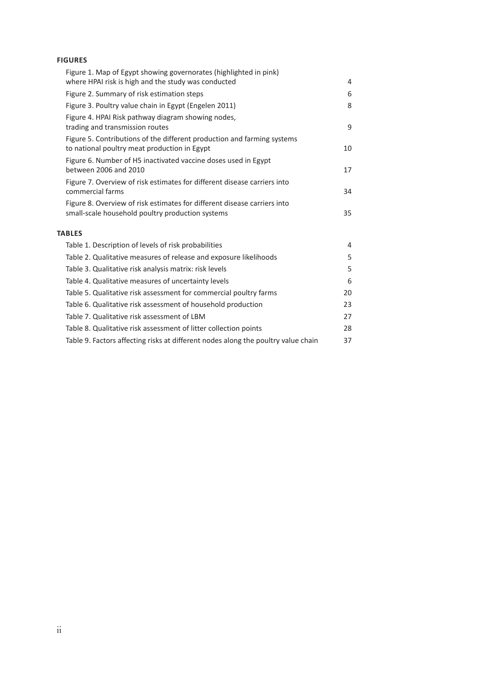#### **FIGURES**

| Figure 1. Map of Egypt showing governorates (highlighted in pink)<br>where HPAI risk is high and the study was conducted     | 4  |
|------------------------------------------------------------------------------------------------------------------------------|----|
| Figure 2. Summary of risk estimation steps                                                                                   | 6  |
| Figure 3. Poultry value chain in Egypt (Engelen 2011)                                                                        | 8  |
| Figure 4. HPAI Risk pathway diagram showing nodes,<br>trading and transmission routes                                        | 9  |
| Figure 5. Contributions of the different production and farming systems<br>to national poultry meat production in Egypt      | 10 |
| Figure 6. Number of H5 inactivated vaccine doses used in Egypt<br>between 2006 and 2010                                      | 17 |
| Figure 7. Overview of risk estimates for different disease carriers into<br>commercial farms                                 | 34 |
| Figure 8. Overview of risk estimates for different disease carriers into<br>small-scale household poultry production systems | 35 |
| <b>TABLES</b>                                                                                                                |    |
| Table 1. Description of levels of risk probabilities                                                                         | 4  |
| Table 2. Qualitative measures of release and exposure likelihoods                                                            | 5  |
| Table 3. Qualitative risk analysis matrix: risk levels                                                                       | 5  |
| Table 4. Qualitative measures of uncertainty levels                                                                          | 6  |
| Table 5. Qualitative risk assessment for commercial poultry farms                                                            | 20 |
| Table 6. Qualitative risk assessment of household production                                                                 | 23 |
| Table 7. Qualitative risk assessment of LBM                                                                                  | 27 |
| Table 8. Qualitative risk assessment of litter collection points                                                             | 28 |
| Table 9. Factors affecting risks at different nodes along the poultry value chain                                            | 37 |
|                                                                                                                              |    |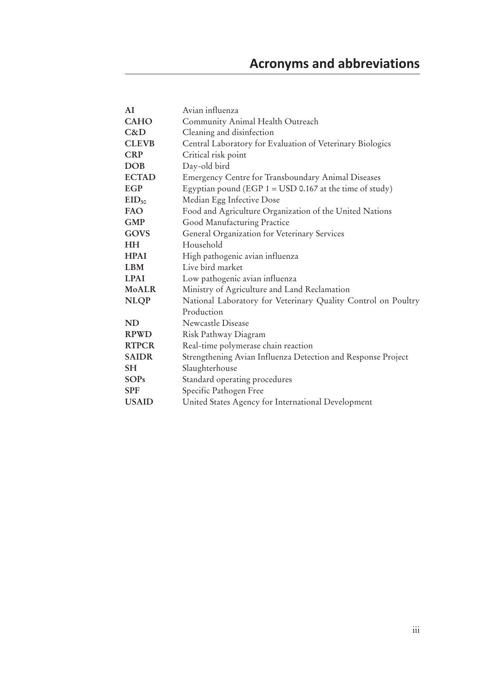| AI               | Avian influenza                                                         |
|------------------|-------------------------------------------------------------------------|
| <b>CAHO</b>      | Community Animal Health Outreach                                        |
| C&D              | Cleaning and disinfection                                               |
| <b>CLEVB</b>     | Central Laboratory for Evaluation of Veterinary Biologics               |
| <b>CRP</b>       | Critical risk point                                                     |
| <b>DOB</b>       | Day-old bird                                                            |
| <b>ECTAD</b>     | <b>Emergency Centre for Transboundary Animal Diseases</b>               |
| EGP              | Egyptian pound (EGP $1 =$ USD 0.167 at the time of study)               |
| $EID_{50}$       | Median Egg Infective Dose                                               |
| <b>FAO</b>       | Food and Agriculture Organization of the United Nations                 |
| <b>GMP</b>       | Good Manufacturing Practice                                             |
| GOVS             | General Organization for Veterinary Services                            |
| HH               | Household                                                               |
| <b>HPAI</b>      | High pathogenic avian influenza                                         |
| <b>LBM</b>       | Live bird market                                                        |
| <b>LPAI</b>      | Low pathogenic avian influenza                                          |
| <b>MoALR</b>     | Ministry of Agriculture and Land Reclamation                            |
| <b>NLQP</b>      | National Laboratory for Veterinary Quality Control on Poultry           |
|                  | Production                                                              |
| <b>ND</b>        | Newcastle Disease                                                       |
| <b>RPWD</b>      | Risk Pathway Diagram                                                    |
| <b>RTPCR</b>     | Real-time polymerase chain reaction                                     |
| <b>SAIDR</b>     | Strengthening Avian Influenza Detection and Response Project            |
| <b>SH</b>        | Slaughterhouse                                                          |
| <b>SOPs</b>      | Standard operating procedures                                           |
| <b>SPF</b>       | Specific Pathogen Free                                                  |
| <b>TTO A TTY</b> | $\sim$ $\sim$ $\sim$ $\sim$ $\sim$ $\sim$ $\sim$ $\sim$<br>$\mathbf{A}$ |

**USAID** United States Agency for International Development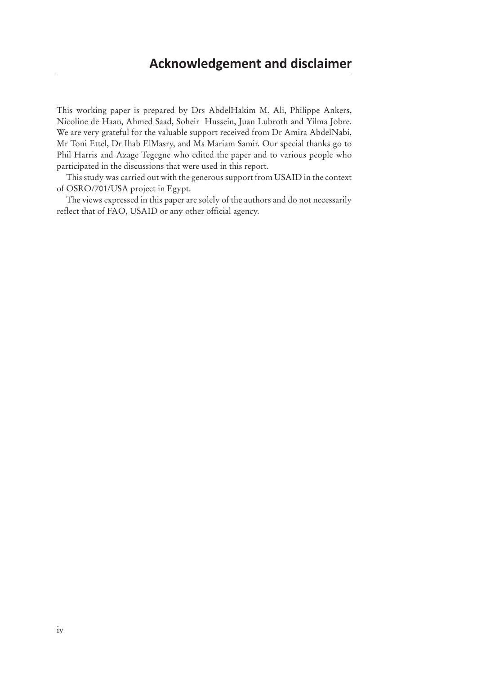This working paper is prepared by Drs AbdelHakim M. Ali, Philippe Ankers, Nicoline de Haan, Ahmed Saad, Soheir Hussein, Juan Lubroth and Yilma Jobre. We are very grateful for the valuable support received from Dr Amira AbdelNabi, Mr Toni Ettel, Dr Ihab ElMasry, and Ms Mariam Samir. Our special thanks go to Phil Harris and Azage Tegegne who edited the paper and to various people who participated in the discussions that were used in this report.

This study was carried out with the generous support from USAID in the context of OSRO/701/USA project in Egypt.

The views expressed in this paper are solely of the authors and do not necessarily reflect that of FAO, USAID or any other official agency.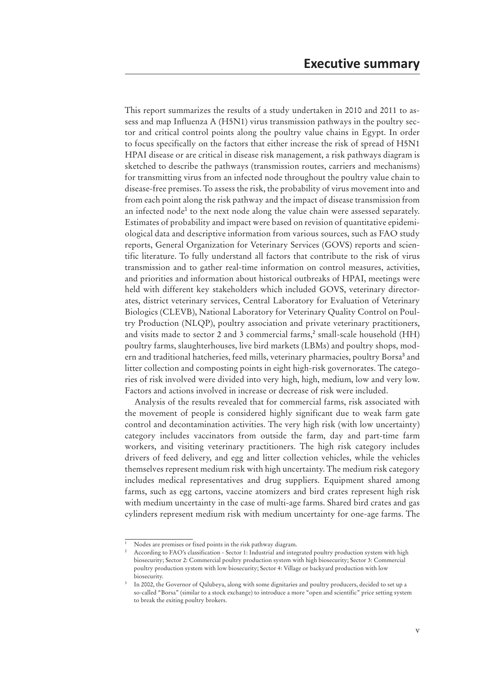This report summarizes the results of a study undertaken in 2010 and 2011 to assess and map Influenza A (H5N1) virus transmission pathways in the poultry sector and critical control points along the poultry value chains in Egypt. In order to focus specifically on the factors that either increase the risk of spread of H5N1 HPAI disease or are critical in disease risk management, a risk pathways diagram is sketched to describe the pathways (transmission routes, carriers and mechanisms) for transmitting virus from an infected node throughout the poultry value chain to disease-free premises. To assess the risk, the probability of virus movement into and from each point along the risk pathway and the impact of disease transmission from an infected node<sup>1</sup> to the next node along the value chain were assessed separately. Estimates of probability and impact were based on revision of quantitative epidemiological data and descriptive information from various sources, such as FAO study reports, General Organization for Veterinary Services (GOVS) reports and scientific literature. To fully understand all factors that contribute to the risk of virus transmission and to gather real-time information on control measures, activities, and priorities and information about historical outbreaks of HPAI, meetings were held with different key stakeholders which included GOVS, veterinary directorates, district veterinary services, Central Laboratory for Evaluation of Veterinary Biologics (CLEVB), National Laboratory for Veterinary Quality Control on Poultry Production (NLQP), poultry association and private veterinary practitioners, and visits made to sector 2 and 3 commercial farms,<sup>2</sup> small-scale household (HH) poultry farms, slaughterhouses, live bird markets (LBMs) and poultry shops, modern and traditional hatcheries, feed mills, veterinary pharmacies, poultry Borsa<sup>3</sup> and litter collection and composting points in eight high-risk governorates. The categories of risk involved were divided into very high, high, medium, low and very low. Factors and actions involved in increase or decrease of risk were included.

Analysis of the results revealed that for commercial farms, risk associated with the movement of people is considered highly significant due to weak farm gate control and decontamination activities. The very high risk (with low uncertainty) category includes vaccinators from outside the farm, day and part-time farm workers, and visiting veterinary practitioners. The high risk category includes drivers of feed delivery, and egg and litter collection vehicles, while the vehicles themselves represent medium risk with high uncertainty. The medium risk category includes medical representatives and drug suppliers. Equipment shared among farms, such as egg cartons, vaccine atomizers and bird crates represent high risk with medium uncertainty in the case of multi-age farms. Shared bird crates and gas cylinders represent medium risk with medium uncertainty for one-age farms. The

Nodes are premises or fixed points in the risk pathway diagram.

According to FAO's classification - Sector 1: Industrial and integrated poultry production system with high biosecurity; Sector 2: Commercial poultry production system with high biosecurity; Sector 3: Commercial poultry production system with low biosecurity; Sector 4: Village or backyard production with low biosecurity.

<sup>3</sup> In 2002, the Governor of Qalubeya, along with some dignitaries and poultry producers, decided to set up a so-called "Borsa" (similar to a stock exchange) to introduce a more "open and scientific" price setting system to break the exiting poultry brokers.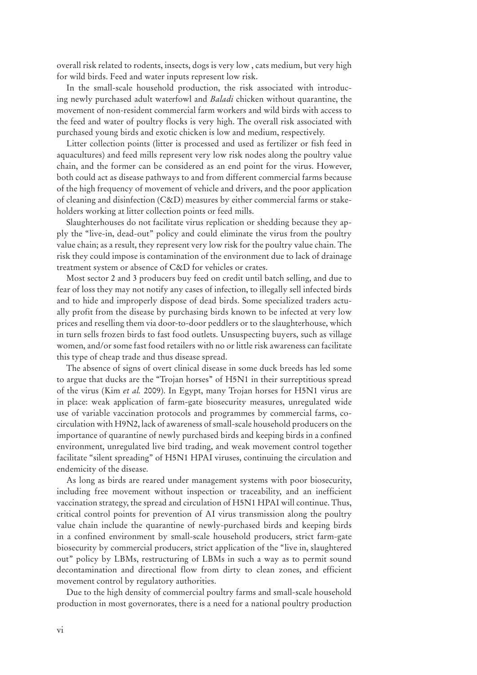overall risk related to rodents, insects, dogs is very low , cats medium, but very high for wild birds. Feed and water inputs represent low risk.

In the small-scale household production, the risk associated with introducing newly purchased adult waterfowl and *Baladi* chicken without quarantine, the movement of non-resident commercial farm workers and wild birds with access to the feed and water of poultry flocks is very high. The overall risk associated with purchased young birds and exotic chicken is low and medium, respectively.

Litter collection points (litter is processed and used as fertilizer or fish feed in aquacultures) and feed mills represent very low risk nodes along the poultry value chain, and the former can be considered as an end point for the virus. However, both could act as disease pathways to and from different commercial farms because of the high frequency of movement of vehicle and drivers, and the poor application of cleaning and disinfection (C&D) measures by either commercial farms or stakeholders working at litter collection points or feed mills.

Slaughterhouses do not facilitate virus replication or shedding because they apply the "live-in, dead-out" policy and could eliminate the virus from the poultry value chain; as a result, they represent very low risk for the poultry value chain. The risk they could impose is contamination of the environment due to lack of drainage treatment system or absence of C&D for vehicles or crates.

Most sector 2 and 3 producers buy feed on credit until batch selling, and due to fear of loss they may not notify any cases of infection, to illegally sell infected birds and to hide and improperly dispose of dead birds. Some specialized traders actually profit from the disease by purchasing birds known to be infected at very low prices and reselling them via door-to-door peddlers or to the slaughterhouse, which in turn sells frozen birds to fast food outlets. Unsuspecting buyers, such as village women, and/or some fast food retailers with no or little risk awareness can facilitate this type of cheap trade and thus disease spread.

The absence of signs of overt clinical disease in some duck breeds has led some to argue that ducks are the ''Trojan horses'' of H5N1 in their surreptitious spread of the virus (Kim *et al.* 2009). In Egypt, many Trojan horses for H5N1 virus are in place: weak application of farm-gate biosecurity measures, unregulated wide use of variable vaccination protocols and programmes by commercial farms, cocirculation with H9N2, lack of awareness of small-scale household producers on the importance of quarantine of newly purchased birds and keeping birds in a confined environment, unregulated live bird trading, and weak movement control together facilitate "silent spreading" of H5N1 HPAI viruses, continuing the circulation and endemicity of the disease.

As long as birds are reared under management systems with poor biosecurity, including free movement without inspection or traceability, and an inefficient vaccination strategy, the spread and circulation of H5N1 HPAI will continue. Thus, critical control points for prevention of AI virus transmission along the poultry value chain include the quarantine of newly-purchased birds and keeping birds in a confined environment by small-scale household producers, strict farm-gate biosecurity by commercial producers, strict application of the "live in, slaughtered out" policy by LBMs, restructuring of LBMs in such a way as to permit sound decontamination and directional flow from dirty to clean zones, and efficient movement control by regulatory authorities.

Due to the high density of commercial poultry farms and small-scale household production in most governorates, there is a need for a national poultry production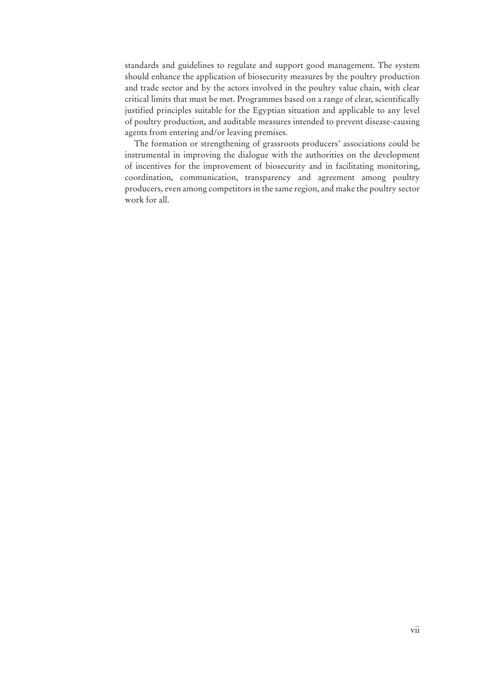standards and guidelines to regulate and support good management. The system should enhance the application of biosecurity measures by the poultry production and trade sector and by the actors involved in the poultry value chain, with clear critical limits that must be met. Programmes based on a range of clear, scientifically justified principles suitable for the Egyptian situation and applicable to any level of poultry production, and auditable measures intended to prevent disease-causing agents from entering and/or leaving premises.

The formation or strengthening of grassroots producers' associations could be instrumental in improving the dialogue with the authorities on the development of incentives for the improvement of biosecurity and in facilitating monitoring, coordination, communication, transparency and agreement among poultry producers, even among competitors in the same region, and make the poultry sector work for all.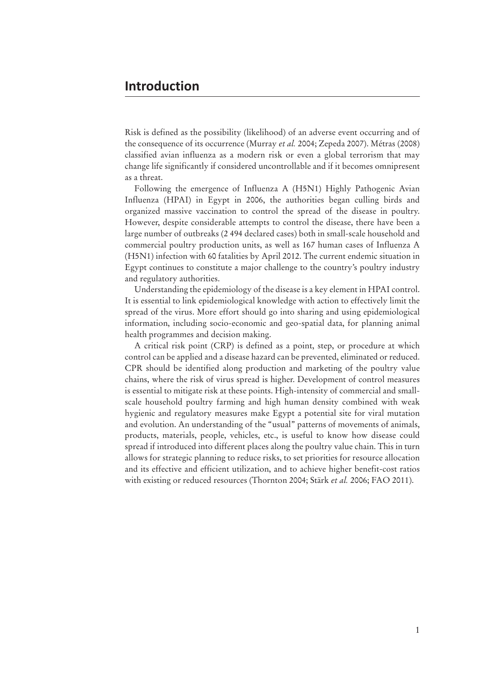Risk is defined as the possibility (likelihood) of an adverse event occurring and of the consequence of its occurrence (Murray *et al.* 2004; Zepeda 2007). Métras (2008) classified avian influenza as a modern risk or even a global terrorism that may change life significantly if considered uncontrollable and if it becomes omnipresent as a threat.

Following the emergence of Influenza A (H5N1) Highly Pathogenic Avian Influenza (HPAI) in Egypt in 2006, the authorities began culling birds and organized massive vaccination to control the spread of the disease in poultry. However, despite considerable attempts to control the disease, there have been a large number of outbreaks (2 494 declared cases) both in small-scale household and commercial poultry production units, as well as 167 human cases of Influenza A (H5N1) infection with 60 fatalities by April 2012. The current endemic situation in Egypt continues to constitute a major challenge to the country's poultry industry and regulatory authorities.

Understanding the epidemiology of the disease is a key element in HPAI control. It is essential to link epidemiological knowledge with action to effectively limit the spread of the virus. More effort should go into sharing and using epidemiological information, including socio-economic and geo-spatial data, for planning animal health programmes and decision making.

A critical risk point (CRP) is defined as a point, step, or procedure at which control can be applied and a disease hazard can be prevented, eliminated or reduced. CPR should be identified along production and marketing of the poultry value chains, where the risk of virus spread is higher. Development of control measures is essential to mitigate risk at these points. High-intensity of commercial and smallscale household poultry farming and high human density combined with weak hygienic and regulatory measures make Egypt a potential site for viral mutation and evolution. An understanding of the "usual" patterns of movements of animals, products, materials, people, vehicles, etc., is useful to know how disease could spread if introduced into different places along the poultry value chain. This in turn allows for strategic planning to reduce risks, to set priorities for resource allocation and its effective and efficient utilization, and to achieve higher benefit-cost ratios with existing or reduced resources (Thornton 2004; Stärk *et al.* 2006; FAO 2011).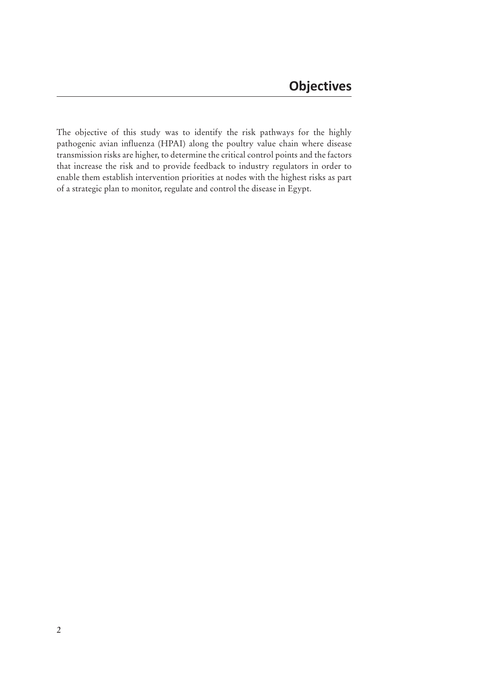The objective of this study was to identify the risk pathways for the highly pathogenic avian influenza (HPAI) along the poultry value chain where disease transmission risks are higher, to determine the critical control points and the factors that increase the risk and to provide feedback to industry regulators in order to enable them establish intervention priorities at nodes with the highest risks as part of a strategic plan to monitor, regulate and control the disease in Egypt.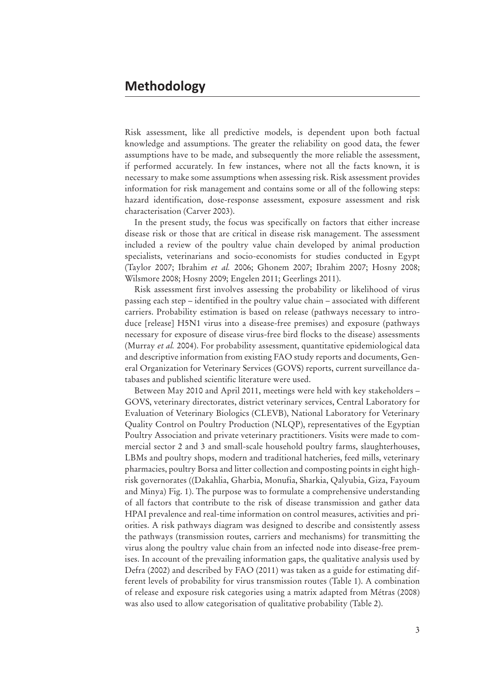Risk assessment, like all predictive models, is dependent upon both factual knowledge and assumptions. The greater the reliability on good data, the fewer assumptions have to be made, and subsequently the more reliable the assessment, if performed accurately. In few instances, where not all the facts known, it is necessary to make some assumptions when assessing risk. Risk assessment provides information for risk management and contains some or all of the following steps: hazard identification, dose-response assessment, exposure assessment and risk characterisation (Carver 2003).

In the present study, the focus was specifically on factors that either increase disease risk or those that are critical in disease risk management. The assessment included a review of the poultry value chain developed by animal production specialists, veterinarians and socio-economists for studies conducted in Egypt (Taylor 2007; Ibrahim *et al.* 2006; Ghonem 2007; Ibrahim 2007; Hosny 2008; Wilsmore 2008; Hosny 2009; Engelen 2011; Geerlings 2011).

Risk assessment first involves assessing the probability or likelihood of virus passing each step – identified in the poultry value chain – associated with different carriers. Probability estimation is based on release (pathways necessary to introduce [release] H5N1 virus into a disease-free premises) and exposure (pathways necessary for exposure of disease virus-free bird flocks to the disease) assessments (Murray *et al.* 2004). For probability assessment, quantitative epidemiological data and descriptive information from existing FAO study reports and documents, General Organization for Veterinary Services (GOVS) reports, current surveillance databases and published scientific literature were used.

Between May 2010 and April 2011, meetings were held with key stakeholders – GOVS, veterinary directorates, district veterinary services, Central Laboratory for Evaluation of Veterinary Biologics (CLEVB), National Laboratory for Veterinary Quality Control on Poultry Production (NLQP), representatives of the Egyptian Poultry Association and private veterinary practitioners. Visits were made to commercial sector 2 and 3 and small-scale household poultry farms, slaughterhouses, LBMs and poultry shops, modern and traditional hatcheries, feed mills, veterinary pharmacies, poultry Borsa and litter collection and composting points in eight highrisk governorates ((Dakahlia, Gharbia, Monufia, Sharkia, Qalyubia, Giza, Fayoum and Minya) Fig. 1). The purpose was to formulate a comprehensive understanding of all factors that contribute to the risk of disease transmission and gather data HPAI prevalence and real-time information on control measures, activities and priorities. A risk pathways diagram was designed to describe and consistently assess the pathways (transmission routes, carriers and mechanisms) for transmitting the virus along the poultry value chain from an infected node into disease-free premises. In account of the prevailing information gaps, the qualitative analysis used by Defra (2002) and described by FAO (2011) was taken as a guide for estimating different levels of probability for virus transmission routes (Table 1). A combination of release and exposure risk categories using a matrix adapted from Métras (2008) was also used to allow categorisation of qualitative probability (Table 2).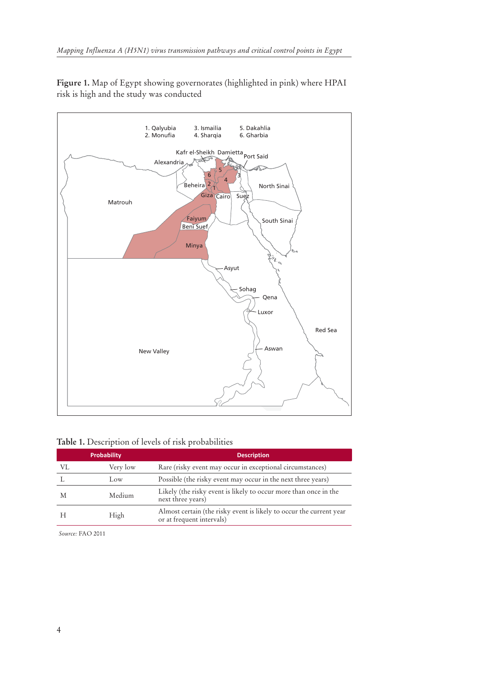**Figure 1.** Map of Egypt showing governorates (highlighted in pink) where HPAI risk is high and the study was conducted



#### **Table 1.** Description of levels of risk probabilities

|    | <b>Probability</b> | <b>Description</b>                                                                               |  |  |  |  |
|----|--------------------|--------------------------------------------------------------------------------------------------|--|--|--|--|
| VL | Very low           | Rare (risky event may occur in exceptional circumstances)                                        |  |  |  |  |
|    | Low                | Possible (the risky event may occur in the next three years)                                     |  |  |  |  |
| M  | Medium             | Likely (the risky event is likely to occur more than once in the<br>next three years)            |  |  |  |  |
|    | High               | Almost certain (the risky event is likely to occur the current year<br>or at frequent intervals) |  |  |  |  |

*Source:* FAO 2011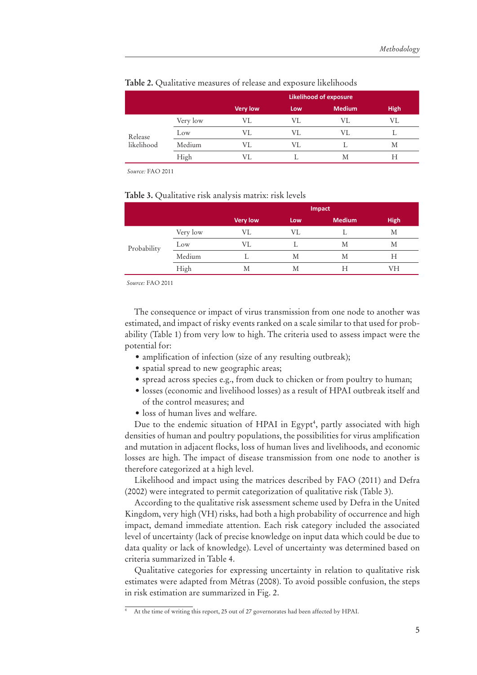|                       |          | <b>Likelihood of exposure</b> |     |               |             |  |  |  |
|-----------------------|----------|-------------------------------|-----|---------------|-------------|--|--|--|
|                       |          | <b>Very low</b>               | Low | <b>Medium</b> | <b>High</b> |  |  |  |
| Release<br>likelihood | Very low | VL                            | VL  | VL            | VI.         |  |  |  |
|                       | Low      | VI.                           | VI. | VI.           |             |  |  |  |
|                       | Medium   | VI.                           | VL  |               | Μ           |  |  |  |
|                       | High     | VL                            |     | M             | Н           |  |  |  |

#### **Table 2.** Qualitative measures of release and exposure likelihoods

*Source:* FAO 2011

#### **Table 3.** Qualitative risk analysis matrix: risk levels

|             |          | Impact          |     |               |             |  |  |  |
|-------------|----------|-----------------|-----|---------------|-------------|--|--|--|
|             |          | <b>Very low</b> | Low | <b>Medium</b> | <b>High</b> |  |  |  |
| Probability | Very low | VL              | VL  |               | М           |  |  |  |
|             | Low      | VL              |     | Μ             | Μ           |  |  |  |
|             | Medium   |                 | М   | Μ             | Н           |  |  |  |
|             | High     | М               | М   | Н             | VH          |  |  |  |

*Source:* FAO 2011

The consequence or impact of virus transmission from one node to another was estimated, and impact of risky events ranked on a scale similar to that used for probability (Table 1) from very low to high. The criteria used to assess impact were the potential for:

- amplification of infection (size of any resulting outbreak);
- spatial spread to new geographic areas;
- spread across species e.g., from duck to chicken or from poultry to human;
- $\bullet$  losses (economic and livelihood losses) as a result of HPAI outbreak itself and of the control measures; and
- loss of human lives and welfare.

Due to the endemic situation of HPAI in Egypt<sup>4</sup>, partly associated with high densities of human and poultry populations, the possibilities for virus amplification and mutation in adjacent flocks, loss of human lives and livelihoods, and economic losses are high. The impact of disease transmission from one node to another is therefore categorized at a high level.

Likelihood and impact using the matrices described by FAO (2011) and Defra (2002) were integrated to permit categorization of qualitative risk (Table 3).

According to the qualitative risk assessment scheme used by Defra in the United Kingdom, very high (VH) risks, had both a high probability of occurrence and high impact, demand immediate attention. Each risk category included the associated level of uncertainty (lack of precise knowledge on input data which could be due to data quality or lack of knowledge). Level of uncertainty was determined based on criteria summarized in Table 4.

Qualitative categories for expressing uncertainty in relation to qualitative risk estimates were adapted from Métras (2008). To avoid possible confusion, the steps in risk estimation are summarized in Fig. 2.

At the time of writing this report, 25 out of 27 governorates had been affected by HPAI.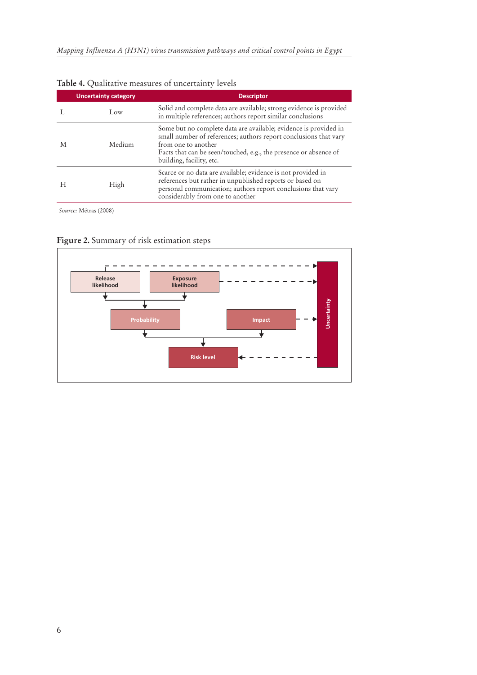|   | <b>Uncertainty category</b> | <b>Descriptor</b>                                                                                                                                                                                                                                           |
|---|-----------------------------|-------------------------------------------------------------------------------------------------------------------------------------------------------------------------------------------------------------------------------------------------------------|
|   | Low                         | Solid and complete data are available; strong evidence is provided<br>in multiple references; authors report similar conclusions                                                                                                                            |
| M | Medium                      | Some but no complete data are available; evidence is provided in<br>small number of references; authors report conclusions that vary<br>from one to another<br>Facts that can be seen/touched, e.g., the presence or absence of<br>building, facility, etc. |
| H | High                        | Scarce or no data are available; evidence is not provided in<br>references but rather in unpublished reports or based on<br>personal communication; authors report conclusions that vary<br>considerably from one to another                                |

#### **Table 4.** Qualitative measures of uncertainty levels

*Source:* Métras (2008)



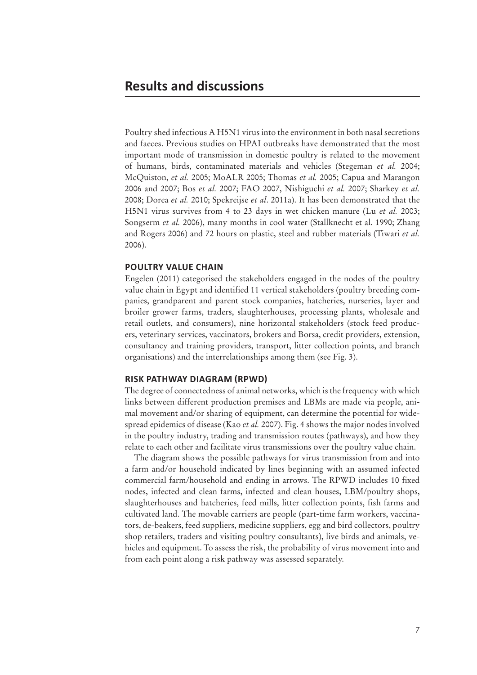Poultry shed infectious A H5N1 virus into the environment in both nasal secretions and faeces. Previous studies on HPAI outbreaks have demonstrated that the most important mode of transmission in domestic poultry is related to the movement of humans, birds, contaminated materials and vehicles (Stegeman *et al.* 2004; McQuiston, *et al.* 2005; MoALR 2005; Thomas *et al.* 2005; Capua and Marangon 2006 and 2007; Bos *et al.* 2007; FAO 2007, Nishiguchi *et al.* 2007; Sharkey *et al.* 2008; Dorea *et al.* 2010; Spekreijse *et al*. 2011a). It has been demonstrated that the H5N1 virus survives from 4 to 23 days in wet chicken manure (Lu *et al.* 2003; Songserm *et al.* 2006), many months in cool water (Stallknecht et al. 1990; Zhang and Rogers 2006) and 72 hours on plastic, steel and rubber materials (Tiwari *et al.* 2006).

#### **POULTRY VALUE CHAIN**

Engelen (2011) categorised the stakeholders engaged in the nodes of the poultry value chain in Egypt and identified 11 vertical stakeholders (poultry breeding companies, grandparent and parent stock companies, hatcheries, nurseries, layer and broiler grower farms, traders, slaughterhouses, processing plants, wholesale and retail outlets, and consumers), nine horizontal stakeholders (stock feed producers, veterinary services, vaccinators, brokers and Borsa, credit providers, extension, consultancy and training providers, transport, litter collection points, and branch organisations) and the interrelationships among them (see Fig. 3).

#### **RISK PATHWAY DIAGRAM (RPWD)**

The degree of connectedness of animal networks, which is the frequency with which links between different production premises and LBMs are made via people, animal movement and/or sharing of equipment, can determine the potential for widespread epidemics of disease (Kao *et al.* 2007). Fig. 4 shows the major nodes involved in the poultry industry, trading and transmission routes (pathways), and how they relate to each other and facilitate virus transmissions over the poultry value chain.

The diagram shows the possible pathways for virus transmission from and into a farm and/or household indicated by lines beginning with an assumed infected commercial farm/household and ending in arrows. The RPWD includes 10 fixed nodes, infected and clean farms, infected and clean houses, LBM/poultry shops, slaughterhouses and hatcheries, feed mills, litter collection points, fish farms and cultivated land. The movable carriers are people (part-time farm workers, vaccinators, de-beakers, feed suppliers, medicine suppliers, egg and bird collectors, poultry shop retailers, traders and visiting poultry consultants), live birds and animals, vehicles and equipment. To assess the risk, the probability of virus movement into and from each point along a risk pathway was assessed separately.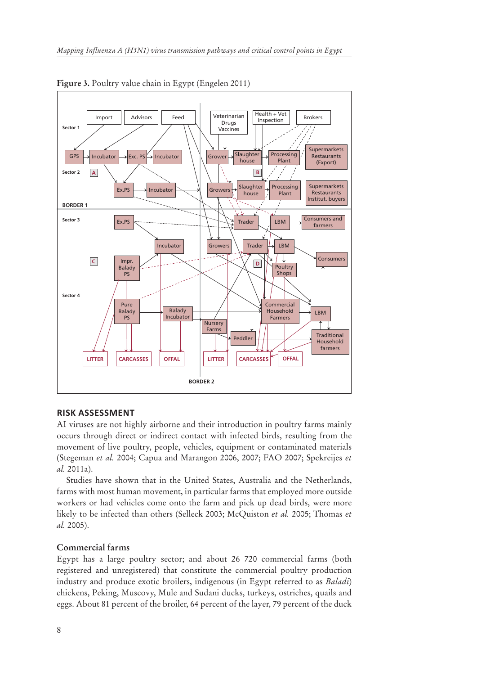

**Figure 3.** Poultry value chain in Egypt (Engelen 2011)

#### **RISK ASSESSMENT**

AI viruses are not highly airborne and their introduction in poultry farms mainly occurs through direct or indirect contact with infected birds, resulting from the movement of live poultry, people, vehicles, equipment or contaminated materials (Stegeman *et al.* 2004; Capua and Marangon 2006, 2007; FAO 2007; Spekreijes *et al.* 2011a).

Studies have shown that in the United States, Australia and the Netherlands, farms with most human movement, in particular farms that employed more outside workers or had vehicles come onto the farm and pick up dead birds, were more likely to be infected than others (Selleck 2003; McQuiston *et al.* 2005; Thomas *et al.* 2005).

#### **Commercial farms**

Egypt has a large poultry sector; and about 26 720 commercial farms (both registered and unregistered) that constitute the commercial poultry production industry and produce exotic broilers, indigenous (in Egypt referred to as *Baladi*) chickens, Peking, Muscovy, Mule and Sudani ducks, turkeys, ostriches, quails and eggs. About 81 percent of the broiler, 64 percent of the layer, 79 percent of the duck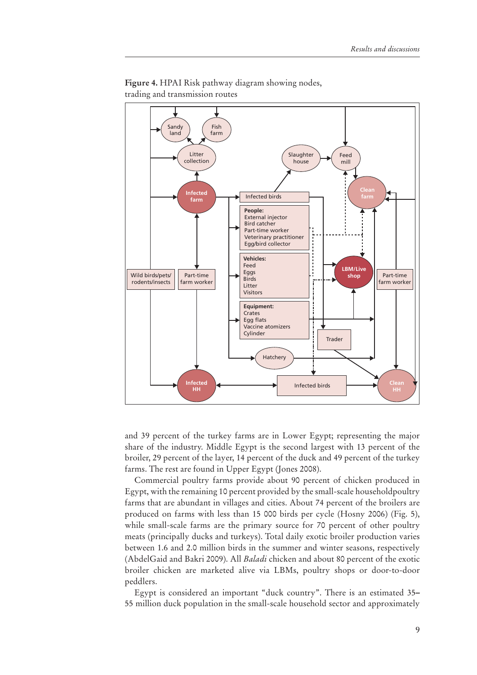

**Figure 4.** HPAI Risk pathway diagram showing nodes, trading and transmission routes

and 39 percent of the turkey farms are in Lower Egypt; representing the major share of the industry. Middle Egypt is the second largest with 13 percent of the broiler, 29 percent of the layer, 14 percent of the duck and 49 percent of the turkey farms. The rest are found in Upper Egypt (Jones 2008).

Commercial poultry farms provide about 90 percent of chicken produced in Egypt, with the remaining 10 percent provided by the small-scale householdpoultry farms that are abundant in villages and cities. About 74 percent of the broilers are produced on farms with less than 15 000 birds per cycle (Hosny 2006) (Fig. 5), while small-scale farms are the primary source for 70 percent of other poultry meats (principally ducks and turkeys). Total daily exotic broiler production varies between 1.6 and 2.0 million birds in the summer and winter seasons, respectively (AbdelGaid and Bakri 2009). All *Baladi* chicken and about 80 percent of the exotic broiler chicken are marketed alive via LBMs, poultry shops or door-to-door peddlers.

Egypt is considered an important "duck country". There is an estimated 35*–* 55 million duck population in the small-scale household sector and approximately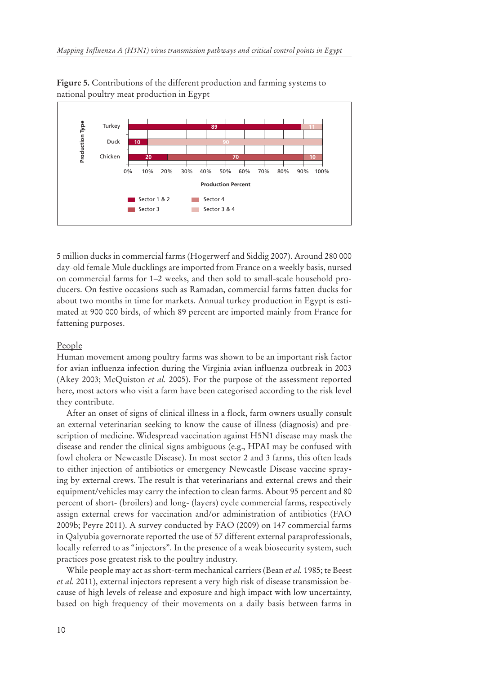



5 million ducks in commercial farms (Hogerwerf and Siddig 2007). Around 280 000 day-old female Mule ducklings are imported from France on a weekly basis, nursed on commercial farms for 1–2 weeks, and then sold to small-scale household producers. On festive occasions such as Ramadan, commercial farms fatten ducks for about two months in time for markets. Annual turkey production in Egypt is estimated at 900 000 birds, of which 89 percent are imported mainly from France for fattening purposes.

#### People

Human movement among poultry farms was shown to be an important risk factor for avian influenza infection during the Virginia avian influenza outbreak in 2003 (Akey 2003; McQuiston *et al.* 2005). For the purpose of the assessment reported here, most actors who visit a farm have been categorised according to the risk level they contribute.

After an onset of signs of clinical illness in a flock, farm owners usually consult an external veterinarian seeking to know the cause of illness (diagnosis) and prescription of medicine. Widespread vaccination against H5N1 disease may mask the disease and render the clinical signs ambiguous (e.g., HPAI may be confused with fowl cholera or Newcastle Disease). In most sector 2 and 3 farms, this often leads to either injection of antibiotics or emergency Newcastle Disease vaccine spraying by external crews. The result is that veterinarians and external crews and their equipment/vehicles may carry the infection to clean farms. About 95 percent and 80 percent of short- (broilers) and long- (layers) cycle commercial farms, respectively assign external crews for vaccination and/or administration of antibiotics (FAO 2009b; Peyre 2011). A survey conducted by FAO (2009) on 147 commercial farms in Qalyubia governorate reported the use of 57 different external paraprofessionals, locally referred to as "injectors". In the presence of a weak biosecurity system, such practices pose greatest risk to the poultry industry.

While people may act as short-term mechanical carriers (Bean *et al.* 1985; te Beest *et al.* 2011), external injectors represent a very high risk of disease transmission because of high levels of release and exposure and high impact with low uncertainty, based on high frequency of their movements on a daily basis between farms in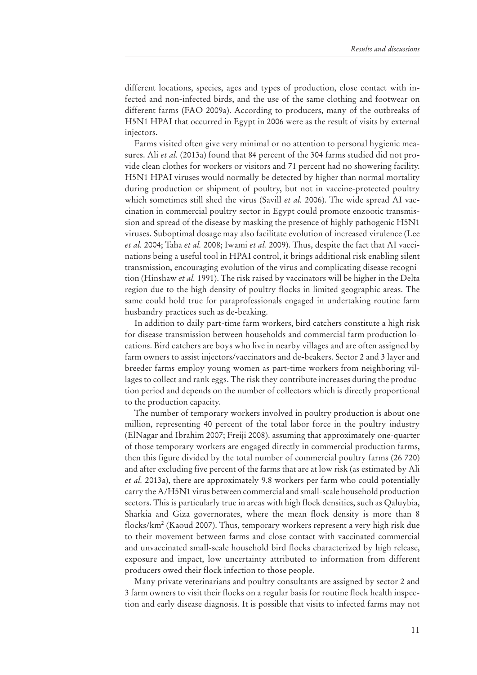different locations, species, ages and types of production, close contact with infected and non-infected birds, and the use of the same clothing and footwear on different farms (FAO 2009a). According to producers, many of the outbreaks of H5N1 HPAI that occurred in Egypt in 2006 were as the result of visits by external injectors.

Farms visited often give very minimal or no attention to personal hygienic measures. Ali *et al.* (2013a) found that 84 percent of the 304 farms studied did not provide clean clothes for workers or visitors and 71 percent had no showering facility. H5N1 HPAI viruses would normally be detected by higher than normal mortality during production or shipment of poultry, but not in vaccine-protected poultry which sometimes still shed the virus (Savill *et al.* 2006). The wide spread AI vaccination in commercial poultry sector in Egypt could promote enzootic transmission and spread of the disease by masking the presence of highly pathogenic H5N1 viruses. Suboptimal dosage may also facilitate evolution of increased virulence (Lee *et al.* 2004; Taha *et al.* 2008; Iwami *et al.* 2009). Thus, despite the fact that AI vaccinations being a useful tool in HPAI control, it brings additional risk enabling silent transmission, encouraging evolution of the virus and complicating disease recognition (Hinshaw *et al.* 1991). The risk raised by vaccinators will be higher in the Delta region due to the high density of poultry flocks in limited geographic areas. The same could hold true for paraprofessionals engaged in undertaking routine farm husbandry practices such as de-beaking.

In addition to daily part-time farm workers, bird catchers constitute a high risk for disease transmission between households and commercial farm production locations. Bird catchers are boys who live in nearby villages and are often assigned by farm owners to assist injectors/vaccinators and de-beakers. Sector 2 and 3 layer and breeder farms employ young women as part-time workers from neighboring villages to collect and rank eggs. The risk they contribute increases during the production period and depends on the number of collectors which is directly proportional to the production capacity.

The number of temporary workers involved in poultry production is about one million, representing 40 percent of the total labor force in the poultry industry (ElNagar and Ibrahim 2007; Freiji 2008). assuming that approximately one-quarter of those temporary workers are engaged directly in commercial production farms, then this figure divided by the total number of commercial poultry farms (26 720) and after excluding five percent of the farms that are at low risk (as estimated by Ali *et al.* 2013a), there are approximately 9.8 workers per farm who could potentially carry the A/H5N1 virus between commercial and small-scale household production sectors. This is particularly true in areas with high flock densities, such as Qaluybia, Sharkia and Giza governorates, where the mean flock density is more than 8 flocks/km2 (Kaoud 2007). Thus, temporary workers represent a very high risk due to their movement between farms and close contact with vaccinated commercial and unvaccinated small-scale household bird flocks characterized by high release, exposure and impact, low uncertainty attributed to information from different producers owed their flock infection to those people.

Many private veterinarians and poultry consultants are assigned by sector 2 and 3 farm owners to visit their flocks on a regular basis for routine flock health inspection and early disease diagnosis. It is possible that visits to infected farms may not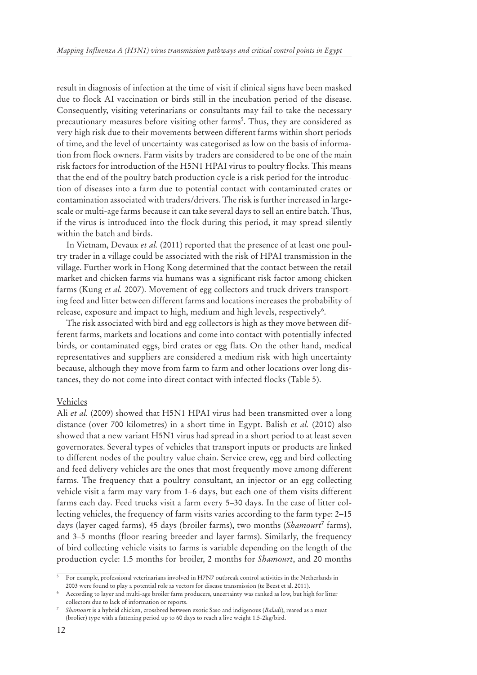result in diagnosis of infection at the time of visit if clinical signs have been masked due to flock AI vaccination or birds still in the incubation period of the disease. Consequently, visiting veterinarians or consultants may fail to take the necessary precautionary measures before visiting other farms<sup>5</sup>. Thus, they are considered as very high risk due to their movements between different farms within short periods of time, and the level of uncertainty was categorised as low on the basis of information from flock owners. Farm visits by traders are considered to be one of the main risk factors for introduction of the H5N1 HPAI virus to poultry flocks. This means that the end of the poultry batch production cycle is a risk period for the introduction of diseases into a farm due to potential contact with contaminated crates or contamination associated with traders/drivers. The risk is further increased in largescale or multi-age farms because it can take several days to sell an entire batch. Thus, if the virus is introduced into the flock during this period, it may spread silently within the batch and birds.

In Vietnam, Devaux *et al.* (2011) reported that the presence of at least one poultry trader in a village could be associated with the risk of HPAI transmission in the village. Further work in Hong Kong determined that the contact between the retail market and chicken farms via humans was a significant risk factor among chicken farms (Kung *et al.* 2007). Movement of egg collectors and truck drivers transporting feed and litter between different farms and locations increases the probability of release, exposure and impact to high, medium and high levels, respectively<sup>6</sup>.

The risk associated with bird and egg collectors is high as they move between different farms, markets and locations and come into contact with potentially infected birds, or contaminated eggs, bird crates or egg flats. On the other hand, medical representatives and suppliers are considered a medium risk with high uncertainty because, although they move from farm to farm and other locations over long distances, they do not come into direct contact with infected flocks (Table 5).

#### Vehicles

Ali *et al.* (2009) showed that H5N1 HPAI virus had been transmitted over a long distance (over 700 kilometres) in a short time in Egypt. Balish *et al.* (2010) also showed that a new variant H5N1 virus had spread in a short period to at least seven governorates. Several types of vehicles that transport inputs or products are linked to different nodes of the poultry value chain. Service crew, egg and bird collecting and feed delivery vehicles are the ones that most frequently move among different farms. The frequency that a poultry consultant, an injector or an egg collecting vehicle visit a farm may vary from 1–6 days, but each one of them visits different farms each day. Feed trucks visit a farm every 5–30 days. In the case of litter collecting vehicles, the frequency of farm visits varies according to the farm type: 2–15 days (layer caged farms), 45 days (broiler farms), two months (Shamourt<sup>7</sup> farms), and 3–5 months (floor rearing breeder and layer farms). Similarly, the frequency of bird collecting vehicle visits to farms is variable depending on the length of the production cycle: 1.5 months for broiler, 2 months for *Shamourt*, and 20 months

<sup>5</sup> For example, professional veterinarians involved in H7N7 outbreak control activities in the Netherlands in 2003 were found to play a potential role as vectors for disease transmission (te Beest et al. 2011).

<sup>6</sup> According to layer and multi-age broiler farm producers, uncertainty was ranked as low, but high for litter collectors due to lack of information or reports.

<sup>7</sup> *Shamourt* is a hybrid chicken, crossbred between exotic Saso and indigenous (*Baladi*), reared as a meat (brolier) type with a fattening period up to 60 days to reach a live weight 1.5-2kg/bird.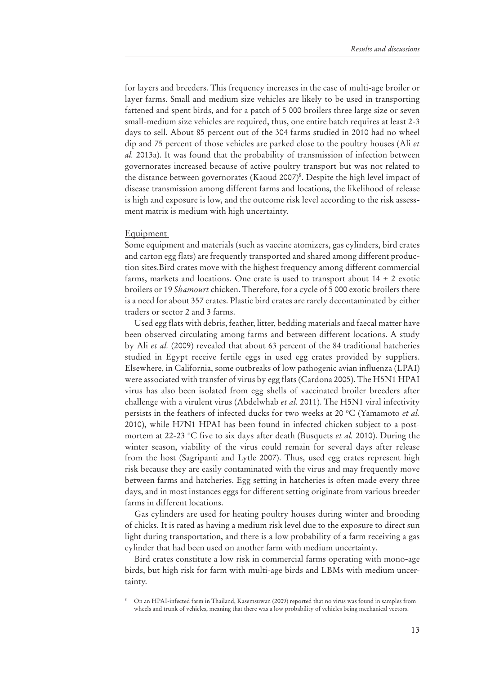for layers and breeders. This frequency increases in the case of multi-age broiler or layer farms. Small and medium size vehicles are likely to be used in transporting fattened and spent birds, and for a patch of 5 000 broilers three large size or seven small-medium size vehicles are required, thus, one entire batch requires at least 2-3 days to sell. About 85 percent out of the 304 farms studied in 2010 had no wheel dip and 75 percent of those vehicles are parked close to the poultry houses (Ali *et al.* 2013a). It was found that the probability of transmission of infection between governorates increased because of active poultry transport but was not related to the distance between governorates (Kaoud 2007)<sup>8</sup>. Despite the high level impact of disease transmission among different farms and locations, the likelihood of release is high and exposure is low, and the outcome risk level according to the risk assessment matrix is medium with high uncertainty.

#### Equipment

Some equipment and materials (such as vaccine atomizers, gas cylinders, bird crates and carton egg flats) are frequently transported and shared among different production sites.Bird crates move with the highest frequency among different commercial farms, markets and locations. One crate is used to transport about  $14 \pm 2$  exotic broilers or 19 *Shamourt* chicken. Therefore, for a cycle of 5 000 exotic broilers there is a need for about 357 crates. Plastic bird crates are rarely decontaminated by either traders or sector 2 and 3 farms.

Used egg flats with debris, feather, litter, bedding materials and faecal matter have been observed circulating among farms and between different locations. A study by Ali *et al.* (2009) revealed that about 63 percent of the 84 traditional hatcheries studied in Egypt receive fertile eggs in used egg crates provided by suppliers. Elsewhere, in California, some outbreaks of low pathogenic avian influenza (LPAI) were associated with transfer of virus by egg flats (Cardona 2005). The H5N1 HPAI virus has also been isolated from egg shells of vaccinated broiler breeders after challenge with a virulent virus (Abdelwhab *et al.* 2011). The H5N1 viral infectivity persists in the feathers of infected ducks for two weeks at 20 °C (Yamamoto et al. 2010), while H7N1 HPAI has been found in infected chicken subject to a postmortem at 22-23 °C five to six days after death (Busquets *et al.* 2010). During the winter season, viability of the virus could remain for several days after release from the host (Sagripanti and Lytle 2007). Thus, used egg crates represent high risk because they are easily contaminated with the virus and may frequently move between farms and hatcheries. Egg setting in hatcheries is often made every three days, and in most instances eggs for different setting originate from various breeder farms in different locations.

Gas cylinders are used for heating poultry houses during winter and brooding of chicks. It is rated as having a medium risk level due to the exposure to direct sun light during transportation, and there is a low probability of a farm receiving a gas cylinder that had been used on another farm with medium uncertainty.

Bird crates constitute a low risk in commercial farms operating with mono-age birds, but high risk for farm with multi-age birds and LBMs with medium uncertainty.

<sup>&</sup>lt;sup>8</sup> On an HPAI-infected farm in Thailand, Kasemsuwan (2009) reported that no virus was found in samples from wheels and trunk of vehicles, meaning that there was a low probability of vehicles being mechanical vectors.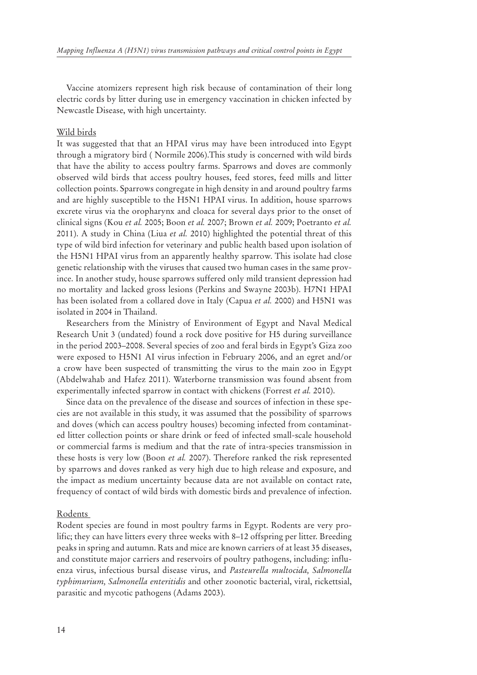Vaccine atomizers represent high risk because of contamination of their long electric cords by litter during use in emergency vaccination in chicken infected by Newcastle Disease, with high uncertainty.

#### Wild birds

It was suggested that that an HPAI virus may have been introduced into Egypt through a migratory bird ( Normile 2006).This study is concerned with wild birds that have the ability to access poultry farms. Sparrows and doves are commonly observed wild birds that access poultry houses, feed stores, feed mills and litter collection points. Sparrows congregate in high density in and around poultry farms and are highly susceptible to the H5N1 HPAI virus. In addition, house sparrows excrete virus via the oropharynx and cloaca for several days prior to the onset of clinical signs (Kou *et al.* 2005; Boon *et al.* 2007; Brown *et al.* 2009; Poetranto *et al.* 2011). A study in China (Liua *et al.* 2010) highlighted the potential threat of this type of wild bird infection for veterinary and public health based upon isolation of the H5N1 HPAI virus from an apparently healthy sparrow. This isolate had close genetic relationship with the viruses that caused two human cases in the same province. In another study, house sparrows suffered only mild transient depression had no mortality and lacked gross lesions (Perkins and Swayne 2003b). H7N1 HPAI has been isolated from a collared dove in Italy (Capua *et al.* 2000) and H5N1 was isolated in 2004 in Thailand.

Researchers from the Ministry of Environment of Egypt and Naval Medical Research Unit 3 (undated) found a rock dove positive for H5 during surveillance in the period 2003–2008. Several species of zoo and feral birds in Egypt's Giza zoo were exposed to H5N1 AI virus infection in February 2006, and an egret and/or a crow have been suspected of transmitting the virus to the main zoo in Egypt (Abdelwahab and Hafez 2011). Waterborne transmission was found absent from experimentally infected sparrow in contact with chickens (Forrest *et al.* 2010).

Since data on the prevalence of the disease and sources of infection in these species are not available in this study, it was assumed that the possibility of sparrows and doves (which can access poultry houses) becoming infected from contaminated litter collection points or share drink or feed of infected small-scale household or commercial farms is medium and that the rate of intra-species transmission in these hosts is very low (Boon *et al.* 2007). Therefore ranked the risk represented by sparrows and doves ranked as very high due to high release and exposure, and the impact as medium uncertainty because data are not available on contact rate, frequency of contact of wild birds with domestic birds and prevalence of infection.

#### Rodents

Rodent species are found in most poultry farms in Egypt. Rodents are very prolific; they can have litters every three weeks with 8–12 offspring per litter. Breeding peaks in spring and autumn. Rats and mice are known carriers of at least 35 diseases, and constitute major carriers and reservoirs of poultry pathogens, including: influenza virus, infectious bursal disease virus, and *Pasteurella multocida, Salmonella typhimurium, Salmonella enteritidis* and other zoonotic bacterial, viral, rickettsial, parasitic and mycotic pathogens (Adams 2003).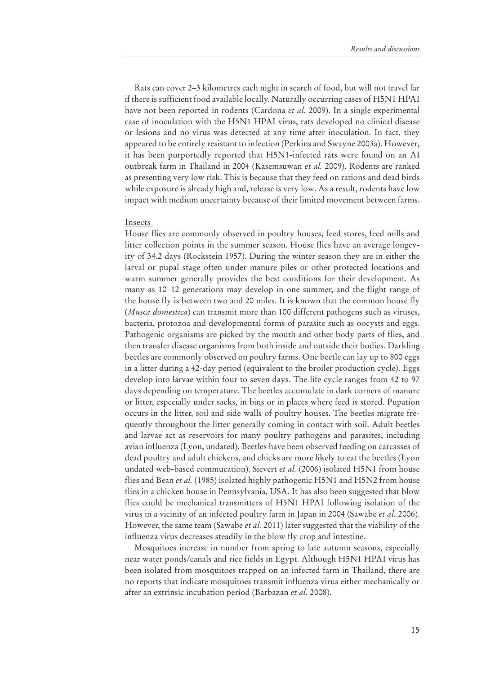Rats can cover 2–3 kilometres each night in search of food, but will not travel far if there is sufficient food available locally. Naturally occurring cases of H5N1 HPAI have not been reported in rodents (Cardona *et al.* 2009). In a single experimental case of inoculation with the H5N1 HPAI virus, rats developed no clinical disease or lesions and no virus was detected at any time after inoculation. In fact, they appeared to be entirely resistant to infection (Perkins and Swayne 2003a). However, it has been purportedly reported that H5N1-infected rats were found on an AI outbreak farm in Thailand in 2004 (Kasemsuwan *et al.* 2009). Rodents are ranked as presenting very low risk. This is because that they feed on rations and dead birds while exposure is already high and, release is very low. As a result, rodents have low impact with medium uncertainty because of their limited movement between farms.

#### Insects

House flies are commonly observed in poultry houses, feed stores, feed mills and litter collection points in the summer season. House flies have an average longevity of 34.2 days (Rockstein 1957). During the winter season they are in either the larval or pupal stage often under manure piles or other protected locations and warm summer generally provides the best conditions for their development. As many as 10–12 generations may develop in one summer, and the flight range of the house fly is between two and 20 miles. It is known that the common house fly (*Musca domestica*) can transmit more than 100 different pathogens such as viruses, bacteria, protozoa and developmental forms of parasite such as oocysts and eggs. Pathogenic organisms are picked by the mouth and other body parts of flies, and then transfer disease organisms from both inside and outside their bodies. Darkling beetles are commonly observed on poultry farms. One beetle can lay up to 800 eggs in a litter during a 42-day period (equivalent to the broiler production cycle). Eggs develop into larvae within four to seven days. The life cycle ranges from 42 to 97 days depending on temperature. The beetles accumulate in dark corners of manure or litter, especially under sacks, in bins or in places where feed is stored. Pupation occurs in the litter, soil and side walls of poultry houses. The beetles migrate frequently throughout the litter generally coming in contact with soil. Adult beetles and larvae act as reservoirs for many poultry pathogens and parasites, including avian influenza (Lyon, undated). Beetles have been observed feeding on carcasses of dead poultry and adult chickens, and chicks are more likely to eat the beetles (Lyon undated web-based commucation). Sievert *et al.* (2006) isolated H5N1 from house flies and Bean *et al.* (1985) isolated highly pathogenic H5N1 and H5N2 from house flies in a chicken house in Pennsylvania, USA. It has also been suggested that blow flies could be mechanical transmitters of H5N1 HPAI following isolation of the virus in a vicinity of an infected poultry farm in Japan in 2004 (Sawabe *et al.* 2006). However, the same team (Sawabe *et al.* 2011) later suggested that the viability of the influenza virus decreases steadily in the blow fly crop and intestine.

Mosquitoes increase in number from spring to late autumn seasons, especially near water ponds/canals and rice fields in Egypt. Although H5N1 HPAI virus has been isolated from mosquitoes trapped on an infected farm in Thailand, there are no reports that indicate mosquitoes transmit influenza virus either mechanically or after an extrinsic incubation period (Barbazan *et al.* 2008).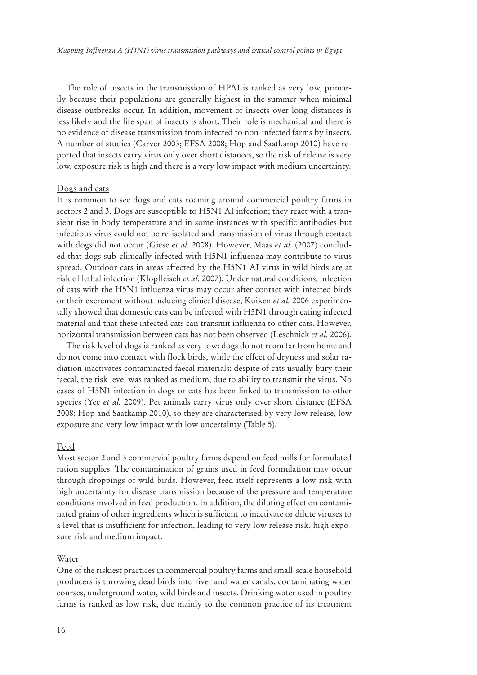The role of insects in the transmission of HPAI is ranked as very low, primarily because their populations are generally highest in the summer when minimal disease outbreaks occur. In addition, movement of insects over long distances is less likely and the life span of insects is short. Their role is mechanical and there is no evidence of disease transmission from infected to non-infected farms by insects. A number of studies (Carver 2003; EFSA 2008; Hop and Saatkamp 2010) have reported that insects carry virus only over short distances, so the risk of release is very low, exposure risk is high and there is a very low impact with medium uncertainty.

#### Dogs and cats

It is common to see dogs and cats roaming around commercial poultry farms in sectors 2 and 3. Dogs are susceptible to H5N1 AI infection; they react with a transient rise in body temperature and in some instances with specific antibodies but infectious virus could not be re-isolated and transmission of virus through contact with dogs did not occur (Giese *et al.* 2008). However, Maas *et al.* (2007) concluded that dogs sub-clinically infected with H5N1 influenza may contribute to virus spread. Outdoor cats in areas affected by the H5N1 AI virus in wild birds are at risk of lethal infection (Klopfleisch *et al.* 2007). Under natural conditions, infection of cats with the H5N1 influenza virus may occur after contact with infected birds or their excrement without inducing clinical disease, Kuiken *et al.* 2006 experimentally showed that domestic cats can be infected with H5N1 through eating infected material and that these infected cats can transmit influenza to other cats. However, horizontal transmission between cats has not been observed (Leschnick *et al.* 2006).

The risk level of dogs is ranked as very low: dogs do not roam far from home and do not come into contact with flock birds, while the effect of dryness and solar radiation inactivates contaminated faecal materials; despite of cats usually bury their faecal, the risk level was ranked as medium, due to ability to transmit the virus. No cases of H5N1 infection in dogs or cats has been linked to transmission to other species (Yee *et al.* 2009). Pet animals carry virus only over short distance (EFSA 2008; Hop and Saatkamp 2010), so they are characterised by very low release, low exposure and very low impact with low uncertainty (Table 5).

#### Feed

Most sector 2 and 3 commercial poultry farms depend on feed mills for formulated ration supplies. The contamination of grains used in feed formulation may occur through droppings of wild birds. However, feed itself represents a low risk with high uncertainty for disease transmission because of the pressure and temperature conditions involved in feed production. In addition, the diluting effect on contaminated grains of other ingredients which is sufficient to inactivate or dilute viruses to a level that is insufficient for infection, leading to very low release risk, high exposure risk and medium impact.

#### Water

One of the riskiest practices in commercial poultry farms and small-scale household producers is throwing dead birds into river and water canals, contaminating water courses, underground water, wild birds and insects. Drinking water used in poultry farms is ranked as low risk, due mainly to the common practice of its treatment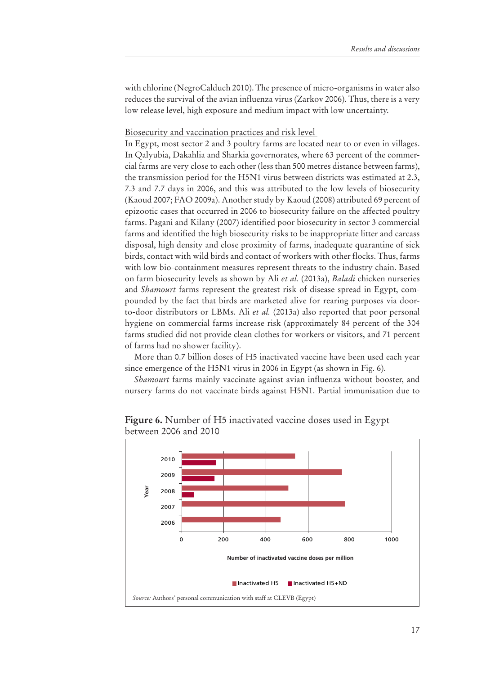with chlorine (NegroCalduch 2010). The presence of micro-organisms in water also reduces the survival of the avian influenza virus (Zarkov 2006). Thus, there is a very low release level, high exposure and medium impact with low uncertainty.

Biosecurity and vaccination practices and risk level

In Egypt, most sector 2 and 3 poultry farms are located near to or even in villages. In Qalyubia, Dakahlia and Sharkia governorates, where 63 percent of the commercial farms are very close to each other (less than 500 metres distance between farms), the transmission period for the H5N1 virus between districts was estimated at 2.3, 7.3 and 7.7 days in 2006, and this was attributed to the low levels of biosecurity (Kaoud 2007; FAO 2009a). Another study by Kaoud (2008) attributed 69 percent of epizootic cases that occurred in 2006 to biosecurity failure on the affected poultry farms. Pagani and Kilany (2007) identified poor biosecurity in sector 3 commercial farms and identified the high biosecurity risks to be inappropriate litter and carcass disposal, high density and close proximity of farms, inadequate quarantine of sick birds, contact with wild birds and contact of workers with other flocks. Thus, farms with low bio-containment measures represent threats to the industry chain. Based on farm biosecurity levels as shown by Ali *et al.* (2013a), *Baladi* chicken nurseries and *Shamourt* farms represent the greatest risk of disease spread in Egypt, compounded by the fact that birds are marketed alive for rearing purposes via doorto-door distributors or LBMs. Ali *et al.* (2013a) also reported that poor personal hygiene on commercial farms increase risk (approximately 84 percent of the 304 farms studied did not provide clean clothes for workers or visitors, and 71 percent of farms had no shower facility).

More than 0.7 billion doses of H5 inactivated vaccine have been used each year since emergence of the H5N1 virus in 2006 in Egypt (as shown in Fig. 6).

*Shamourt* farms mainly vaccinate against avian influenza without booster, and nursery farms do not vaccinate birds against H5N1. Partial immunisation due to



**Figure 6.** Number of H5 inactivated vaccine doses used in Egypt between 2006 and 2010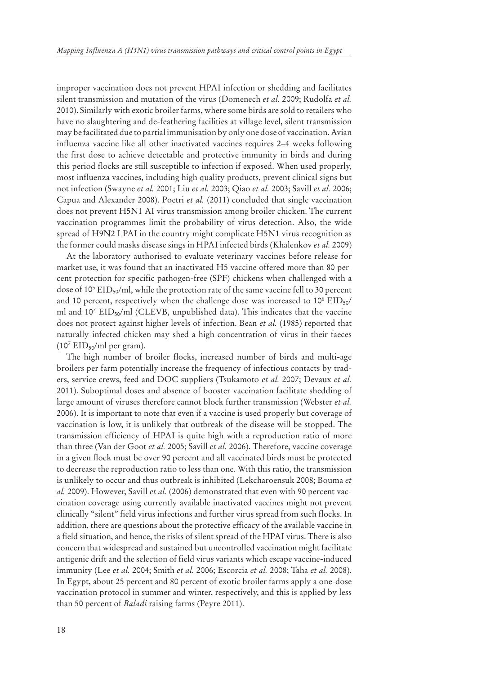improper vaccination does not prevent HPAI infection or shedding and facilitates silent transmission and mutation of the virus (Domenech *et al.* 2009; Rudolfa *et al.*  2010). Similarly with exotic broiler farms, where some birds are sold to retailers who have no slaughtering and de-feathering facilities at village level, silent transmission may be facilitated due to partial immunisation by only one dose of vaccination. Avian influenza vaccine like all other inactivated vaccines requires 2–4 weeks following the first dose to achieve detectable and protective immunity in birds and during this period flocks are still susceptible to infection if exposed. When used properly, most influenza vaccines, including high quality products, prevent clinical signs but not infection (Swayne *et al.* 2001; Liu *et al.* 2003; Qiao *et al.* 2003; Savill *et al.* 2006; Capua and Alexander 2008). Poetri *et al.* (2011) concluded that single vaccination does not prevent H5N1 AI virus transmission among broiler chicken. The current vaccination programmes limit the probability of virus detection. Also, the wide spread of H9N2 LPAI in the country might complicate H5N1 virus recognition as the former could masks disease sings in HPAI infected birds (Khalenkov *et al.* 2009)

At the laboratory authorised to evaluate veterinary vaccines before release for market use, it was found that an inactivated H5 vaccine offered more than 80 percent protection for specific pathogen-free (SPF) chickens when challenged with a dose of 10<sup>5</sup> EID<sub>50</sub>/ml, while the protection rate of the same vaccine fell to 30 percent and 10 percent, respectively when the challenge dose was increased to  $10^6$   $\rm EID_{50}/$ ml and 10<sup>7</sup> EID50/ml (CLEVB, unpublished data). This indicates that the vaccine does not protect against higher levels of infection. Bean *et al.* (1985) reported that naturally-infected chicken may shed a high concentration of virus in their faeces (10<sup>7</sup> EID<sub>50</sub>/ml per gram).

The high number of broiler flocks, increased number of birds and multi-age broilers per farm potentially increase the frequency of infectious contacts by traders, service crews, feed and DOC suppliers (Tsukamoto *et al.* 2007; Devaux *et al.* 2011). Suboptimal doses and absence of booster vaccination facilitate shedding of large amount of viruses therefore cannot block further transmission (Webster *et al.* 2006). It is important to note that even if a vaccine is used properly but coverage of vaccination is low, it is unlikely that outbreak of the disease will be stopped. The transmission efficiency of HPAI is quite high with a reproduction ratio of more than three (Van der Goot *et al.* 2005; Savill *et al.* 2006). Therefore, vaccine coverage in a given flock must be over 90 percent and all vaccinated birds must be protected to decrease the reproduction ratio to less than one. With this ratio, the transmission is unlikely to occur and thus outbreak is inhibited (Lekcharoensuk 2008; Bouma *et al.* 2009). However, Savill *et al.* (2006) demonstrated that even with 90 percent vaccination coverage using currently available inactivated vaccines might not prevent clinically "silent" field virus infections and further virus spread from such flocks. In addition, there are questions about the protective efficacy of the available vaccine in a field situation, and hence, the risks of silent spread of the HPAI virus. There is also concern that widespread and sustained but uncontrolled vaccination might facilitate antigenic drift and the selection of field virus variants which escape vaccine-induced immunity (Lee *et al.* 2004; Smith *et al.* 2006; Escorcia *et al.* 2008; Taha *et al.* 2008). In Egypt, about 25 percent and 80 percent of exotic broiler farms apply a one-dose vaccination protocol in summer and winter, respectively, and this is applied by less than 50 percent of *Baladi* raising farms (Peyre 2011).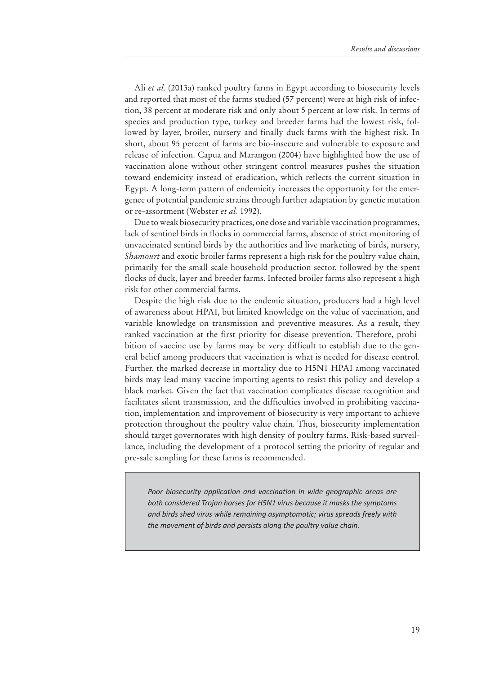Ali *et al.* (2013a) ranked poultry farms in Egypt according to biosecurity levels and reported that most of the farms studied (57 percent) were at high risk of infection, 38 percent at moderate risk and only about 5 percent at low risk. In terms of species and production type, turkey and breeder farms had the lowest risk, followed by layer, broiler, nursery and finally duck farms with the highest risk. In short, about 95 percent of farms are bio-insecure and vulnerable to exposure and release of infection. Capua and Marangon (2004) have highlighted how the use of vaccination alone without other stringent control measures pushes the situation toward endemicity instead of eradication, which reflects the current situation in Egypt. A long-term pattern of endemicity increases the opportunity for the emergence of potential pandemic strains through further adaptation by genetic mutation or re-assortment (Webster *et al.* 1992).

Due to weak biosecurity practices, one dose and variable vaccination programmes, lack of sentinel birds in flocks in commercial farms, absence of strict monitoring of unvaccinated sentinel birds by the authorities and live marketing of birds, nursery, *Shamourt* and exotic broiler farms represent a high risk for the poultry value chain, primarily for the small-scale household production sector, followed by the spent flocks of duck, layer and breeder farms. Infected broiler farms also represent a high risk for other commercial farms.

Despite the high risk due to the endemic situation, producers had a high level of awareness about HPAI, but limited knowledge on the value of vaccination, and variable knowledge on transmission and preventive measures. As a result, they ranked vaccination at the first priority for disease prevention. Therefore, prohibition of vaccine use by farms may be very difficult to establish due to the general belief among producers that vaccination is what is needed for disease control. Further, the marked decrease in mortality due to H5N1 HPAI among vaccinated birds may lead many vaccine importing agents to resist this policy and develop a black market. Given the fact that vaccination complicates disease recognition and facilitates silent transmission, and the difficulties involved in prohibiting vaccination, implementation and improvement of biosecurity is very important to achieve protection throughout the poultry value chain. Thus, biosecurity implementation should target governorates with high density of poultry farms. Risk-based surveillance, including the development of a protocol setting the priority of regular and pre-sale sampling for these farms is recommended.

*Poor biosecurity application and vaccination in wide geographic areas are both considered Trojan horses for H5N1 virus because it masks the symptoms and birds shed virus while remaining asymptomatic; virus spreads freely with the movement of birds and persists along the poultry value chain.*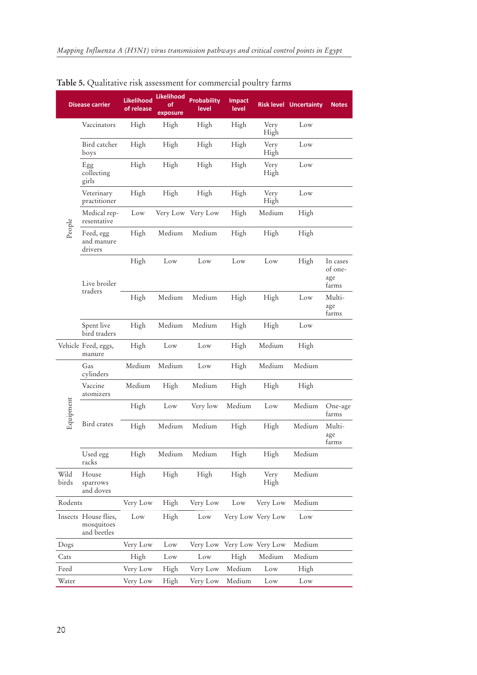|               | <b>Disease carrier</b>                            | <b>Likelihood</b><br>of release | <b>Likelihood</b><br>of<br>exposure | <b>Probability</b><br>level | <b>Impact</b><br>level     |                   | <b>Risk level Uncertainty</b> | <b>Notes</b>                        |
|---------------|---------------------------------------------------|---------------------------------|-------------------------------------|-----------------------------|----------------------------|-------------------|-------------------------------|-------------------------------------|
|               | Vaccinators                                       | High                            | High                                | High                        | High                       | Very<br>High      | Low                           |                                     |
|               | Bird catcher<br>boys                              | High                            | High                                | High                        | High                       | Very<br>High      | Low                           |                                     |
|               | Egg<br>collecting<br>girls                        | High                            | High                                | High                        | High                       | Very<br>High      | Low                           |                                     |
|               | Veterinary<br>practitioner                        | High                            | High                                | High                        | High                       | Very<br>High      | Low                           |                                     |
|               | Medical rep-<br>resentative                       | Low                             |                                     | Very Low Very Low           | High                       | Medium            | High                          |                                     |
| People        | Feed, egg<br>and manure<br>drivers                | High                            | Medium                              | Medium                      | High                       | High              | High                          |                                     |
|               | Live broiler                                      | High                            | Low                                 | Low                         | Low                        | Low               | High                          | In cases<br>of one-<br>age<br>farms |
|               | traders                                           | High                            | Medium                              | Medium                      | High                       | High              | Low                           | Multi-<br>age<br>farms              |
|               | Spent live<br>bird traders                        | High                            | Medium                              | Medium                      | High                       | High              | Low                           |                                     |
|               | Vehicle Feed, eggs,<br>manure                     | High                            | Low                                 | Low                         | High                       | Medium            | High                          |                                     |
|               | Gas<br>cylinders                                  | Medium                          | Medium                              | Low                         | High                       | Medium            | Medium                        |                                     |
|               | Vaccine<br>atomizers                              | Medium                          | High                                | Medium                      | High                       | High              | High                          |                                     |
| Equipment     |                                                   | High                            | Low                                 | Very low                    | Medium                     | Low               | Medium                        | One-age<br>farms                    |
|               | Bird crates                                       | High                            | Medium                              | Medium                      | High                       | High              | Medium                        | Multi-<br>age<br>farms              |
|               | Used egg<br>racks                                 | High                            | Medium                              | Medium                      | High                       | High              | Medium                        |                                     |
| Wild<br>birds | House<br>sparrows<br>and doves                    | High                            | High                                | High                        | High                       | Very<br>High      | Medium                        |                                     |
| Rodents       |                                                   | Very Low                        | High                                | Very Low                    | Low                        | Very Low          | Medium                        |                                     |
|               | Insects House flies,<br>mosquitoes<br>and beetles | Low                             | High                                | Low                         |                            | Very Low Very Low | Low                           |                                     |
| Dogs          |                                                   | Very Low                        | Low                                 |                             | Very Low Very Low Very Low |                   | Medium                        |                                     |
| Cats          |                                                   | High                            | Low                                 | Low                         | High                       | Medium            | Medium                        |                                     |
| Feed          |                                                   | Very Low                        | High                                | Very Low                    | Medium                     | Low               | High                          |                                     |
| Water         |                                                   | Very Low                        | High                                | Very Low                    | Medium                     | Low               | Low                           |                                     |

|  |  |  |  | Table 5. Qualitative risk assessment for commercial poultry farms |  |  |  |
|--|--|--|--|-------------------------------------------------------------------|--|--|--|
|  |  |  |  |                                                                   |  |  |  |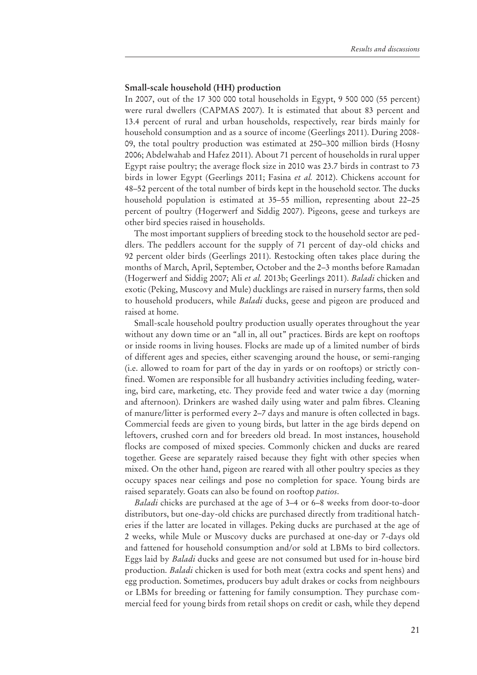#### **Small-scale household (HH) production**

In 2007, out of the 17 300 000 total households in Egypt, 9 500 000 (55 percent) were rural dwellers (CAPMAS 2007). It is estimated that about 83 percent and 13.4 percent of rural and urban households, respectively, rear birds mainly for household consumption and as a source of income (Geerlings 2011). During 2008- 09, the total poultry production was estimated at 250–300 million birds (Hosny 2006; Abdelwahab and Hafez 2011). About 71 percent of households in rural upper Egypt raise poultry; the average flock size in 2010 was 23.7 birds in contrast to 73 birds in lower Egypt (Geerlings 2011; Fasina *et al.* 2012). Chickens account for 48–52 percent of the total number of birds kept in the household sector. The ducks household population is estimated at 35–55 million, representing about 22–25 percent of poultry (Hogerwerf and Siddig 2007). Pigeons, geese and turkeys are other bird species raised in households.

The most important suppliers of breeding stock to the household sector are peddlers. The peddlers account for the supply of 71 percent of day-old chicks and 92 percent older birds (Geerlings 2011). Restocking often takes place during the months of March, April, September, October and the 2–3 months before Ramadan (Hogerwerf and Siddig 2007; Ali *et al.* 2013b; Geerlings 2011). *Baladi* chicken and exotic (Peking, Muscovy and Mule) ducklings are raised in nursery farms, then sold to household producers, while *Baladi* ducks, geese and pigeon are produced and raised at home.

Small-scale household poultry production usually operates throughout the year without any down time or an "all in, all out" practices. Birds are kept on rooftops or inside rooms in living houses. Flocks are made up of a limited number of birds of different ages and species, either scavenging around the house, or semi-ranging (i.e. allowed to roam for part of the day in yards or on rooftops) or strictly confined. Women are responsible for all husbandry activities including feeding, watering, bird care, marketing, etc. They provide feed and water twice a day (morning and afternoon). Drinkers are washed daily using water and palm fibres. Cleaning of manure/litter is performed every 2–7 days and manure is often collected in bags. Commercial feeds are given to young birds, but latter in the age birds depend on leftovers, crushed corn and for breeders old bread. In most instances, household flocks are composed of mixed species. Commonly chicken and ducks are reared together. Geese are separately raised because they fight with other species when mixed. On the other hand, pigeon are reared with all other poultry species as they occupy spaces near ceilings and pose no completion for space. Young birds are raised separately. Goats can also be found on rooftop *patios*.

*Baladi* chicks are purchased at the age of 3–4 or 6–8 weeks from door-to-door distributors, but one-day-old chicks are purchased directly from traditional hatcheries if the latter are located in villages. Peking ducks are purchased at the age of 2 weeks, while Mule or Muscovy ducks are purchased at one-day or 7-days old and fattened for household consumption and/or sold at LBMs to bird collectors. Eggs laid by *Baladi* ducks and geese are not consumed but used for in-house bird production. *Baladi* chicken is used for both meat (extra cocks and spent hens) and egg production. Sometimes, producers buy adult drakes or cocks from neighbours or LBMs for breeding or fattening for family consumption. They purchase commercial feed for young birds from retail shops on credit or cash, while they depend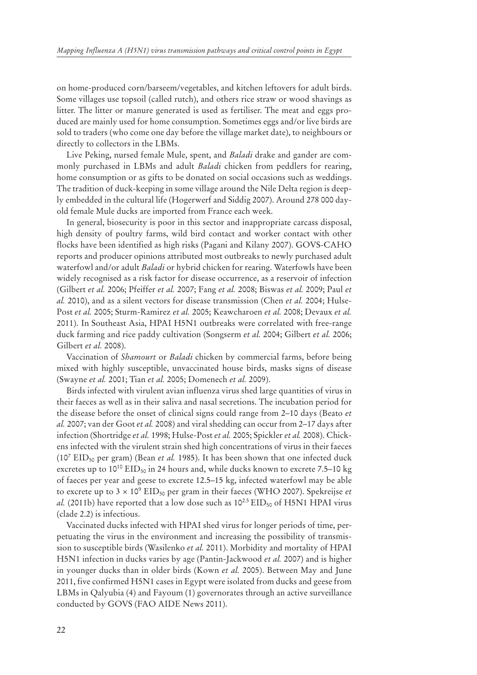on home-produced corn/barseem/vegetables, and kitchen leftovers for adult birds. Some villages use topsoil (called rutch), and others rice straw or wood shavings as litter. The litter or manure generated is used as fertiliser. The meat and eggs produced are mainly used for home consumption. Sometimes eggs and/or live birds are sold to traders (who come one day before the village market date), to neighbours or directly to collectors in the LBMs.

Live Peking, nursed female Mule, spent, and *Baladi* drake and gander are commonly purchased in LBMs and adult *Baladi* chicken from peddlers for rearing, home consumption or as gifts to be donated on social occasions such as weddings. The tradition of duck-keeping in some village around the Nile Delta region is deeply embedded in the cultural life (Hogerwerf and Siddig 2007). Around 278 000 dayold female Mule ducks are imported from France each week.

In general, biosecurity is poor in this sector and inappropriate carcass disposal, high density of poultry farms, wild bird contact and worker contact with other flocks have been identified as high risks (Pagani and Kilany 2007). GOVS-CAHO reports and producer opinions attributed most outbreaks to newly purchased adult waterfowl and/or adult *Baladi* or hybrid chicken for rearing. Waterfowls have been widely recognised as a risk factor for disease occurrence, as a reservoir of infection (Gilbert *et al.* 2006; Pfeiffer *et al.* 2007; Fang *et al.* 2008; Biswas *et al.* 2009; Paul *et al.* 2010), and as a silent vectors for disease transmission (Chen *et al.* 2004; Hulse-Post *et al.* 2005; Sturm-Ramirez *et al.* 2005; Keawcharoen *et al.* 2008; Devaux *et al.* 2011). In Southeast Asia, HPAI H5N1 outbreaks were correlated with free-range duck farming and rice paddy cultivation (Songserm *et al.* 2004; Gilbert *et al.* 2006; Gilbert *et al.* 2008).

Vaccination of *Shamourt* or *Baladi* chicken by commercial farms, before being mixed with highly susceptible, unvaccinated house birds, masks signs of disease (Swayne *et al.* 2001; Tian *et al.* 2005; Domenech *et al.* 2009).

Birds infected with virulent avian influenza virus shed large quantities of virus in their faeces as well as in their saliva and nasal secretions. The incubation period for the disease before the onset of clinical signs could range from 2–10 days (Beato *et al.* 2007; van der Goot *et al.* 2008) and viral shedding can occur from 2–17 days after infection (Shortridge *et al.* 1998; Hulse-Post *et al.* 2005; Spickler *et al.* 2008). Chickens infected with the virulent strain shed high concentrations of virus in their faeces (10<sup>7</sup> EID<sub>50</sub> per gram) (Bean *et al.* 1985). It has been shown that one infected duck excretes up to  $10^{10}$  EID<sub>50</sub> in 24 hours and, while ducks known to excrete 7.5–10 kg of faeces per year and geese to excrete 12.5–15 kg, infected waterfowl may be able to excrete up to  $3 \times 10^9$  EID<sub>50</sub> per gram in their faeces (WHO 2007). Spekreijse *et al.* (2011b) have reported that a low dose such as  $10^{2.5}$  EID<sub>50</sub> of H5N1 HPAI virus (clade 2.2) is infectious.

Vaccinated ducks infected with HPAI shed virus for longer periods of time, perpetuating the virus in the environment and increasing the possibility of transmission to susceptible birds (Wasilenko *et al.* 2011). Morbidity and mortality of HPAI H5N1 infection in ducks varies by age (Pantin-Jackwood *et al.* 2007) and is higher in younger ducks than in older birds (Kown *et al.* 2005). Between May and June 2011, five confirmed H5N1 cases in Egypt were isolated from ducks and geese from LBMs in Qalyubia (4) and Fayoum (1) governorates through an active surveillance conducted by GOVS (FAO AIDE News 2011).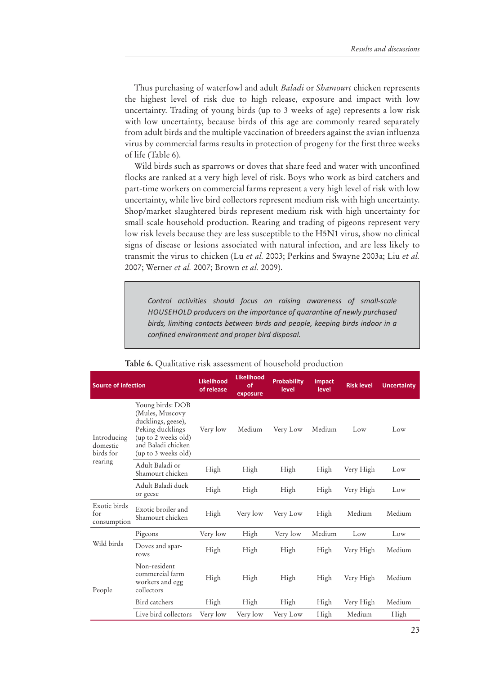Thus purchasing of waterfowl and adult *Baladi* or *Shamourt* chicken represents the highest level of risk due to high release, exposure and impact with low uncertainty. Trading of young birds (up to 3 weeks of age) represents a low risk with low uncertainty, because birds of this age are commonly reared separately from adult birds and the multiple vaccination of breeders against the avian influenza virus by commercial farms results in protection of progeny for the first three weeks of life (Table 6).

Wild birds such as sparrows or doves that share feed and water with unconfined flocks are ranked at a very high level of risk. Boys who work as bird catchers and part-time workers on commercial farms represent a very high level of risk with low uncertainty, while live bird collectors represent medium risk with high uncertainty. Shop/market slaughtered birds represent medium risk with high uncertainty for small-scale household production. Rearing and trading of pigeons represent very low risk levels because they are less susceptible to the H5N1 virus, show no clinical signs of disease or lesions associated with natural infection, and are less likely to transmit the virus to chicken (Lu *et al.* 2003; Perkins and Swayne 2003a; Liu *et al.*  2007; Werner *et al.* 2007; Brown *et al.* 2009).

*Control activities should focus on raising awareness of small-scale HOUSEHOLD producers on the importance of quarantine of newly purchased birds, limiting contacts between birds and people, keeping birds indoor in a confined environment and proper bird disposal.*

| <b>Source of infection</b>                      |                                                                                                                                                   | Likelihood<br>of release | <b>Likelihood</b><br>οf<br>exposure | <b>Probability</b><br>level | <b>Impact</b><br>level | <b>Risk level</b> | <b>Uncertainty</b> |
|-------------------------------------------------|---------------------------------------------------------------------------------------------------------------------------------------------------|--------------------------|-------------------------------------|-----------------------------|------------------------|-------------------|--------------------|
| Introducing<br>domestic<br>birds for<br>rearing | Young birds: DOB<br>(Mules, Muscovy<br>ducklings, geese),<br>Peking ducklings<br>(up to 2 weeks old)<br>and Baladi chicken<br>(up to 3 weeks old) | Very low                 | Medium                              | Very Low                    | Medium                 | Low               | Low                |
|                                                 | Adult Baladi or<br>Shamourt chicken                                                                                                               | High                     | High                                | High                        | High                   | Very High         | Low                |
|                                                 | Adult Baladi duck<br>or geese                                                                                                                     | High                     | High                                | High                        | High                   | Very High         | Low                |
| Exotic birds<br>for<br>consumption              | Exotic broiler and<br>Shamourt chicken                                                                                                            | High                     | Very low                            | Very Low                    | High                   | Medium            | Medium             |
|                                                 | Pigeons                                                                                                                                           | Very low                 | High                                | Very low                    | Medium                 | Low               | Low                |
| Wild birds                                      | Doves and spar-<br>rows                                                                                                                           | High                     | High                                | High                        | High                   | Very High         | Medium             |
| People                                          | Non-resident<br>commercial farm<br>workers and egg<br>collectors                                                                                  | High                     | High                                | High                        | High                   | Very High         | Medium             |
|                                                 | Bird catchers                                                                                                                                     | High                     | High                                | High                        | High                   | Very High         | Medium             |
|                                                 | Live bird collectors                                                                                                                              | Very low                 | Very low                            | Very Low                    | High                   | Medium            | High               |

**Table 6.** Qualitative risk assessment of household production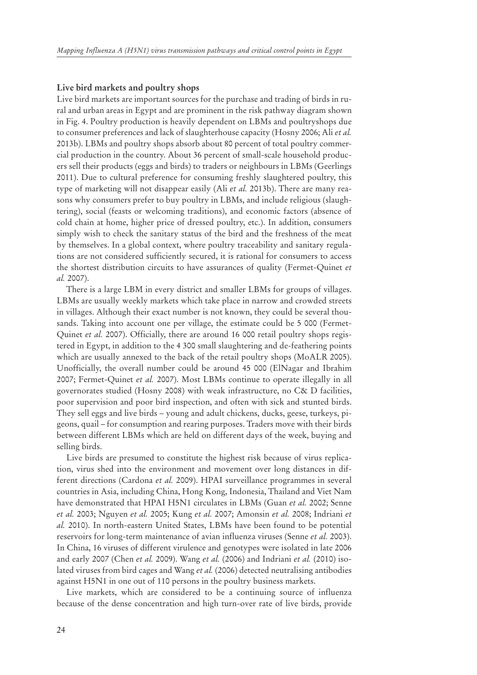#### **Live bird markets and poultry shops**

Live bird markets are important sources for the purchase and trading of birds in rural and urban areas in Egypt and are prominent in the risk pathway diagram shown in Fig. 4. Poultry production is heavily dependent on LBMs and poultryshops due to consumer preferences and lack of slaughterhouse capacity (Hosny 2006; Ali *et al.* 2013b). LBMs and poultry shops absorb about 80 percent of total poultry commercial production in the country. About 36 percent of small-scale household producers sell their products (eggs and birds) to traders or neighbours in LBMs (Geerlings 2011). Due to cultural preference for consuming freshly slaughtered poultry, this type of marketing will not disappear easily (Ali *et al.* 2013b). There are many reasons why consumers prefer to buy poultry in LBMs, and include religious (slaughtering), social (feasts or welcoming traditions), and economic factors (absence of cold chain at home, higher price of dressed poultry, etc.). In addition, consumers simply wish to check the sanitary status of the bird and the freshness of the meat by themselves. In a global context, where poultry traceability and sanitary regulations are not considered sufficiently secured, it is rational for consumers to access the shortest distribution circuits to have assurances of quality (Fermet-Quinet *et al.* 2007).

There is a large LBM in every district and smaller LBMs for groups of villages. LBMs are usually weekly markets which take place in narrow and crowded streets in villages. Although their exact number is not known, they could be several thousands. Taking into account one per village, the estimate could be 5 000 (Fermet-Quinet *et al.* 2007). Officially, there are around 16 000 retail poultry shops registered in Egypt, in addition to the 4 300 small slaughtering and de-feathering points which are usually annexed to the back of the retail poultry shops (MoALR 2005). Unofficially, the overall number could be around 45 000 (ElNagar and Ibrahim 2007; Fermet-Quinet *et al.* 2007). Most LBMs continue to operate illegally in all governorates studied (Hosny 2008) with weak infrastructure, no C& D facilities, poor supervision and poor bird inspection, and often with sick and stunted birds. They sell eggs and live birds – young and adult chickens, ducks, geese, turkeys, pigeons, quail – for consumption and rearing purposes. Traders move with their birds between different LBMs which are held on different days of the week, buying and selling birds.

Live birds are presumed to constitute the highest risk because of virus replication, virus shed into the environment and movement over long distances in different directions (Cardona *et al.* 2009). HPAI surveillance programmes in several countries in Asia, including China, Hong Kong, Indonesia, Thailand and Viet Nam have demonstrated that HPAI H5N1 circulates in LBMs (Guan *et al.* 2002; Senne *et al.* 2003; Nguyen *et al.* 2005; Kung *et al.* 2007; Amonsin *et al.* 2008; Indriani *et al.* 2010). In north-eastern United States, LBMs have been found to be potential reservoirs for long-term maintenance of avian influenza viruses (Senne *et al.* 2003). In China, 16 viruses of different virulence and genotypes were isolated in late 2006 and early 2007 (Chen *et al.* 2009). Wang *et al.* (2006) and Indriani *et al.* (2010) isolated viruses from bird cages and Wang *et al.* (2006) detected neutralising antibodies against H5N1 in one out of 110 persons in the poultry business markets.

Live markets, which are considered to be a continuing source of influenza because of the dense concentration and high turn-over rate of live birds, provide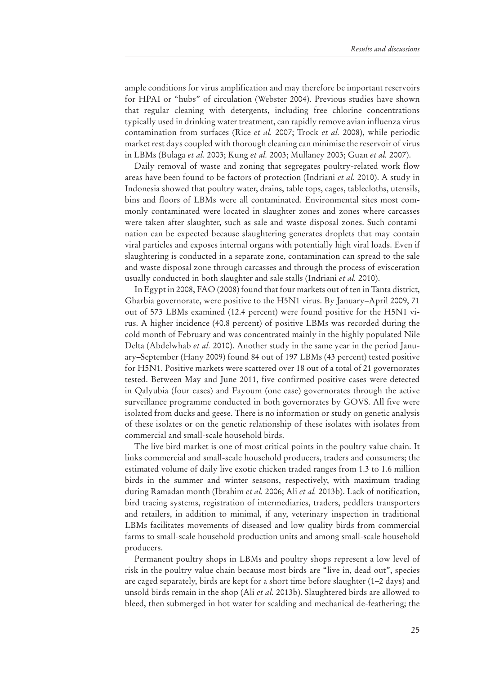ample conditions for virus amplification and may therefore be important reservoirs for HPAI or "hubs" of circulation (Webster 2004). Previous studies have shown that regular cleaning with detergents, including free chlorine concentrations typically used in drinking water treatment, can rapidly remove avian influenza virus contamination from surfaces (Rice *et al.* 2007; Trock *et al.* 2008), while periodic market rest days coupled with thorough cleaning can minimise the reservoir of virus in LBMs (Bulaga *et al.* 2003; Kung *et al.* 2003; Mullaney 2003; Guan *et al.* 2007).

Daily removal of waste and zoning that segregates poultry-related work flow areas have been found to be factors of protection (Indriani *et al.* 2010). A study in Indonesia showed that poultry water, drains, table tops, cages, tablecloths, utensils, bins and floors of LBMs were all contaminated. Environmental sites most commonly contaminated were located in slaughter zones and zones where carcasses were taken after slaughter, such as sale and waste disposal zones. Such contamination can be expected because slaughtering generates droplets that may contain viral particles and exposes internal organs with potentially high viral loads. Even if slaughtering is conducted in a separate zone, contamination can spread to the sale and waste disposal zone through carcasses and through the process of evisceration usually conducted in both slaughter and sale stalls (Indriani *et al.* 2010).

In Egypt in 2008, FAO (2008) found that four markets out of ten in Tanta district, Gharbia governorate, were positive to the H5N1 virus. By January–April 2009, 71 out of 573 LBMs examined (12.4 percent) were found positive for the H5N1 virus. A higher incidence (40.8 percent) of positive LBMs was recorded during the cold month of February and was concentrated mainly in the highly populated Nile Delta (Abdelwhab *et al.* 2010). Another study in the same year in the period January–September (Hany 2009) found 84 out of 197 LBMs (43 percent) tested positive for H5N1. Positive markets were scattered over 18 out of a total of 21 governorates tested. Between May and June 2011, five confirmed positive cases were detected in Qalyubia (four cases) and Fayoum (one case) governorates through the active surveillance programme conducted in both governorates by GOVS. All five were isolated from ducks and geese. There is no information or study on genetic analysis of these isolates or on the genetic relationship of these isolates with isolates from commercial and small-scale household birds.

The live bird market is one of most critical points in the poultry value chain. It links commercial and small-scale household producers, traders and consumers; the estimated volume of daily live exotic chicken traded ranges from 1.3 to 1.6 million birds in the summer and winter seasons, respectively, with maximum trading during Ramadan month (Ibrahim *et al.* 2006; Ali *et al.* 2013b). Lack of notification, bird tracing systems, registration of intermediaries, traders, peddlers transporters and retailers, in addition to minimal, if any, veterinary inspection in traditional LBMs facilitates movements of diseased and low quality birds from commercial farms to small-scale household production units and among small-scale household producers.

Permanent poultry shops in LBMs and poultry shops represent a low level of risk in the poultry value chain because most birds are "live in, dead out", species are caged separately, birds are kept for a short time before slaughter (1–2 days) and unsold birds remain in the shop (Ali *et al.* 2013b). Slaughtered birds are allowed to bleed, then submerged in hot water for scalding and mechanical de-feathering; the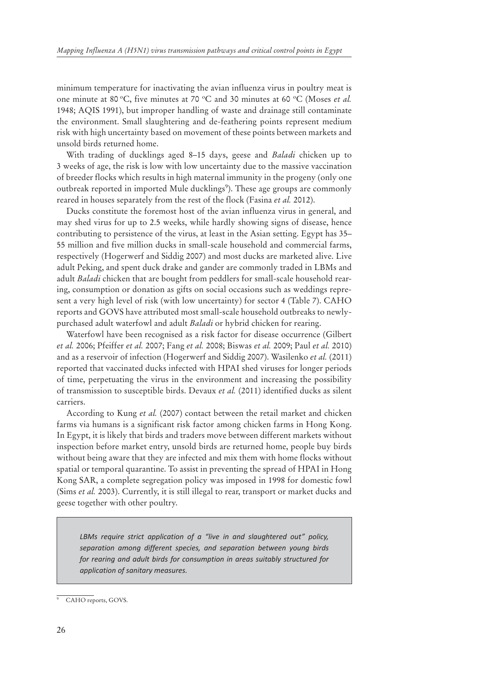minimum temperature for inactivating the avian influenza virus in poultry meat is one minute at 80 °C, five minutes at 70 °C and 30 minutes at 60 °C (Moses *et al.* 1948; AQIS 1991), but improper handling of waste and drainage still contaminate the environment. Small slaughtering and de-feathering points represent medium risk with high uncertainty based on movement of these points between markets and unsold birds returned home.

With trading of ducklings aged 8–15 days, geese and *Baladi* chicken up to 3 weeks of age, the risk is low with low uncertainty due to the massive vaccination of breeder flocks which results in high maternal immunity in the progeny (only one outbreak reported in imported Mule ducklings<sup>9</sup>). These age groups are commonly reared in houses separately from the rest of the flock (Fasina *et al.* 2012).

Ducks constitute the foremost host of the avian influenza virus in general, and may shed virus for up to 2.5 weeks, while hardly showing signs of disease, hence contributing to persistence of the virus, at least in the Asian setting. Egypt has 35– 55 million and five million ducks in small-scale household and commercial farms, respectively (Hogerwerf and Siddig 2007) and most ducks are marketed alive. Live adult Peking, and spent duck drake and gander are commonly traded in LBMs and adult *Baladi* chicken that are bought from peddlers for small-scale household rearing, consumption or donation as gifts on social occasions such as weddings represent a very high level of risk (with low uncertainty) for sector 4 (Table 7). CAHO reports and GOVS have attributed most small-scale household outbreaks to newlypurchased adult waterfowl and adult *Baladi* or hybrid chicken for rearing.

Waterfowl have been recognised as a risk factor for disease occurrence (Gilbert *et al.* 2006; Pfeiffer *et al.* 2007; Fang *et al.* 2008; Biswas *et al.* 2009; Paul *et al.* 2010) and as a reservoir of infection (Hogerwerf and Siddig 2007). Wasilenko *et al.* (2011) reported that vaccinated ducks infected with HPAI shed viruses for longer periods of time, perpetuating the virus in the environment and increasing the possibility of transmission to susceptible birds. Devaux *et al.* (2011) identified ducks as silent carriers.

According to Kung *et al.* (2007) contact between the retail market and chicken farms via humans is a significant risk factor among chicken farms in Hong Kong. In Egypt, it is likely that birds and traders move between different markets without inspection before market entry, unsold birds are returned home, people buy birds without being aware that they are infected and mix them with home flocks without spatial or temporal quarantine. To assist in preventing the spread of HPAI in Hong Kong SAR, a complete segregation policy was imposed in 1998 for domestic fowl (Sims *et al.* 2003). Currently, it is still illegal to rear, transport or market ducks and geese together with other poultry.

*LBMs require strict application of a "live in and slaughtered out" policy, separation among different species, and separation between young birds for rearing and adult birds for consumption in areas suitably structured for application of sanitary measures.*

<sup>9</sup> CAHO reports, GOVS.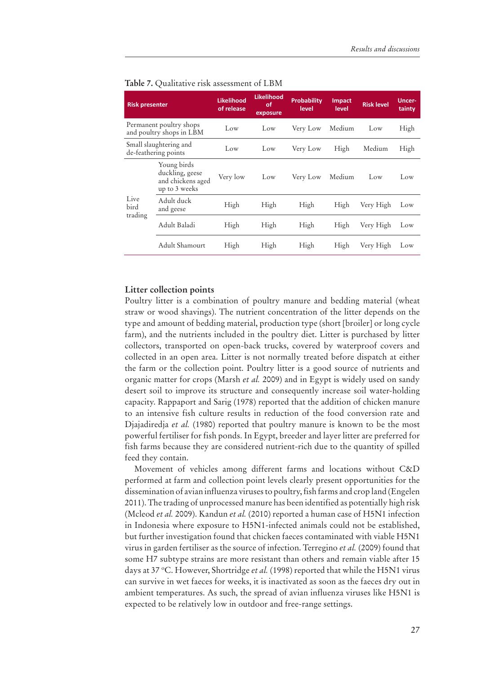| <b>Risk presenter</b>   |                                                                      | <b>Likelihood</b><br>of release | <b>Likelihood</b><br>οf<br>exposure | <b>Probability</b><br>level | <b>Impact</b><br>level | <b>Risk level</b> | Uncer-<br>tainty |
|-------------------------|----------------------------------------------------------------------|---------------------------------|-------------------------------------|-----------------------------|------------------------|-------------------|------------------|
|                         | Permanent poultry shops<br>and poultry shops in LBM                  | Low                             | Low                                 | Medium<br>Very Low<br>Low   |                        | High              |                  |
|                         | Small slaughtering and<br>de-feathering points                       |                                 | Low                                 | Very Low                    | High                   | Medium            | High             |
|                         | Young birds<br>duckling, geese<br>and chickens aged<br>up to 3 weeks | Very low                        | Low                                 | Very Low                    | Medium                 | Low               | Low              |
| Live<br>bird<br>trading | Adult duck<br>and geese                                              | High                            | High                                | High                        | High                   | Very High         | Low              |
|                         | Adult Baladi                                                         | High                            | High                                | High                        | High                   | Very High         | Low              |
|                         | Adult Shamourt                                                       | High                            | High                                | High                        | High                   | Verv High         | Low              |

|  |  |  |  | Table 7. Qualitative risk assessment of LBM |  |  |
|--|--|--|--|---------------------------------------------|--|--|
|--|--|--|--|---------------------------------------------|--|--|

#### **Litter collection points**

Poultry litter is a combination of poultry manure and bedding material (wheat straw or wood shavings). The nutrient concentration of the litter depends on the type and amount of bedding material, production type (short [broiler] or long cycle farm), and the nutrients included in the poultry diet. Litter is purchased by litter collectors, transported on open-back trucks, covered by waterproof covers and collected in an open area. Litter is not normally treated before dispatch at either the farm or the collection point. Poultry litter is a good source of nutrients and organic matter for crops (Marsh *et al.* 2009) and in Egypt is widely used on sandy desert soil to improve its structure and consequently increase soil water-holding capacity. Rappaport and Sarig (1978) reported that the addition of chicken manure to an intensive fish culture results in reduction of the food conversion rate and Djajadiredja *et al.* (1980) reported that poultry manure is known to be the most powerful fertiliser for fish ponds. In Egypt, breeder and layer litter are preferred for fish farms because they are considered nutrient-rich due to the quantity of spilled feed they contain.

Movement of vehicles among different farms and locations without C&D performed at farm and collection point levels clearly present opportunities for the dissemination of avian influenza viruses to poultry, fish farms and crop land (Engelen 2011). The trading of unprocessed manure has been identified as potentially high risk (Mcleod *et al.* 2009). Kandun *et al.* (2010) reported a human case of H5N1 infection in Indonesia where exposure to H5N1-infected animals could not be established, but further investigation found that chicken faeces contaminated with viable H5N1 virus in garden fertiliser as the source of infection. Terregino *et al.* (2009) found that some H7 subtype strains are more resistant than others and remain viable after 15 days at 37 °C. However, Shortridge et al. (1998) reported that while the H5N1 virus can survive in wet faeces for weeks, it is inactivated as soon as the faeces dry out in ambient temperatures. As such, the spread of avian influenza viruses like H5N1 is expected to be relatively low in outdoor and free-range settings.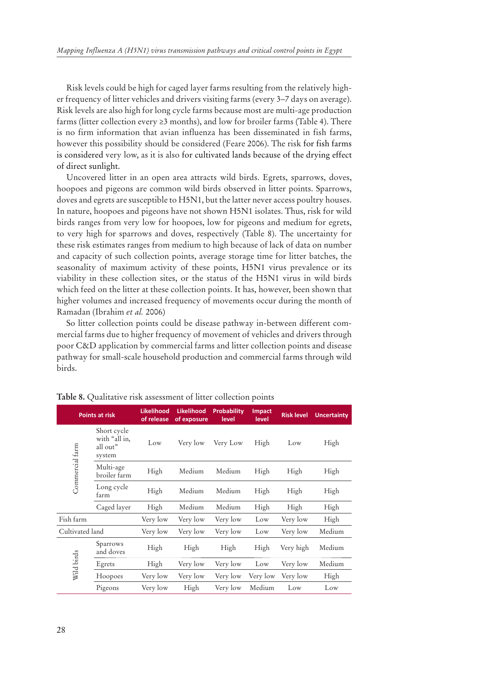Risk levels could be high for caged layer farms resulting from the relatively higher frequency of litter vehicles and drivers visiting farms (every 3–7 days on average). Risk levels are also high for long cycle farms because most are multi-age production farms (litter collection every  $\geq 3$  months), and low for broiler farms (Table 4). There is no firm information that avian influenza has been disseminated in fish farms, however this possibility should be considered (Feare 2006). The risk for fish farms is considered very low, as it is also for cultivated lands because of the drying effect of direct sunlight.

Uncovered litter in an open area attracts wild birds. Egrets, sparrows, doves, hoopoes and pigeons are common wild birds observed in litter points. Sparrows, doves and egrets are susceptible to H5N1, but the latter never access poultry houses. In nature, hoopoes and pigeons have not shown H5N1 isolates. Thus, risk for wild birds ranges from very low for hoopoes, low for pigeons and medium for egrets, to very high for sparrows and doves, respectively (Table 8). The uncertainty for these risk estimates ranges from medium to high because of lack of data on number and capacity of such collection points, average storage time for litter batches, the seasonality of maximum activity of these points, H5N1 virus prevalence or its viability in these collection sites, or the status of the H5N1 virus in wild birds which feed on the litter at these collection points. It has, however, been shown that higher volumes and increased frequency of movements occur during the month of Ramadan (Ibrahim *et al.* 2006)

So litter collection points could be disease pathway in-between different commercial farms due to higher frequency of movement of vehicles and drivers through poor C&D application by commercial farms and litter collection points and disease pathway for small-scale household production and commercial farms through wild birds.

| <b>Points at risk</b> |                                                    | <b>Likelihood</b><br>of release | <b>Likelihood</b><br>of exposure | <b>Probability</b><br>level | <b>Impact</b><br>level | <b>Risk level</b> | <b>Uncertainty</b> |
|-----------------------|----------------------------------------------------|---------------------------------|----------------------------------|-----------------------------|------------------------|-------------------|--------------------|
| Commercial farm       | Short cycle<br>with "all in,<br>all out"<br>system | Low                             | Very low                         | Very Low                    | High                   | Low               | High               |
|                       | Multi-age<br>broiler farm                          | High                            | Medium                           | Medium                      | High                   | High              | High               |
|                       | Long cycle<br>farm                                 | High                            | Medium                           | Medium                      | High                   | High              | High               |
|                       | Caged layer                                        | High                            | Medium                           | Medium                      | High                   | High              | High               |
| Fish farm             |                                                    | Very low                        | Very low                         | Very low                    | Low                    | Very low          | High               |
| Cultivated land       |                                                    | Very low                        | Very low                         | Very low                    | Low                    | Very low          | Medium             |
| Wild birds            | Sparrows<br>and doves                              | High                            | High                             | High                        | High                   | Very high         | Medium             |
|                       | Egrets                                             | High                            | Very low                         | Very low                    | Low                    | Very low          | Medium             |
|                       | Hoopoes                                            | Very low                        | Very low                         | Very low                    | Very low               | Very low          | High               |
|                       | Pigeons                                            | Very low                        | High                             | Very low                    | Medium                 | Low               | Low                |

**Table 8.** Qualitative risk assessment of litter collection points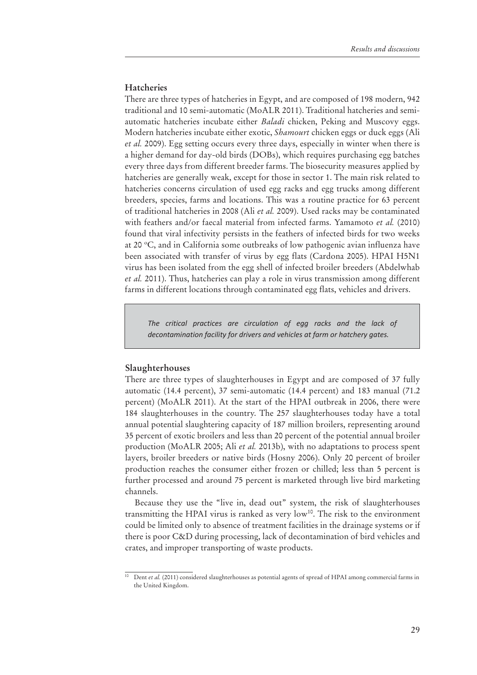#### **Hatcheries**

There are three types of hatcheries in Egypt, and are composed of 198 modern, 942 traditional and 10 semi-automatic (MoALR 2011). Traditional hatcheries and semiautomatic hatcheries incubate either *Baladi* chicken, Peking and Muscovy eggs. Modern hatcheries incubate either exotic, *Shamourt* chicken eggs or duck eggs (Ali *et al.* 2009). Egg setting occurs every three days, especially in winter when there is a higher demand for day-old birds (DOBs), which requires purchasing egg batches every three days from different breeder farms. The biosecurity measures applied by hatcheries are generally weak, except for those in sector 1. The main risk related to hatcheries concerns circulation of used egg racks and egg trucks among different breeders, species, farms and locations. This was a routine practice for 63 percent of traditional hatcheries in 2008 (Ali *et al.* 2009). Used racks may be contaminated with feathers and/or faecal material from infected farms. Yamamoto *et al.* (2010) found that viral infectivity persists in the feathers of infected birds for two weeks at 20 °C, and in California some outbreaks of low pathogenic avian influenza have been associated with transfer of virus by egg flats (Cardona 2005). HPAI H5N1 virus has been isolated from the egg shell of infected broiler breeders (Abdelwhab *et al.* 2011). Thus, hatcheries can play a role in virus transmission among different farms in different locations through contaminated egg flats, vehicles and drivers.

*The critical practices are circulation of egg racks and the lack of decontamination facility for drivers and vehicles at farm or hatchery gates.*

#### **Slaughterhouses**

There are three types of slaughterhouses in Egypt and are composed of 37 fully automatic (14.4 percent), 37 semi-automatic (14.4 percent) and 183 manual (71.2 percent) (MoALR 2011). At the start of the HPAI outbreak in 2006, there were 184 slaughterhouses in the country. The 257 slaughterhouses today have a total annual potential slaughtering capacity of 187 million broilers, representing around 35 percent of exotic broilers and less than 20 percent of the potential annual broiler production (MoALR 2005; Ali *et al.* 2013b), with no adaptations to process spent layers, broiler breeders or native birds (Hosny 2006). Only 20 percent of broiler production reaches the consumer either frozen or chilled; less than 5 percent is further processed and around 75 percent is marketed through live bird marketing channels.

Because they use the "live in, dead out" system, the risk of slaughterhouses transmitting the HPAI virus is ranked as very  $low^{10}$ . The risk to the environment could be limited only to absence of treatment facilities in the drainage systems or if there is poor C&D during processing, lack of decontamination of bird vehicles and crates, and improper transporting of waste products.

<sup>10</sup> Dent *et al.* (2011) considered slaughterhouses as potential agents of spread of HPAI among commercial farms in the United Kingdom.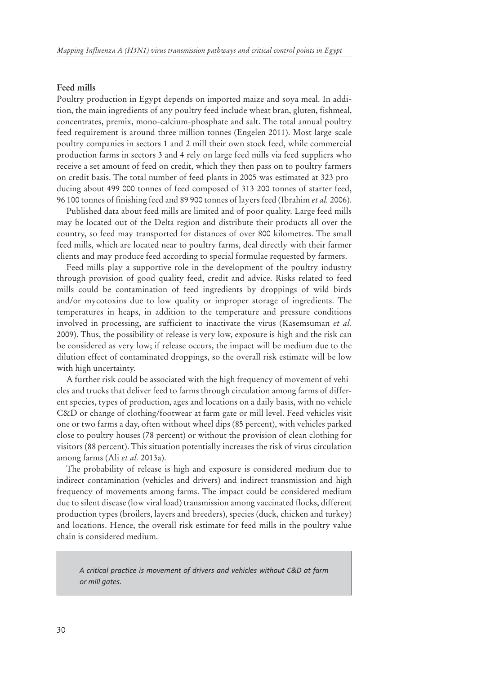#### **Feed mills**

Poultry production in Egypt depends on imported maize and soya meal. In addition, the main ingredients of any poultry feed include wheat bran, gluten, fishmeal, concentrates, premix, mono-calcium-phosphate and salt. The total annual poultry feed requirement is around three million tonnes (Engelen 2011). Most large-scale poultry companies in sectors 1 and 2 mill their own stock feed, while commercial production farms in sectors 3 and 4 rely on large feed mills via feed suppliers who receive a set amount of feed on credit, which they then pass on to poultry farmers on credit basis. The total number of feed plants in 2005 was estimated at 323 producing about 499 000 tonnes of feed composed of 313 200 tonnes of starter feed, 96 100 tonnes of finishing feed and 89 900 tonnes of layers feed (Ibrahim *et al.* 2006).

Published data about feed mills are limited and of poor quality. Large feed mills may be located out of the Delta region and distribute their products all over the country, so feed may transported for distances of over 800 kilometres. The small feed mills, which are located near to poultry farms, deal directly with their farmer clients and may produce feed according to special formulae requested by farmers.

Feed mills play a supportive role in the development of the poultry industry through provision of good quality feed, credit and advice. Risks related to feed mills could be contamination of feed ingredients by droppings of wild birds and/or mycotoxins due to low quality or improper storage of ingredients. The temperatures in heaps, in addition to the temperature and pressure conditions involved in processing, are sufficient to inactivate the virus (Kasemsuman *et al.* 2009). Thus, the possibility of release is very low, exposure is high and the risk can be considered as very low; if release occurs, the impact will be medium due to the dilution effect of contaminated droppings, so the overall risk estimate will be low with high uncertainty.

A further risk could be associated with the high frequency of movement of vehicles and trucks that deliver feed to farms through circulation among farms of different species, types of production, ages and locations on a daily basis, with no vehicle C&D or change of clothing/footwear at farm gate or mill level. Feed vehicles visit one or two farms a day, often without wheel dips (85 percent), with vehicles parked close to poultry houses (78 percent) or without the provision of clean clothing for visitors (88 percent). This situation potentially increases the risk of virus circulation among farms (Ali *et al.* 2013a).

The probability of release is high and exposure is considered medium due to indirect contamination (vehicles and drivers) and indirect transmission and high frequency of movements among farms. The impact could be considered medium due to silent disease (low viral load) transmission among vaccinated flocks, different production types (broilers, layers and breeders), species (duck, chicken and turkey) and locations. Hence, the overall risk estimate for feed mills in the poultry value chain is considered medium.

*A critical practice is movement of drivers and vehicles without C&D at farm or mill gates.*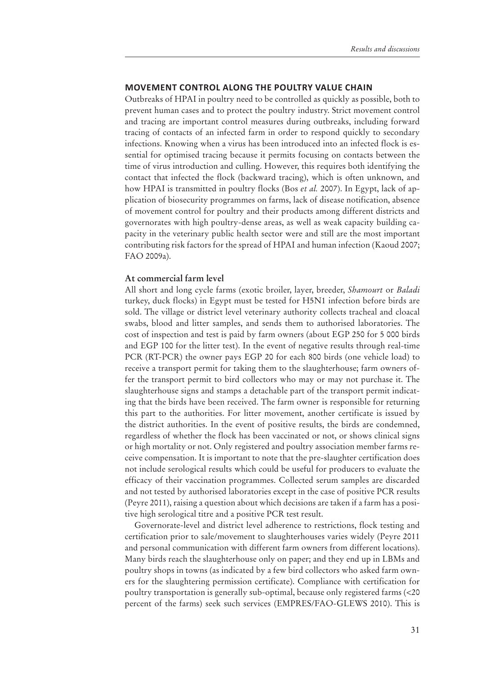#### **MOVEMENT CONTROL ALONG THE POULTRY VALUE CHAIN**

Outbreaks of HPAI in poultry need to be controlled as quickly as possible, both to prevent human cases and to protect the poultry industry. Strict movement control and tracing are important control measures during outbreaks, including forward tracing of contacts of an infected farm in order to respond quickly to secondary infections. Knowing when a virus has been introduced into an infected flock is essential for optimised tracing because it permits focusing on contacts between the time of virus introduction and culling. However, this requires both identifying the contact that infected the flock (backward tracing), which is often unknown, and how HPAI is transmitted in poultry flocks (Bos *et al.* 2007). In Egypt, lack of application of biosecurity programmes on farms, lack of disease notification, absence of movement control for poultry and their products among different districts and governorates with high poultry-dense areas, as well as weak capacity building capacity in the veterinary public health sector were and still are the most important contributing risk factors for the spread of HPAI and human infection (Kaoud 2007; FAO 2009a).

#### **At commercial farm level**

All short and long cycle farms (exotic broiler, layer, breeder, *Shamourt* or *Baladi* turkey, duck flocks) in Egypt must be tested for H5N1 infection before birds are sold. The village or district level veterinary authority collects tracheal and cloacal swabs, blood and litter samples, and sends them to authorised laboratories. The cost of inspection and test is paid by farm owners (about EGP 250 for 5 000 birds and EGP 100 for the litter test). In the event of negative results through real-time PCR (RT-PCR) the owner pays EGP 20 for each 800 birds (one vehicle load) to receive a transport permit for taking them to the slaughterhouse; farm owners offer the transport permit to bird collectors who may or may not purchase it. The slaughterhouse signs and stamps a detachable part of the transport permit indicating that the birds have been received. The farm owner is responsible for returning this part to the authorities. For litter movement, another certificate is issued by the district authorities. In the event of positive results, the birds are condemned, regardless of whether the flock has been vaccinated or not, or shows clinical signs or high mortality or not. Only registered and poultry association member farms receive compensation. It is important to note that the pre-slaughter certification does not include serological results which could be useful for producers to evaluate the efficacy of their vaccination programmes. Collected serum samples are discarded and not tested by authorised laboratories except in the case of positive PCR results (Peyre 2011), raising a question about which decisions are taken if a farm has a positive high serological titre and a positive PCR test result.

Governorate-level and district level adherence to restrictions, flock testing and certification prior to sale/movement to slaughterhouses varies widely (Peyre 2011 and personal communication with different farm owners from different locations). Many birds reach the slaughterhouse only on paper; and they end up in LBMs and poultry shops in towns (as indicated by a few bird collectors who asked farm owners for the slaughtering permission certificate). Compliance with certification for poultry transportation is generally sub-optimal, because only registered farms (<20 percent of the farms) seek such services (EMPRES/FAO-GLEWS 2010). This is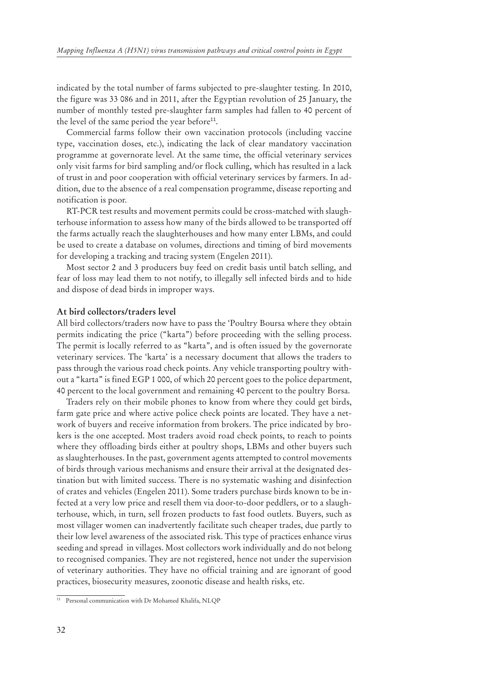indicated by the total number of farms subjected to pre-slaughter testing. In 2010, the figure was 33 086 and in 2011, after the Egyptian revolution of 25 January, the number of monthly tested pre-slaughter farm samples had fallen to 40 percent of the level of the same period the year before $^{11}$ .

Commercial farms follow their own vaccination protocols (including vaccine type, vaccination doses, etc.), indicating the lack of clear mandatory vaccination programme at governorate level. At the same time, the official veterinary services only visit farms for bird sampling and/or flock culling, which has resulted in a lack of trust in and poor cooperation with official veterinary services by farmers. In addition, due to the absence of a real compensation programme, disease reporting and notification is poor.

RT-PCR test results and movement permits could be cross-matched with slaughterhouse information to assess how many of the birds allowed to be transported off the farms actually reach the slaughterhouses and how many enter LBMs, and could be used to create a database on volumes, directions and timing of bird movements for developing a tracking and tracing system (Engelen 2011).

Most sector 2 and 3 producers buy feed on credit basis until batch selling, and fear of loss may lead them to not notify, to illegally sell infected birds and to hide and dispose of dead birds in improper ways.

#### **At bird collectors/traders level**

All bird collectors/traders now have to pass the 'Poultry Boursa where they obtain permits indicating the price ("karta") before proceeding with the selling process. The permit is locally referred to as "karta", and is often issued by the governorate veterinary services. The 'karta' is a necessary document that allows the traders to pass through the various road check points. Any vehicle transporting poultry without a "karta" is fined EGP 1 000, of which 20 percent goes to the police department, 40 percent to the local government and remaining 40 percent to the poultry Borsa.

Traders rely on their mobile phones to know from where they could get birds, farm gate price and where active police check points are located. They have a network of buyers and receive information from brokers. The price indicated by brokers is the one accepted. Most traders avoid road check points, to reach to points where they offloading birds either at poultry shops, LBMs and other buyers such as slaughterhouses. In the past, government agents attempted to control movements of birds through various mechanisms and ensure their arrival at the designated destination but with limited success. There is no systematic washing and disinfection of crates and vehicles (Engelen 2011). Some traders purchase birds known to be infected at a very low price and resell them via door-to-door peddlers, or to a slaughterhouse, which, in turn, sell frozen products to fast food outlets. Buyers, such as most villager women can inadvertently facilitate such cheaper trades, due partly to their low level awareness of the associated risk. This type of practices enhance virus seeding and spread in villages. Most collectors work individually and do not belong to recognised companies. They are not registered, hence not under the supervision of veterinary authorities. They have no official training and are ignorant of good practices, biosecurity measures, zoonotic disease and health risks, etc.

<sup>&</sup>lt;sup>11</sup> Personal communication with Dr Mohamed Khalifa, NLQP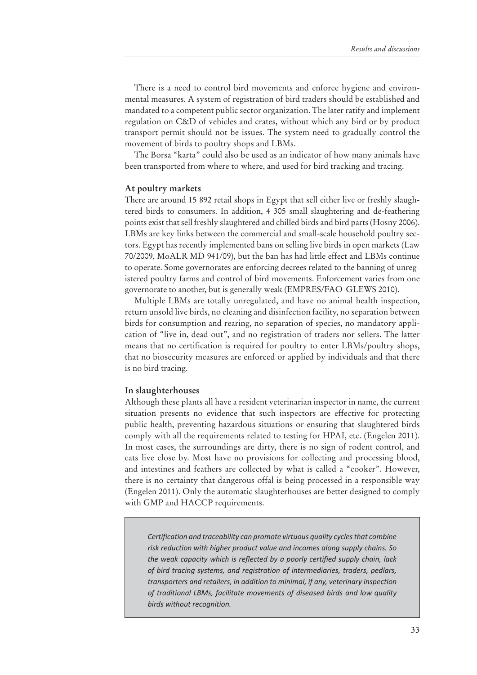There is a need to control bird movements and enforce hygiene and environmental measures. A system of registration of bird traders should be established and mandated to a competent public sector organization. The later ratify and implement regulation on C&D of vehicles and crates, without which any bird or by product transport permit should not be issues. The system need to gradually control the movement of birds to poultry shops and LBMs.

The Borsa "karta" could also be used as an indicator of how many animals have been transported from where to where, and used for bird tracking and tracing.

#### **At poultry markets**

There are around 15 892 retail shops in Egypt that sell either live or freshly slaughtered birds to consumers. In addition, 4 305 small slaughtering and de-feathering points exist that sell freshly slaughtered and chilled birds and bird parts (Hosny 2006). LBMs are key links between the commercial and small-scale household poultry sectors. Egypt has recently implemented bans on selling live birds in open markets (Law 70/2009, MoALR MD 941/09), but the ban has had little effect and LBMs continue to operate. Some governorates are enforcing decrees related to the banning of unregistered poultry farms and control of bird movements. Enforcement varies from one governorate to another, but is generally weak (EMPRES/FAO-GLEWS 2010).

Multiple LBMs are totally unregulated, and have no animal health inspection, return unsold live birds, no cleaning and disinfection facility, no separation between birds for consumption and rearing, no separation of species, no mandatory application of "live in, dead out", and no registration of traders nor sellers. The latter means that no certification is required for poultry to enter LBMs/poultry shops, that no biosecurity measures are enforced or applied by individuals and that there is no bird tracing.

#### **In slaughterhouses**

Although these plants all have a resident veterinarian inspector in name, the current situation presents no evidence that such inspectors are effective for protecting public health, preventing hazardous situations or ensuring that slaughtered birds comply with all the requirements related to testing for HPAI, etc. (Engelen 2011). In most cases, the surroundings are dirty, there is no sign of rodent control, and cats live close by. Most have no provisions for collecting and processing blood, and intestines and feathers are collected by what is called a "cooker". However, there is no certainty that dangerous offal is being processed in a responsible way (Engelen 2011). Only the automatic slaughterhouses are better designed to comply with GMP and HACCP requirements.

*Certification and traceability can promote virtuous quality cycles that combine risk reduction with higher product value and incomes along supply chains. So the weak capacity which is reflected by a poorly certified supply chain, lack of bird tracing systems, and registration of intermediaries, traders, pedlars, transporters and retailers, in addition to minimal, if any, veterinary inspection of traditional LBMs, facilitate movements of diseased birds and low quality birds without recognition.*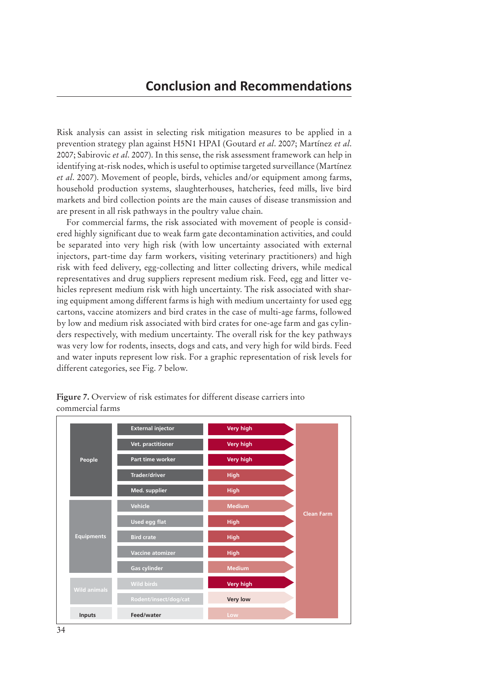Risk analysis can assist in selecting risk mitigation measures to be applied in a prevention strategy plan against H5N1 HPAI (Goutard *et al*. 2007; Martínez *et al*. 2007; Sabirovic *et al*. 2007). In this sense, the risk assessment framework can help in identifying at-risk nodes, which is useful to optimise targeted surveillance (Martínez *et al*. 2007). Movement of people, birds, vehicles and/or equipment among farms, household production systems, slaughterhouses, hatcheries, feed mills, live bird markets and bird collection points are the main causes of disease transmission and are present in all risk pathways in the poultry value chain.

For commercial farms, the risk associated with movement of people is considered highly significant due to weak farm gate decontamination activities, and could be separated into very high risk (with low uncertainty associated with external injectors, part-time day farm workers, visiting veterinary practitioners) and high risk with feed delivery, egg-collecting and litter collecting drivers, while medical representatives and drug suppliers represent medium risk. Feed, egg and litter vehicles represent medium risk with high uncertainty. The risk associated with sharing equipment among different farms is high with medium uncertainty for used egg cartons, vaccine atomizers and bird crates in the case of multi-age farms, followed by low and medium risk associated with bird crates for one-age farm and gas cylinders respectively, with medium uncertainty. The overall risk for the key pathways was very low for rodents, insects, dogs and cats, and very high for wild birds. Feed and water inputs represent low risk. For a graphic representation of risk levels for different categories, see Fig. 7 below.



Figure 7. Overview of risk estimates for different disease carriers into commercial farms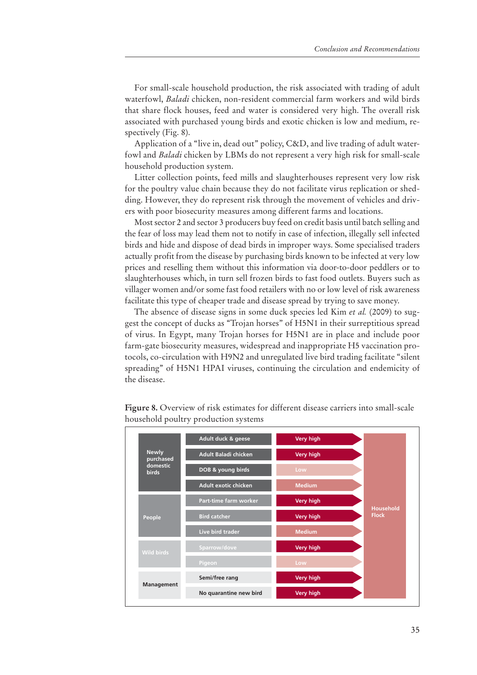For small-scale household production, the risk associated with trading of adult waterfowl, *Baladi* chicken, non-resident commercial farm workers and wild birds that share flock houses, feed and water is considered very high. The overall risk associated with purchased young birds and exotic chicken is low and medium, respectively (Fig. 8).

Application of a "live in, dead out" policy, C&D, and live trading of adult waterfowl and *Baladi* chicken by LBMs do not represent a very high risk for small-scale household production system.

Litter collection points, feed mills and slaughterhouses represent very low risk for the poultry value chain because they do not facilitate virus replication or shedding. However, they do represent risk through the movement of vehicles and drivers with poor biosecurity measures among different farms and locations.

Most sector 2 and sector 3 producers buy feed on credit basis until batch selling and the fear of loss may lead them not to notify in case of infection, illegally sell infected birds and hide and dispose of dead birds in improper ways. Some specialised traders actually profit from the disease by purchasing birds known to be infected at very low prices and reselling them without this information via door-to-door peddlers or to slaughterhouses which, in turn sell frozen birds to fast food outlets. Buyers such as villager women and/or some fast food retailers with no or low level of risk awareness facilitate this type of cheaper trade and disease spread by trying to save money.

The absence of disease signs in some duck species led Kim *et al.* (2009) to suggest the concept of ducks as ''Trojan horses'' of H5N1 in their surreptitious spread of virus. In Egypt, many Trojan horses for H5N1 are in place and include poor farm-gate biosecurity measures, widespread and inappropriate H5 vaccination protocols, co-circulation with H9N2 and unregulated live bird trading facilitate ''silent spreading'' of H5N1 HPAI viruses, continuing the circulation and endemicity of the disease.



Figure 8. Overview of risk estimates for different disease carriers into small-scale household poultry production systems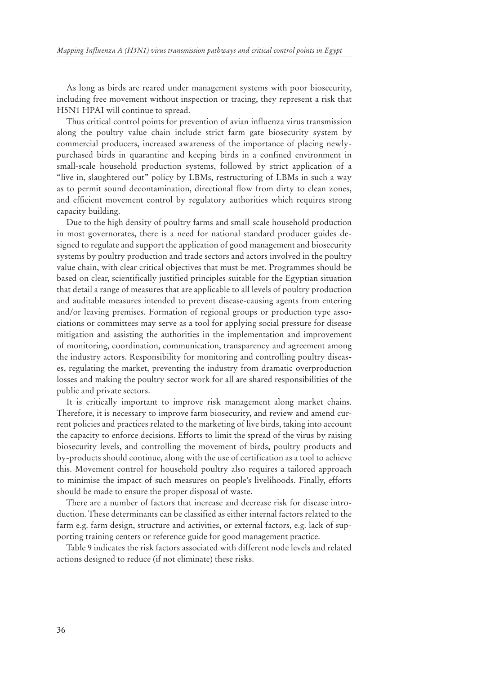As long as birds are reared under management systems with poor biosecurity, including free movement without inspection or tracing, they represent a risk that H5N1 HPAI will continue to spread.

Thus critical control points for prevention of avian influenza virus transmission along the poultry value chain include strict farm gate biosecurity system by commercial producers, increased awareness of the importance of placing newlypurchased birds in quarantine and keeping birds in a confined environment in small-scale household production systems, followed by strict application of a "live in, slaughtered out" policy by LBMs, restructuring of LBMs in such a way as to permit sound decontamination, directional flow from dirty to clean zones, and efficient movement control by regulatory authorities which requires strong capacity building.

Due to the high density of poultry farms and small-scale household production in most governorates, there is a need for national standard producer guides designed to regulate and support the application of good management and biosecurity systems by poultry production and trade sectors and actors involved in the poultry value chain, with clear critical objectives that must be met. Programmes should be based on clear, scientifically justified principles suitable for the Egyptian situation that detail a range of measures that are applicable to all levels of poultry production and auditable measures intended to prevent disease-causing agents from entering and/or leaving premises. Formation of regional groups or production type associations or committees may serve as a tool for applying social pressure for disease mitigation and assisting the authorities in the implementation and improvement of monitoring, coordination, communication, transparency and agreement among the industry actors. Responsibility for monitoring and controlling poultry diseases, regulating the market, preventing the industry from dramatic overproduction losses and making the poultry sector work for all are shared responsibilities of the public and private sectors.

It is critically important to improve risk management along market chains. Therefore, it is necessary to improve farm biosecurity, and review and amend current policies and practices related to the marketing of live birds, taking into account the capacity to enforce decisions. Efforts to limit the spread of the virus by raising biosecurity levels, and controlling the movement of birds, poultry products and by-products should continue, along with the use of certification as a tool to achieve this. Movement control for household poultry also requires a tailored approach to minimise the impact of such measures on people's livelihoods. Finally, efforts should be made to ensure the proper disposal of waste.

There are a number of factors that increase and decrease risk for disease introduction. These determinants can be classified as either internal factors related to the farm e.g. farm design, structure and activities, or external factors, e.g. lack of supporting training centers or reference guide for good management practice.

Table 9 indicates the risk factors associated with different node levels and related actions designed to reduce (if not eliminate) these risks.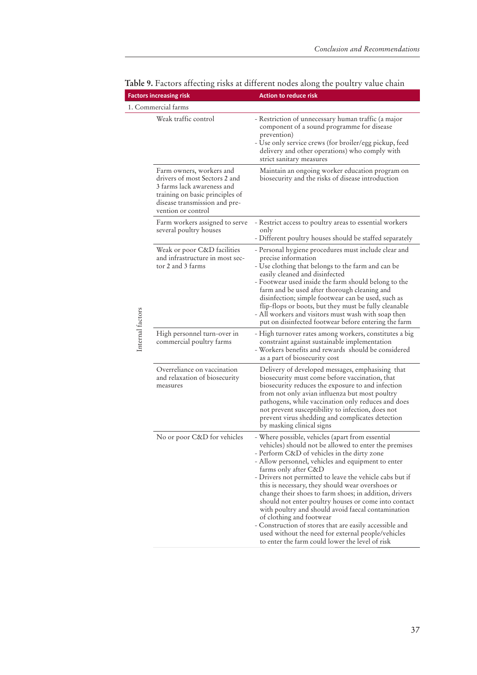|                  | <b>Factors increasing risk</b>                                                                                                                                                    | <b>Action to reduce risk</b>                                                                                                                                                                                                                                                                                                                                                                                                                                                                                                                                                                                                                                                                                                   |  |  |
|------------------|-----------------------------------------------------------------------------------------------------------------------------------------------------------------------------------|--------------------------------------------------------------------------------------------------------------------------------------------------------------------------------------------------------------------------------------------------------------------------------------------------------------------------------------------------------------------------------------------------------------------------------------------------------------------------------------------------------------------------------------------------------------------------------------------------------------------------------------------------------------------------------------------------------------------------------|--|--|
|                  | 1. Commercial farms                                                                                                                                                               |                                                                                                                                                                                                                                                                                                                                                                                                                                                                                                                                                                                                                                                                                                                                |  |  |
|                  | Weak traffic control                                                                                                                                                              | - Restriction of unnecessary human traffic (a major<br>component of a sound programme for disease<br>prevention)<br>- Use only service crews (for broiler/egg pickup, feed<br>delivery and other operations) who comply with<br>strict sanitary measures                                                                                                                                                                                                                                                                                                                                                                                                                                                                       |  |  |
| Internal factors | Farm owners, workers and<br>drivers of most Sectors 2 and<br>3 farms lack awareness and<br>training on basic principles of<br>disease transmission and pre-<br>vention or control | Maintain an ongoing worker education program on<br>biosecurity and the risks of disease introduction                                                                                                                                                                                                                                                                                                                                                                                                                                                                                                                                                                                                                           |  |  |
|                  | Farm workers assigned to serve<br>several poultry houses                                                                                                                          | - Restrict access to poultry areas to essential workers<br>only<br>- Different poultry houses should be staffed separately                                                                                                                                                                                                                                                                                                                                                                                                                                                                                                                                                                                                     |  |  |
|                  | Weak or poor C&D facilities<br>and infrastructure in most sec-<br>tor 2 and 3 farms                                                                                               | - Personal hygiene procedures must include clear and<br>precise information<br>- Use clothing that belongs to the farm and can be<br>easily cleaned and disinfected<br>- Footwear used inside the farm should belong to the<br>farm and be used after thorough cleaning and<br>disinfection; simple footwear can be used, such as<br>flip-flops or boots, but they must be fully cleanable<br>- All workers and visitors must wash with soap then<br>put on disinfected footwear before entering the farm                                                                                                                                                                                                                      |  |  |
|                  | High personnel turn-over in<br>commercial poultry farms                                                                                                                           | - High turnover rates among workers, constitutes a big<br>constraint against sustainable implementation<br>- Workers benefits and rewards should be considered<br>as a part of biosecurity cost                                                                                                                                                                                                                                                                                                                                                                                                                                                                                                                                |  |  |
|                  | Overreliance on vaccination<br>and relaxation of biosecurity<br>measures                                                                                                          | Delivery of developed messages, emphasising that<br>biosecurity must come before vaccination, that<br>biosecurity reduces the exposure to and infection<br>from not only avian influenza but most poultry<br>pathogens, while vaccination only reduces and does<br>not prevent susceptibility to infection, does not<br>prevent virus shedding and complicates detection<br>by masking clinical signs                                                                                                                                                                                                                                                                                                                          |  |  |
|                  | No or poor C&D for vehicles                                                                                                                                                       | - Where possible, vehicles (apart from essential<br>vehicles) should not be allowed to enter the premises<br>- Perform C&D of vehicles in the dirty zone<br>- Allow personnel, vehicles and equipment to enter<br>farms only after C&D<br>- Drivers not permitted to leave the vehicle cabs but if<br>this is necessary, they should wear overshoes or<br>change their shoes to farm shoes; in addition, drivers<br>should not enter poultry houses or come into contact<br>with poultry and should avoid faecal contamination<br>of clothing and footwear<br>- Construction of stores that are easily accessible and<br>used without the need for external people/vehicles<br>to enter the farm could lower the level of risk |  |  |

### **Table 9.** Factors affecting risks at different nodes along the poultry value chain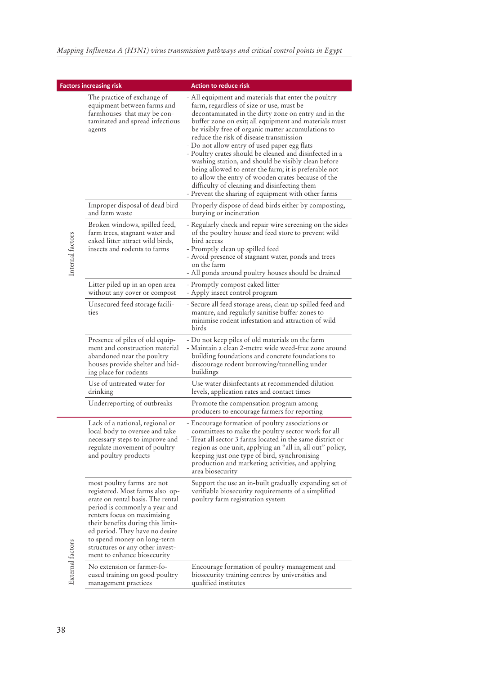|                  | <b>Factors increasing risk</b>                                                                                                                                                                                                                                                                                                             | <b>Action to reduce risk</b>                                                                                                                                                                                                                                                                                                                                                                                                                                                                                                                                                                                                                                                                               |
|------------------|--------------------------------------------------------------------------------------------------------------------------------------------------------------------------------------------------------------------------------------------------------------------------------------------------------------------------------------------|------------------------------------------------------------------------------------------------------------------------------------------------------------------------------------------------------------------------------------------------------------------------------------------------------------------------------------------------------------------------------------------------------------------------------------------------------------------------------------------------------------------------------------------------------------------------------------------------------------------------------------------------------------------------------------------------------------|
|                  | The practice of exchange of<br>equipment between farms and<br>farmhouses that may be con-<br>taminated and spread infectious<br>agents                                                                                                                                                                                                     | - All equipment and materials that enter the poultry<br>farm, regardless of size or use, must be<br>decontaminated in the dirty zone on entry and in the<br>buffer zone on exit; all equipment and materials must<br>be visibly free of organic matter accumulations to<br>reduce the risk of disease transmission<br>- Do not allow entry of used paper egg flats<br>- Poultry crates should be cleaned and disinfected in a<br>washing station, and should be visibly clean before<br>being allowed to enter the farm; it is preferable not<br>to allow the entry of wooden crates because of the<br>difficulty of cleaning and disinfecting them<br>- Prevent the sharing of equipment with other farms |
| Internal factors | Improper disposal of dead bird<br>and farm waste                                                                                                                                                                                                                                                                                           | Properly dispose of dead birds either by composting,<br>burying or incineration                                                                                                                                                                                                                                                                                                                                                                                                                                                                                                                                                                                                                            |
|                  | Broken windows, spilled feed,<br>farm trees, stagnant water and<br>caked litter attract wild birds,<br>insects and rodents to farms                                                                                                                                                                                                        | - Regularly check and repair wire screening on the sides<br>of the poultry house and feed store to prevent wild<br>bird access<br>- Promptly clean up spilled feed<br>- Avoid presence of stagnant water, ponds and trees<br>on the farm<br>- All ponds around poultry houses should be drained                                                                                                                                                                                                                                                                                                                                                                                                            |
|                  | Litter piled up in an open area<br>without any cover or compost                                                                                                                                                                                                                                                                            | - Promptly compost caked litter<br>- Apply insect control program                                                                                                                                                                                                                                                                                                                                                                                                                                                                                                                                                                                                                                          |
|                  | Unsecured feed storage facili-<br>ties                                                                                                                                                                                                                                                                                                     | - Secure all feed storage areas, clean up spilled feed and<br>manure, and regularly sanitise buffer zones to<br>minimise rodent infestation and attraction of wild<br>birds                                                                                                                                                                                                                                                                                                                                                                                                                                                                                                                                |
|                  | Presence of piles of old equip-<br>ment and construction material<br>abandoned near the poultry<br>houses provide shelter and hid-<br>ing place for rodents                                                                                                                                                                                | - Do not keep piles of old materials on the farm<br>- Maintain a clean 2-metre wide weed-free zone around<br>building foundations and concrete foundations to<br>discourage rodent burrowing/tunnelling under<br>buildings                                                                                                                                                                                                                                                                                                                                                                                                                                                                                 |
|                  | Use of untreated water for<br>drinking                                                                                                                                                                                                                                                                                                     | Use water disinfectants at recommended dilution<br>levels, application rates and contact times                                                                                                                                                                                                                                                                                                                                                                                                                                                                                                                                                                                                             |
|                  | Underreporting of outbreaks                                                                                                                                                                                                                                                                                                                | Promote the compensation program among<br>producers to encourage farmers for reporting                                                                                                                                                                                                                                                                                                                                                                                                                                                                                                                                                                                                                     |
|                  | Lack of a national, regional or<br>local body to oversee and take<br>necessary steps to improve and<br>regulate movement of poultry<br>and poultry products                                                                                                                                                                                | - Encourage formation of poultry associations or<br>committees to make the poultry sector work for all<br>- Treat all sector 3 farms located in the same district or<br>region as one unit, applying an "all in, all out" policy,<br>keeping just one type of bird, synchronising<br>production and marketing activities, and applying<br>area biosecurity                                                                                                                                                                                                                                                                                                                                                 |
|                  | most poultry farms are not<br>registered. Most farms also op-<br>erate on rental basis. The rental<br>period is commonly a year and<br>renters focus on maximising<br>their benefits during this limit-<br>ed period. They have no desire<br>to spend money on long-term<br>structures or any other invest-<br>ment to enhance biosecurity | Support the use an in-built gradually expanding set of<br>verifiable biosecurity requirements of a simplified<br>poultry farm registration system                                                                                                                                                                                                                                                                                                                                                                                                                                                                                                                                                          |
| External factors | No extension or farmer-fo-<br>cused training on good poultry<br>management practices                                                                                                                                                                                                                                                       | Encourage formation of poultry management and<br>biosecurity training centres by universities and<br>qualified institutes                                                                                                                                                                                                                                                                                                                                                                                                                                                                                                                                                                                  |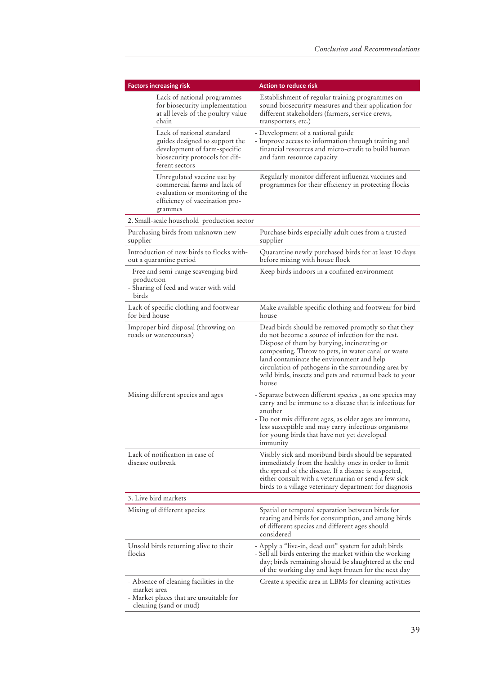| <b>Factors increasing risk</b>                      |                                                                                                                                                 | <b>Action to reduce risk</b>                                                                                                                                                                                                                                                                                                                                                        |  |  |
|-----------------------------------------------------|-------------------------------------------------------------------------------------------------------------------------------------------------|-------------------------------------------------------------------------------------------------------------------------------------------------------------------------------------------------------------------------------------------------------------------------------------------------------------------------------------------------------------------------------------|--|--|
|                                                     | Lack of national programmes<br>for biosecurity implementation<br>at all levels of the poultry value<br>chain                                    | Establishment of regular training programmes on<br>sound biosecurity measures and their application for<br>different stakeholders (farmers, service crews,<br>transporters, etc.)                                                                                                                                                                                                   |  |  |
|                                                     | Lack of national standard<br>guides designed to support the<br>development of farm-specific<br>biosecurity protocols for dif-<br>ferent sectors | - Development of a national guide<br>- Improve access to information through training and<br>financial resources and micro-credit to build human<br>and farm resource capacity                                                                                                                                                                                                      |  |  |
|                                                     | Unregulated vaccine use by<br>commercial farms and lack of<br>evaluation or monitoring of the<br>efficiency of vaccination pro-<br>grammes      | Regularly monitor different influenza vaccines and<br>programmes for their efficiency in protecting flocks                                                                                                                                                                                                                                                                          |  |  |
|                                                     | 2. Small-scale household production sector                                                                                                      |                                                                                                                                                                                                                                                                                                                                                                                     |  |  |
| supplier                                            | Purchasing birds from unknown new                                                                                                               | Purchase birds especially adult ones from a trusted<br>supplier                                                                                                                                                                                                                                                                                                                     |  |  |
|                                                     | Introduction of new birds to flocks with-<br>out a quarantine period                                                                            | Quarantine newly purchased birds for at least 10 days<br>before mixing with house flock                                                                                                                                                                                                                                                                                             |  |  |
| production<br>birds                                 | - Free and semi-range scavenging bird<br>- Sharing of feed and water with wild                                                                  | Keep birds indoors in a confined environment                                                                                                                                                                                                                                                                                                                                        |  |  |
| for bird house                                      | Lack of specific clothing and footwear                                                                                                          | Make available specific clothing and footwear for bird<br>house                                                                                                                                                                                                                                                                                                                     |  |  |
|                                                     | Improper bird disposal (throwing on<br>roads or watercourses)                                                                                   | Dead birds should be removed promptly so that they<br>do not become a source of infection for the rest.<br>Dispose of them by burying, incinerating or<br>composting. Throw to pets, in water canal or waste<br>land contaminate the environment and help<br>circulation of pathogens in the surrounding area by<br>wild birds, insects and pets and returned back to your<br>house |  |  |
|                                                     | Mixing different species and ages                                                                                                               | - Separate between different species, as one species may<br>carry and be immune to a disease that is infectious for<br>another<br>- Do not mix different ages, as older ages are immune,<br>less susceptible and may carry infectious organisms<br>for young birds that have not yet developed<br>immunity                                                                          |  |  |
| Lack of notification in case of<br>disease outbreak |                                                                                                                                                 | Visibly sick and moribund birds should be separated<br>immediately from the healthy ones in order to limit<br>the spread of the disease. If a disease is suspected,<br>either consult with a veterinarian or send a few sick<br>birds to a village veterinary department for diagnosis                                                                                              |  |  |
|                                                     | 3. Live bird markets                                                                                                                            |                                                                                                                                                                                                                                                                                                                                                                                     |  |  |
| Mixing of different species                         |                                                                                                                                                 | Spatial or temporal separation between birds for<br>rearing and birds for consumption, and among birds<br>of different species and different ages should<br>considered                                                                                                                                                                                                              |  |  |
| Unsold birds returning alive to their<br>flocks     |                                                                                                                                                 | - Apply a "live-in, dead out" system for adult birds<br>- Sell all birds entering the market within the working<br>day; birds remaining should be slaughtered at the end<br>of the working day and kept frozen for the next day                                                                                                                                                     |  |  |
| market area                                         | - Absence of cleaning facilities in the<br>- Market places that are unsuitable for<br>cleaning (sand or mud)                                    | Create a specific area in LBMs for cleaning activities                                                                                                                                                                                                                                                                                                                              |  |  |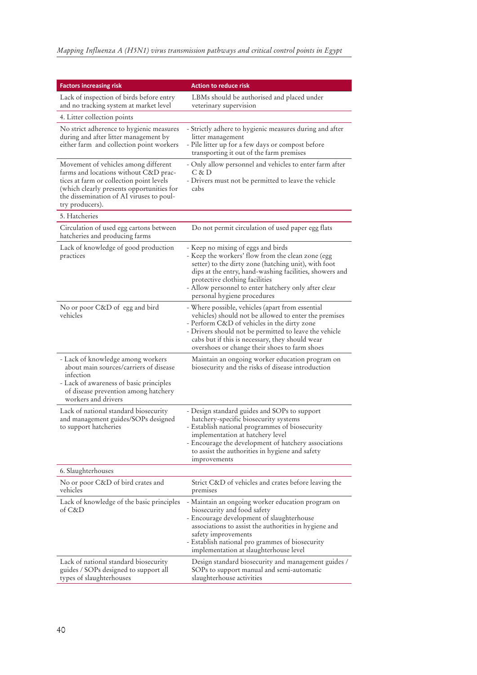| <b>Factors increasing risk</b>                                                                                                                                                                                                        | Action to reduce risk                                                                                                                                                                                                                                                                                                               |
|---------------------------------------------------------------------------------------------------------------------------------------------------------------------------------------------------------------------------------------|-------------------------------------------------------------------------------------------------------------------------------------------------------------------------------------------------------------------------------------------------------------------------------------------------------------------------------------|
| Lack of inspection of birds before entry<br>and no tracking system at market level                                                                                                                                                    | LBMs should be authorised and placed under<br>veterinary supervision                                                                                                                                                                                                                                                                |
| 4. Litter collection points                                                                                                                                                                                                           |                                                                                                                                                                                                                                                                                                                                     |
| No strict adherence to hygienic measures<br>during and after litter management by<br>either farm and collection point workers                                                                                                         | - Strictly adhere to hygienic measures during and after<br>litter management<br>- Pile litter up for a few days or compost before<br>transporting it out of the farm premises                                                                                                                                                       |
| Movement of vehicles among different<br>farms and locations without C&D prac-<br>tices at farm or collection point levels<br>(which clearly presents opportunities for<br>the dissemination of AI viruses to poul-<br>try producers). | - Only allow personnel and vehicles to enter farm after<br>C & D<br>- Drivers must not be permitted to leave the vehicle<br>cabs                                                                                                                                                                                                    |
| 5. Hatcheries                                                                                                                                                                                                                         |                                                                                                                                                                                                                                                                                                                                     |
| Circulation of used egg cartons between<br>hatcheries and producing farms                                                                                                                                                             | Do not permit circulation of used paper egg flats                                                                                                                                                                                                                                                                                   |
| Lack of knowledge of good production<br>practices                                                                                                                                                                                     | - Keep no mixing of eggs and birds<br>- Keep the workers' flow from the clean zone (egg<br>setter) to the dirty zone (hatching unit), with foot<br>dips at the entry, hand-washing facilities, showers and<br>protective clothing facilities<br>- Allow personnel to enter hatchery only after clear<br>personal hygiene procedures |
| No or poor C&D of egg and bird<br>vehicles                                                                                                                                                                                            | - Where possible, vehicles (apart from essential<br>vehicles) should not be allowed to enter the premises<br>- Perform C&D of vehicles in the dirty zone<br>- Drivers should not be permitted to leave the vehicle<br>cabs but if this is necessary, they should wear<br>overshoes or change their shoes to farm shoes              |
| - Lack of knowledge among workers<br>about main sources/carriers of disease<br>infection<br>- Lack of awareness of basic principles<br>of disease prevention among hatchery<br>workers and drivers                                    | Maintain an ongoing worker education program on<br>biosecurity and the risks of disease introduction                                                                                                                                                                                                                                |
| Lack of national standard biosecurity<br>and management guides/SOPs designed<br>to support hatcheries                                                                                                                                 | - Design standard guides and SOPs to support<br>hatchery-specific biosecurity systems<br>- Establish national programmes of biosecurity<br>implementation at hatchery level<br>- Encourage the development of hatchery associations<br>to assist the authorities in hygiene and safety<br>improvements                              |
| 6. Slaughterhouses                                                                                                                                                                                                                    |                                                                                                                                                                                                                                                                                                                                     |
| No or poor C&D of bird crates and<br>vehicles                                                                                                                                                                                         | Strict C&D of vehicles and crates before leaving the<br>premises                                                                                                                                                                                                                                                                    |
| Lack of knowledge of the basic principles<br>of C&D                                                                                                                                                                                   | - Maintain an ongoing worker education program on<br>biosecurity and food safety<br>- Encourage development of slaughterhouse<br>associations to assist the authorities in hygiene and<br>safety improvements<br>- Establish national pro grammes of biosecurity<br>implementation at slaughterhouse level                          |
| Lack of national standard biosecurity<br>guides / SOPs designed to support all<br>types of slaughterhouses                                                                                                                            | Design standard biosecurity and management guides /<br>SOPs to support manual and semi-automatic<br>slaughterhouse activities                                                                                                                                                                                                       |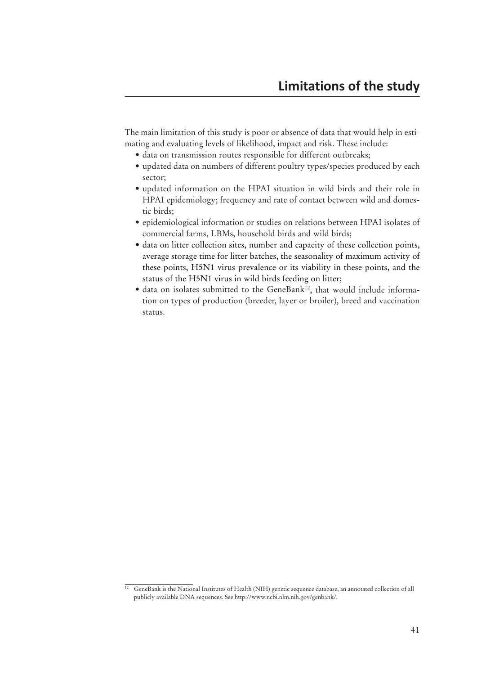The main limitation of this study is poor or absence of data that would help in estimating and evaluating levels of likelihood, impact and risk. These include:

- $\bullet$  data on transmission routes responsible for different outbreaks;
- updated data on numbers of different poultry types/species produced by each sector;
- updated information on the HPAI situation in wild birds and their role in HPAI epidemiology; frequency and rate of contact between wild and domestic birds;
- epidemiological information or studies on relations between HPAI isolates of commercial farms, LBMs, household birds and wild birds;
- $\bullet$  data on litter collection sites, number and capacity of these collection points, average storage time for litter batches, the seasonality of maximum activity of these points, H5N1 virus prevalence or its viability in these points, and the status of the H5N1 virus in wild birds feeding on litter;
- $\bullet$  data on isolates submitted to the GeneBank<sup>12</sup>, that would include information on types of production (breeder, layer or broiler), breed and vaccination status.

<sup>&</sup>lt;sup>12</sup> GeneBank is the National Institutes of Health (NIH) genetic sequence database, an annotated collection of all publicly available DNA sequences. See http://www.ncbi.nlm.nih.gov/genbank/.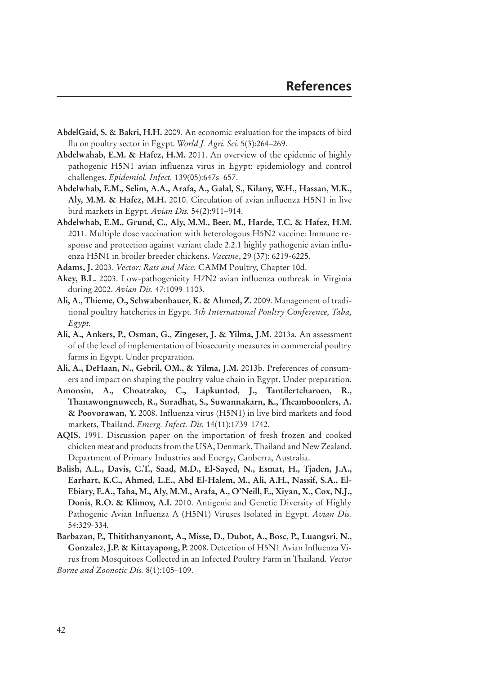- **AbdelGaid, S. & Bakri, H.H.** 2009. An economic evaluation for the impacts of bird flu on poultry sector in Egypt. *World J. Agri. Sci.* 5(3):264–269.
- **Abdelwahab, E.M. & Hafez, H.M.** 2011. An overview of the epidemic of highly pathogenic H5N1 avian influenza virus in Egypt: epidemiology and control challenges. *Epidemiol. Infect.* 139(05):647s–657.
- **Abdelwhab, E.M., Selim, A.A., Arafa, A., Galal, S., Kilany, W.H., Hassan, M.K., Aly, M.M. & Hafez, M.H.** 2010. Circulation of avian influenza H5N1 in live bird markets in Egypt. *Avian Dis.* 54(2):911–914.
- **Abdelwhab, E.M., Grund, C., Aly, M.M., Beer, M., Harde, T.C. & Hafez, H.M.** 2011. Multiple dose vaccination with heterologous H5N2 vaccine: Immune response and protection against variant clade 2.2.1 highly pathogenic avian influenza H5N1 in broiler breeder chickens. *Vaccine*, 29 (37): 6219-6225.
- **Adams, J.** 2003. *Vector: Rats and Mice.* CAMM Poultry, Chapter 10d.
- **Akey, B.L.** 2003. Low-pathogenicity H7N2 avian influenza outbreak in Virginia during 2002. *Avian Dis.* 47:1099-1103.
- **Ali, A., Thieme, O., Schwabenbauer, K. & Ahmed, Z.** 2009. Management of traditional poultry hatcheries in Egypt*. 5th International Poultry Conference, Taba, Egypt.*
- **Ali, A., Ankers, P., Osman, G., Zingeser, J. & Yilma, J.M.** 2013a. An assessment of of the level of implementation of biosecurity measures in commercial poultry farms in Egypt. Under preparation.
- **Ali, A., DeHaan, N., Gebril, OM., & Yilma, J.M.** 2013b. Preferences of consumers and impact on shaping the poultry value chain in Egypt. Under preparation.
- **Amonsin, A., Choatrako, C., Lapkuntod, J., Tantilertcharoen, R., Thanawongnuwech, R., Suradhat, S., Suwannakarn, K., Theamboonlers, A. & Poovorawan, Y.** 2008. Influenza virus (H5N1) in live bird markets and food markets, Thailand. *Emerg. Infect. Dis.* 14(11):1739-1742.
- **AQIS.** 1991. Discussion paper on the importation of fresh frozen and cooked chicken meat and products from the USA, Denmark, Thailand and New Zealand. Department of Primary Industries and Energy, Canberra, Australia.
- **Balish, A.L., Davis, C.T., Saad, M.D., El-Sayed, N., Esmat, H., Tjaden, J.A., Earhart, K.C., Ahmed, L.E., Abd El-Halem, M., Ali, A.H., Nassif, S.A., El-Ebiary, E.A., Taha, M., Aly, M.M., Arafa, A., O'Neill, E., Xiyan, X., Cox, N.J., Donis, R.O. & Klimov, A.I.** 2010. Antigenic and Genetic Diversity of Highly Pathogenic Avian Influenza A (H5N1) Viruses Isolated in Egypt. *Avian Dis.*  54:329-334*.*
- **Barbazan, P., Thitithanyanont, A., Misse, D., Dubot, A., Bosc, P., Luangsri, N., Gonzalez, J.P. & Kittayapong, P.** 2008. Detection of H5N1 Avian Influenza Virus from Mosquitoes Collected in an Infected Poultry Farm in Thailand. *Vector Borne and Zoonotic Dis.* 8(1):105–109.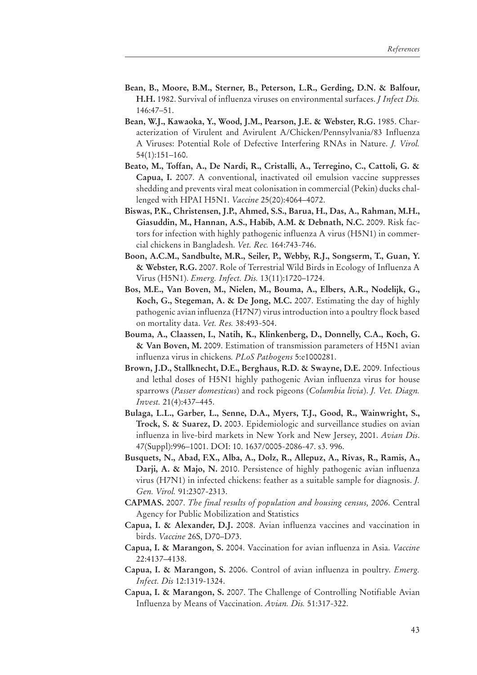- **Bean, B., Moore, B.M., Sterner, B., Peterson, L.R., Gerding, D.N. & Balfour, H.H.** 1982. Survival of influenza viruses on environmental surfaces. *J Infect Dis.*  146:47–51.
- **Bean, W.J., Kawaoka, Y., Wood, J.M., Pearson, J.E. & Webster, R.G.** 1985. Characterization of Virulent and Avirulent A/Chicken/Pennsylvania/83 Influenza A Viruses: Potential Role of Defective Interfering RNAs in Nature. *J. Virol.*  54(1):151–160.
- **Beato, M., Toffan, A., De Nardi, R., Cristalli, A., Terregino, C., Cattoli, G. & Capua, I.** 2007. A conventional, inactivated oil emulsion vaccine suppresses shedding and prevents viral meat colonisation in commercial (Pekin) ducks challenged with HPAI H5N1. *Vaccine* 25(20):4064–4072.
- **Biswas, P.K., Christensen, J.P., Ahmed, S.S., Barua, H., Das, A., Rahman, M.H., Giasuddin, M., Hannan, A.S., Habib, A.M. & Debnath, N.C.** 2009. Risk factors for infection with highly pathogenic influenza A virus (H5N1) in commercial chickens in Bangladesh. *Vet. Rec.* 164:743-746.
- **Boon, A.C.M., Sandbulte, M.R., Seiler, P., Webby, R.J., Songserm, T., Guan, Y. & Webster, R.G.** 2007. Role of Terrestrial Wild Birds in Ecology of Influenza A Virus (H5N1). *Emerg. Infect. Dis.* 13(11):1720–1724.
- **Bos, M.E., Van Boven, M., Nielen, M., Bouma, A., Elbers, A.R., Nodelijk, G., Koch, G., Stegeman, A. & De Jong, M.C.** 2007. Estimating the day of highly pathogenic avian influenza (H7N7) virus introduction into a poultry flock based on mortality data. *Vet. Res.* 38:493-504.
- **Bouma, A., Claassen, I., Natih, K., Klinkenberg, D., Donnelly, C.A., Koch, G. & Van Boven, M.** 2009. Estimation of transmission parameters of H5N1 avian influenza virus in chickens*. PLoS Pathogens* 5:e1000281.
- **Brown, J.D., Stallknecht, D.E., Berghaus, R.D. & Swayne, D.E.** 2009. Infectious and lethal doses of H5N1 highly pathogenic Avian influenza virus for house sparrows (*Passer domesticus*) and rock pigeons (*Columbia livia*). *J. Vet. Diagn. Invest.* 21(4):437–445.
- **Bulaga, L.L., Garber, L., Senne, D.A., Myers, T.J., Good, R., Wainwright, S., Trock, S. & Suarez, D.** 2003. Epidemiologic and surveillance studies on avian influenza in live-bird markets in New York and New Jersey, 2001. *Avian Dis*. 47(Suppl):996–1001. DOI: 10. 1637/0005-2086-47. s3. 996.
- **Busquets, N., Abad, F.X., Alba, A., Dolz, R., Allepuz, A., Rivas, R., Ramis, A., Darji, A. & Majo, N.** 2010. Persistence of highly pathogenic avian influenza virus (H7N1) in infected chickens: feather as a suitable sample for diagnosis. *J. Gen. Virol.* 91:2307-2313.
- **CAPMAS.** 2007. *The final results of population and housing census, 2006*. Central Agency for Public Mobilization and Statistics
- **Capua, I. & Alexander, D.J.** 2008. Avian influenza vaccines and vaccination in birds. *Vaccine* 26S, D70–D73.
- **Capua, I. & Marangon, S.** 2004. Vaccination for avian influenza in Asia. *Vaccine* 22:4137–4138.
- **Capua, I. & Marangon, S.** 2006. Control of avian influenza in poultry. *Emerg. Infect. Dis* 12:1319-1324.
- **Capua, I. & Marangon, S.** 2007. The Challenge of Controlling Notifiable Avian Influenza by Means of Vaccination. *Avian. Dis.* 51:317-322.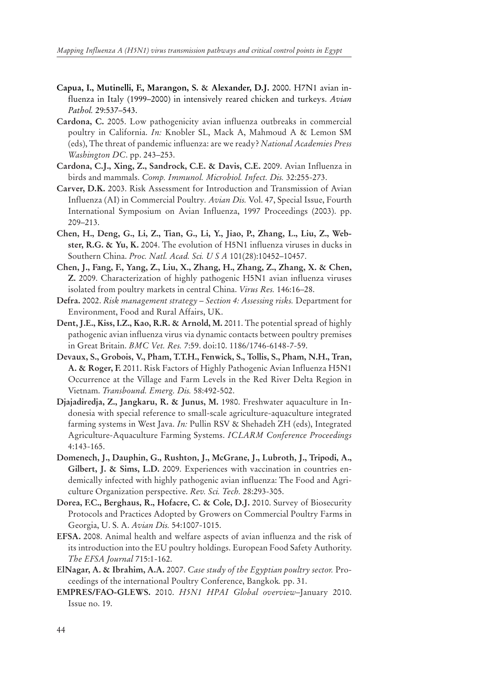- **Capua, I., Mutinelli, F., Marangon, S. & Alexander, D.J.** 2000. H7N1 avian influenza in Italy (1999–2000) in intensively reared chicken and turkeys. *Avian Pathol.* 29:537–543.
- **Cardona, C.** 2005. Low pathogenicity avian influenza outbreaks in commercial poultry in California. *In:* Knobler SL, Mack A, Mahmoud A & Lemon SM (eds), The threat of pandemic influenza: are we ready? *National Academies Press Washington DC*. pp. 243–253.
- **Cardona, C.J., Xing, Z., Sandrock, C.E. & Davis, C.E.** 2009. Avian Influenza in birds and mammals. *Comp. Immunol. Microbiol. Infect. Dis.* 32:255-273.
- **Carver, D.K.** 2003. Risk Assessment for Introduction and Transmission of Avian Influenza (AI) in Commercial Poultry*. Avian Dis.* Vol. 47, Special Issue, Fourth International Symposium on Avian Influenza, 1997 Proceedings (2003). pp. 209–213.
- **Chen, H., Deng, G., Li, Z., Tian, G., Li, Y., Jiao, P., Zhang, L., Liu, Z., Webster, R.G. & Yu, K.** 2004. The evolution of H5N1 influenza viruses in ducks in Southern China. *Proc. Natl. Acad. Sci. U S A* 101(28):10452–10457.
- **Chen, J., Fang, F., Yang, Z., Liu, X., Zhang, H., Zhang, Z., Zhang, X. & Chen, Z.** 2009. Characterization of highly pathogenic H5N1 avian influenza viruses isolated from poultry markets in central China. *Virus Res.* 146:16–28.
- **Defra.** 2002. *Risk management strategy Section 4: Assessing risks.* Department for Environment, Food and Rural Affairs, UK.
- **Dent, J.E., Kiss, I.Z., Kao, R.R. & Arnold, M.** 2011. The potential spread of highly pathogenic avian influenza virus via dynamic contacts between poultry premises in Great Britain. *BMC Vet. Res.* 7:59. doi:10. 1186/1746-6148-7-59.
- **Devaux, S., Grobois, V., Pham, T.T.H., Fenwick, S., Tollis, S., Pham, N.H., Tran, A. & Roger, F.** 2011. Risk Factors of Highly Pathogenic Avian Influenza H5N1 Occurrence at the Village and Farm Levels in the Red River Delta Region in Vietnam. *Transbound. Emerg. Dis.* 58:492-502.
- **Djajadiredja, Z., Jangkaru, R. & Junus, M.** 1980. Freshwater aquaculture in Indonesia with special reference to small-scale agriculture-aquaculture integrated farming systems in West Java. *In:* Pullin RSV & Shehadeh ZH (eds), Integrated Agriculture-Aquaculture Farming Systems. *ICLARM Conference Proceedings* 4:143-165.
- **Domenech, J., Dauphin, G., Rushton, J., McGrane, J., Lubroth, J., Tripodi, A., Gilbert, J. & Sims, L.D.** 2009. Experiences with vaccination in countries endemically infected with highly pathogenic avian influenza: The Food and Agriculture Organization perspective. *Rev. Sci. Tech.* 28:293-305.
- **Dorea, F.C., Berghaus, R., Hofacre, C. & Cole, D.J.** 2010. Survey of Biosecurity Protocols and Practices Adopted by Growers on Commercial Poultry Farms in Georgia, U. S. A. *Avian Dis.* 54:1007-1015.
- **EFSA.** 2008. Animal health and welfare aspects of avian influenza and the risk of its introduction into the EU poultry holdings. European Food Safety Authority. *The EFSA Journal* 715:1-162.
- **ElNagar, A. & Ibrahim, A.A.** 2007. *Case study of the Egyptian poultry sector.* Proceedings of the international Poultry Conference, Bangkok*.* pp. 31.
- **EMPRES/FAO-GLEWS.** 2010. *H5N1 HPAI Global overview*–January 2010. Issue no. 19.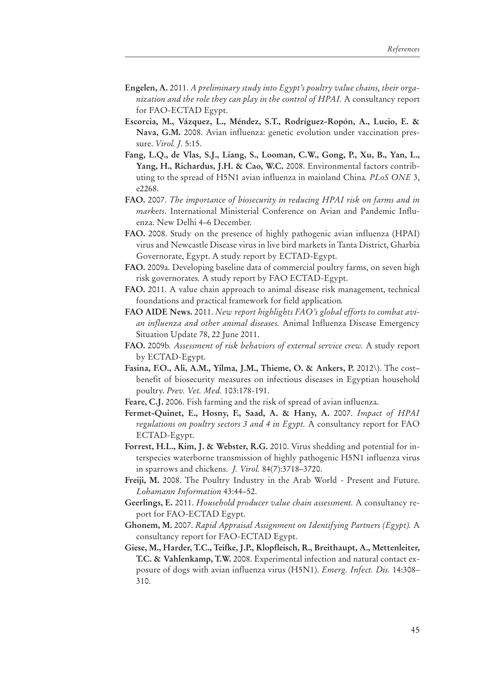- **Engelen, A.** 2011. *A preliminary study into Egypt's poultry value chains, their organization and the role they can play in the control of HPAI.* A consultancy report for FAO-ECTAD Egypt.
- **Escorcia, M., Vázquez, L., Méndez, S.T., Rodríguez-Ropón, A., Lucio, E. & Nava, G.M.** 2008. Avian influenza: genetic evolution under vaccination pressure. *Virol. J.* 5:15.
- **Fang, L.Q., de Vlas, S.J., Liang, S., Looman, C.W., Gong, P., Xu, B., Yan, L., Yang, H., Richardus, J.H. & Cao, W.C.** 2008. Environmental factors contributing to the spread of H5N1 avian influenza in mainland China*. PLoS ONE* 3, e2268.
- **FAO.** 2007. *The importance of biosecurity in reducing HPAI risk on farms and in markets*. International Ministerial Conference on Avian and Pandemic Influenza. New Delhi 4–6 December.
- **FAO.** 2008. Study on the presence of highly pathogenic avian influenza (HPAI) virus and Newcastle Disease virus in live bird markets in Tanta District, Gharbia Governorate, Egypt. A study report by ECTAD-Egypt.
- **FAO.** 2009a. Developing baseline data of commercial poultry farms, on seven high risk governorates*.* A study report by FAO ECTAD-Egypt.
- **FAO.** 2011. A value chain approach to animal disease risk management, technical foundations and practical framework for field application*.*
- **FAO AIDE News.** 2011. *New report highlights FAO's global efforts to combat avian influenza and other animal diseases.* Animal Influenza Disease Emergency Situation Update 78, 22 June 2011.
- **FAO.** 2009b*. Assessment of risk behaviors of external service crew.* A study report by ECTAD-Egypt.
- **Fasina, F.O., Ali, A.M., Yilma, J.M., Thieme, O. & Ankers, P. 2012\)**. The cost– benefit of biosecurity measures on infectious diseases in Egyptian household poultry. *Prev. Vet. Med.* 103:178-191.
- **Feare, C.J.** 2006. Fish farming and the risk of spread of avian influenza.
- **Fermet-Quinet, E., Hosny, F., Saad, A. & Hany, A.** 2007. *Impact of HPAI regulations on poultry sectors 3 and 4 in Egypt.* A consultancy report for FAO ECTAD-Egypt.
- **Forrest, H.L., Kim, J. & Webster, R.G.** 2010. Virus shedding and potential for interspecies waterborne transmission of highly pathogenic H5N1 influenza virus in sparrows and chickens. *J. Virol.* 84(7):3718–3720.
- **Freiji, M.** 2008. The Poultry Industry in the Arab World Present and Future. *Lohamann Information* 43:44–52.
- **Geerlings, E.** 2011. *Household producer value chain assessment.* A consultancy report for FAO-ECTAD Egypt.
- **Ghonem, M.** 2007. *Rapid Appraisal Assignment on Identifying Partners (Egypt).* A consultancy report for FAO-ECTAD Egypt.
- **Giese, M., Harder, T.C., Teifke, J.P., Klopfleisch, R., Breithaupt, A., Mettenleiter, T.C. & Vahlenkamp, T.W.** 2008. Experimental infection and natural contact exposure of dogs with avian influenza virus (H5N1). *Emerg. Infect. Dis.* 14:308– 310.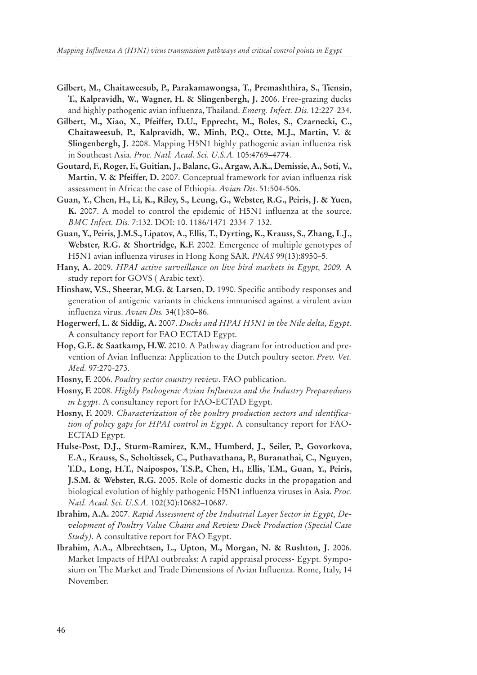- **Gilbert, M., Chaitaweesub, P., Parakamawongsa, T., Premashthira, S., Tiensin, T., Kalpravidh, W., Wagner, H. & Slingenbergh, J.** 2006. Free-grazing ducks and highly pathogenic avian influenza, Thailand. *Emerg. Infect. Dis.* 12:227-234.
- **Gilbert, M., Xiao, X., Pfeiffer, D.U., Epprecht, M., Boles, S., Czarnecki, C., Chaitaweesub, P., Kalpravidh, W., Minh, P.Q., Otte, M.J., Martin, V. & Slingenbergh, J.** 2008. Mapping H5N1 highly pathogenic avian influenza risk in Southeast Asia. *Proc. Natl. Acad. Sci. U.S.A.* 105:4769–4774.
- **Goutard, F., Roger, F., Guitian, J., Balanc, G., Argaw, A.K., Demissie, A., Soti, V., Martin, V. & Pfeiffer, D.** 2007. Conceptual framework for avian influenza risk assessment in Africa: the case of Ethiopia. *Avian Dis*. 51:504-506.
- **Guan, Y., Chen, H., Li, K., Riley, S., Leung, G., Webster, R.G., Peiris, J. & Yuen, K.** 2007. A model to control the epidemic of H5N1 influenza at the source. *BMC Infect. Dis.* 7:132. DOI: 10. 1186/1471-2334-7-132.
- **Guan, Y., Peiris, J.M.S., Lipatov, A., Ellis, T., Dyrting, K., Krauss, S., Zhang, L.J., Webster, R.G. & Shortridge, K.F.** 2002. Emergence of multiple genotypes of H5N1 avian influenza viruses in Hong Kong SAR. *PNAS* 99(13):8950–5.
- **Hany, A.** 2009. *HPAI active surveillance on live bird markets in Egypt, 2009.* A study report for GOVS ( Arabic text).
- **Hinshaw, V.S., Sheerar, M.G. & Larsen, D.** 1990. Specific antibody responses and generation of antigenic variants in chickens immunised against a virulent avian influenza virus. *Avian Dis.* 34(1):80–86.
- **Hogerwerf, L. & Siddig, A.** 2007. *Ducks and HPAI H5N1 in the Nile delta, Egypt.*  A consultancy report for FAO ECTAD Egypt.
- **Hop, G.E. & Saatkamp, H.W.** 2010. A Pathway diagram for introduction and prevention of Avian Influenza: Application to the Dutch poultry sector. *Prev. Vet. Med.* 97:270-273.
- **Hosny, F.** 2006. *Poultry sector country review*. FAO publication.
- **Hosny, F.** 2008. *Highly Pathogenic Avian Influenza and the Industry Preparedness in Egypt*. A consultancy report for FAO-ECTAD Egypt.
- **Hosny, F.** 2009. *Characterization of the poultry production sectors and identification of policy gaps for HPAI control in Egypt*. A consultancy report for FAO-ECTAD Egypt.
- **Hulse-Post, D.J., Sturm-Ramirez, K.M., Humberd, J., Seiler, P., Govorkova, E.A., Krauss, S., Scholtissek, C., Puthavathana, P., Buranathai, C., Nguyen, T.D., Long, H.T., Naipospos, T.S.P., Chen, H., Ellis, T.M., Guan, Y., Peiris, J.S.M. & Webster, R.G.** 2005. Role of domestic ducks in the propagation and biological evolution of highly pathogenic H5N1 influenza viruses in Asia. *Proc. Natl. Acad. Sci. U.S.A.* 102(30):10682–10687.
- **Ibrahim, A.A.** 2007. *Rapid Assessment of the Industrial Layer Sector in Egypt, Development of Poultry Value Chains and Review Duck Production (Special Case Study)*. A consultative report for FAO Egypt.
- **Ibrahim, A.A., Albrechtsen, L., Upton, M., Morgan, N. & Rushton, J.** 2006. Market Impacts of HPAI outbreaks: A rapid appraisal process- Egypt. Symposium on The Market and Trade Dimensions of Avian Influenza. Rome, Italy, 14 November.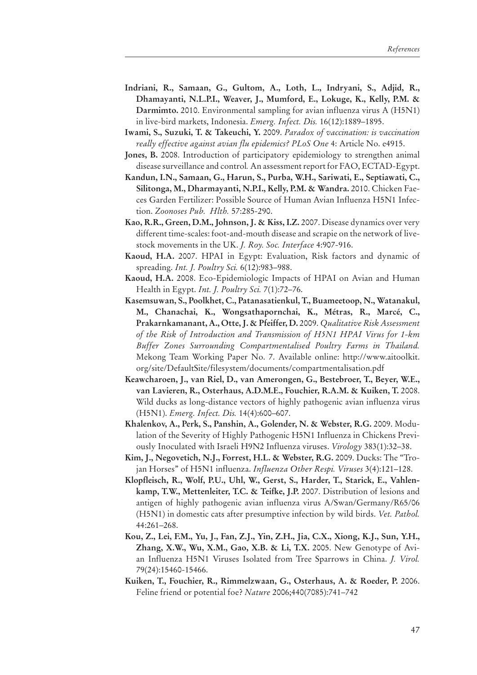- **Indriani, R., Samaan, G., Gultom, A., Loth, L., Indryani, S., Adjid, R., Dhamayanti, N.L.P.I., Weaver, J., Mumford, E., Lokuge, K., Kelly, P.M. & Darmimto.** 2010. Environmental sampling for avian influenza virus A (H5N1) in live-bird markets, Indonesia. *Emerg. Infect. Dis.* 16(12):1889–1895.
- **Iwami, S., Suzuki, T. & Takeuchi, Y.** 2009. *Paradox of vaccination: is vaccination really effective against avian flu epidemics? PLoS One* 4: Article No. e4915.
- **Jones, B.** 2008. Introduction of participatory epidemiology to strengthen animal disease surveillance and control*.* An assessment report for FAO, ECTAD-Egypt.
- **Kandun, I.N., Samaan, G., Harun, S., Purba, W.H., Sariwati, E., Septiawati, C., Silitonga, M., Dharmayanti, N.P.I., Kelly, P.M. & Wandra.** 2010. Chicken Faeces Garden Fertilizer: Possible Source of Human Avian Influenza H5N1 Infection. *Zoonoses Pub. Hlth.* 57:285-290.
- **Kao, R.R., Green, D.M., Johnson, J. & Kiss, I.Z.** 2007. Disease dynamics over very different time-scales: foot-and-mouth disease and scrapie on the network of livestock movements in the UK. *J. Roy. Soc. Interface* 4:907-916.
- **Kaoud, H.A.** 2007. HPAI in Egypt: Evaluation, Risk factors and dynamic of spreading. *Int. J. Poultry Sci.* 6(12):983–988.
- **Kaoud, H.A.** 2008. Eco-Epidemiologic Impacts of HPAI on Avian and Human Health in Egypt. *Int. J. Poultry Sci.* 7(1):72–76.
- **Kasemsuwan, S., Poolkhet, C., Patanasatienkul, T., Buameetoop, N., Watanakul, M., Chanachai, K., Wongsathapornchai, K., Métras, R., Marcé, C., Prakarnkamanant, A., Otte, J. & Pfeiffer, D.** 2009. *Qualitative Risk Assessment of the Risk of Introduction and Transmission of H5N1 HPAI Virus for 1-km Buffer Zones Surrounding Compartmentalised Poultry Farms in Thailand.* Mekong Team Working Paper No. 7. Available online: http://www.aitoolkit. org/site/DefaultSite/filesystem/documents/compartmentalisation.pdf
- **Keawcharoen, J., van Riel, D., van Amerongen, G., Bestebroer, T., Beyer, W.E., van Lavieren, R., Osterhaus, A.D.M.E., Fouchier, R.A.M. & Kuiken, T.** 2008. Wild ducks as long-distance vectors of highly pathogenic avian influenza virus (H5N1). *Emerg. Infect. Dis.* 14(4):600–607.
- **Khalenkov, A., Perk, S., Panshin, A., Golender, N. & Webster, R.G.** 2009. Modulation of the Severity of Highly Pathogenic H5N1 Influenza in Chickens Previously Inoculated with Israeli H9N2 Influenza viruses. *Virology* 383(1):32–38.
- **Kim, J., Negovetich, N.J., Forrest, H.L. & Webster, R.G.** 2009. Ducks: The ''Trojan Horses'' of H5N1 influenza. *Influenza Other Respi. Viruses* 3(4):121–128.
- **Klopfleisch, R., Wolf, P.U., Uhl, W., Gerst, S., Harder, T., Starick, E., Vahlenkamp, T.W., Mettenleiter, T.C. & Teifke, J.P.** 2007. Distribution of lesions and antigen of highly pathogenic avian influenza virus A/Swan/Germany/R65/06 (H5N1) in domestic cats after presumptive infection by wild birds. *Vet. Pathol.* 44:261–268.
- **Kou, Z., Lei, F.M., Yu, J., Fan, Z.J., Yin, Z.H., Jia, C.X., Xiong, K.J., Sun, Y.H., Zhang, X.W., Wu, X.M., Gao, X.B. & Li, T.X.** 2005. New Genotype of Avian Influenza H5N1 Viruses Isolated from Tree Sparrows in China. *J. Virol.* 79(24):15460-15466.
- **Kuiken, T., Fouchier, R., Rimmelzwaan, G., Osterhaus, A. & Roeder, P.** 2006. Feline friend or potential foe? *Nature* 2006;440(7085):741–742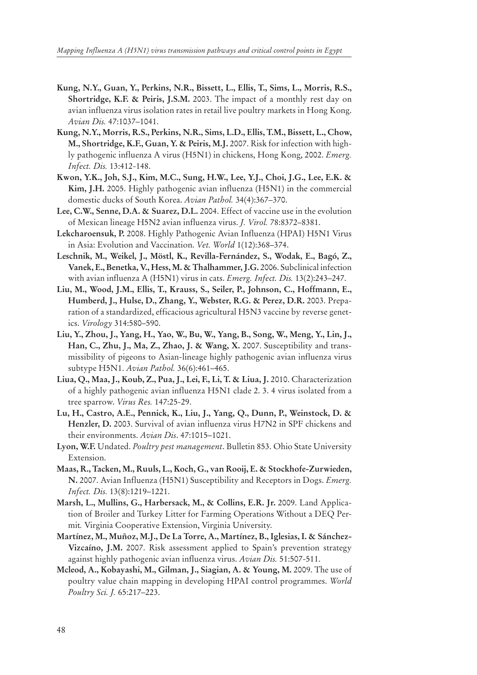- **Kung, N.Y., Guan, Y., Perkins, N.R., Bissett, L., Ellis, T., Sims, L., Morris, R.S., Shortridge, K.F. & Peiris, J.S.M.** 2003. The impact of a monthly rest day on avian influenza virus isolation rates in retail live poultry markets in Hong Kong. *Avian Dis.* 47:1037–1041.
- **Kung, N.Y., Morris, R.S., Perkins, N.R., Sims, L.D., Ellis, T.M., Bissett, L., Chow, M., Shortridge, K.F., Guan, Y. & Peiris, M.J.** 2007. Risk for infection with highly pathogenic influenza A virus (H5N1) in chickens, Hong Kong, 2002. *Emerg. Infect. Dis.* 13:412-148.
- **Kwon, Y.K., Joh, S.J., Kim, M.C., Sung, H.W., Lee, Y.J., Choi, J.G., Lee, E.K. & Kim, J.H.** 2005. Highly pathogenic avian influenza (H5N1) in the commercial domestic ducks of South Korea. *Avian Pathol.* 34(4):367–370.
- **Lee, C.W., Senne, D.A. & Suarez, D.L.** 2004. Effect of vaccine use in the evolution of Mexican lineage H5N2 avian influenza virus. *J. Virol.* 78:8372–8381.
- **Lekcharoensuk, P.** 2008. Highly Pathogenic Avian Influenza (HPAI) H5N1 Virus in Asia: Evolution and Vaccination. *Vet. World* 1(12):368–374.
- **Leschnik, M., Weikel, J., Möstl, K., Revilla-Fernández, S., Wodak, E., Bagó, Z., Vanek, E., Benetka, V., Hess, M. & Thalhammer, J.G.** 2006. Subclinical infection with avian influenza A (H5N1) virus in cats. *Emerg. Infect. Dis.* 13(2):243–247.
- **Liu, M., Wood, J.M., Ellis, T., Krauss, S., Seiler, P., Johnson, C., Hoffmann, E., Humberd, J., Hulse, D., Zhang, Y., Webster, R.G. & Perez, D.R.** 2003. Preparation of a standardized, efficacious agricultural H5N3 vaccine by reverse genetics. *Virology* 314:580–590.
- **Liu, Y., Zhou, J., Yang, H., Yao, W., Bu, W., Yang, B., Song, W., Meng, Y., Lin, J., Han, C., Zhu, J., Ma, Z., Zhao, J. & Wang, X.** 2007. Susceptibility and transmissibility of pigeons to Asian-lineage highly pathogenic avian influenza virus subtype H5N1. *Avian Pathol.* 36(6):461–465.
- **Liua, Q., Maa, J., Koub, Z., Pua, J., Lei, F., Li, T. & Liua, J.** 2010. Characterization of a highly pathogenic avian influenza H5N1 clade 2. 3. 4 virus isolated from a tree sparrow. *Virus Res.* 147:25-29.
- **Lu, H., Castro, A.E., Pennick, K., Liu, J., Yang, Q., Dunn, P., Weinstock, D. & Henzler, D.** 2003. Survival of avian influenza virus H7N2 in SPF chickens and their environments. *Avian Dis*. 47:1015–1021.
- **Lyon, W.F.** Undated. *Poultry pest management*. Bulletin 853. Ohio State University Extension.
- **Maas, R., Tacken, M., Ruuls, L., Koch, G., van Rooij, E. & Stockhofe-Zurwieden, N.** 2007. Avian Influenza (H5N1) Susceptibility and Receptors in Dogs. *Emerg. Infect. Dis.* 13(8):1219–1221.
- **Marsh, L., Mullins, G., Harbersack, M., & Collins, E.R. Jr.** 2009. Land Application of Broiler and Turkey Litter for Farming Operations Without a DEQ Permit*.* Virginia Cooperative Extension, Virginia University.
- **Martínez, M., Muñoz, M.J., De La Torre, A., Martínez, B., Iglesias, I. & Sánchez-Vizcaíno, J.M.** 2007. Risk assessment applied to Spain's prevention strategy against highly pathogenic avian influenza virus. *Avian Dis.* 51:507-511.
- **Mcleod, A., Kobayashi, M., Gilman, J., Siagian, A. & Young, M.** 2009. The use of poultry value chain mapping in developing HPAI control programmes. *World Poultry Sci. J.* 65:217–223.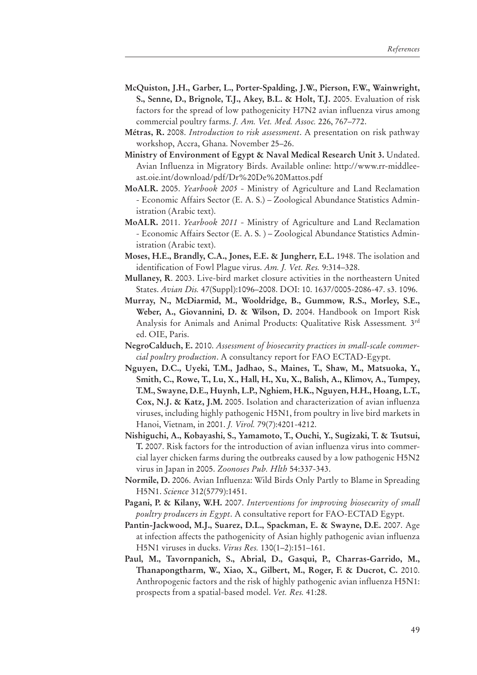- **McQuiston, J.H., Garber, L., Porter-Spalding, J.W., Pierson, F.W., Wainwright, S., Senne, D., Brignole, T.J., Akey, B.L. & Holt, T.J.** 2005. Evaluation of risk factors for the spread of low pathogenicity H7N2 avian influenza virus among commercial poultry farms. *J. Am. Vet. Med. Assoc.* 226, 767–772.
- **Métras, R.** 2008. *Introduction to risk assessment*. A presentation on risk pathway workshop, Accra, Ghana. November 25–26.
- **Ministry of Environment of Egypt & Naval Medical Research Unit 3.** Undated. Avian Influenza in Migratory Birds. Available online: http://www.rr-middleeast.oie.int/download/pdf/Dr%20De%20Mattos.pdf
- **MoALR.** 2005. *Yearbook 2005 -* Ministry of Agriculture and Land Reclamation - Economic Affairs Sector (E. A. S.) – Zoological Abundance Statistics Administration (Arabic text).
- **MoALR.** 2011. *Yearbook 2011 -* Ministry of Agriculture and Land Reclamation - Economic Affairs Sector (E. A. S. ) – Zoological Abundance Statistics Administration (Arabic text).
- **Moses, H.E., Brandly, C.A., Jones, E.E. & Jungherr, E.L.** 1948. The isolation and identification of Fowl Plague virus. *Am. J. Vet. Res.* 9:314–328.
- **Mullaney, R**. 2003. Live-bird market closure activities in the northeastern United States. *Avian Dis.* 47(Suppl):1096–2008. DOI: 10. 1637/0005-2086-47. s3. 1096.
- **Murray, N., McDiarmid, M., Wooldridge, B., Gummow, R.S., Morley, S.E., Weber, A., Giovannini, D. & Wilson, D.** 2004. Handbook on Import Risk Analysis for Animals and Animal Products: Qualitative Risk Assessment*.* 3rd ed. OIE, Paris.
- **NegroCalduch, E.** 2010. *Assessment of biosecurity practices in small-scale commercial poultry production*. A consultancy report for FAO ECTAD-Egypt.
- **Nguyen, D.C., Uyeki, T.M., Jadhao, S., Maines, T., Shaw, M., Matsuoka, Y., Smith, C., Rowe, T., Lu, X., Hall, H., Xu, X., Balish, A., Klimov, A., Tumpey, T.M., Swayne, D.E., Huynh, L.P., Nghiem, H.K., Nguyen, H.H., Hoang, L.T., Cox, N.J. & Katz, J.M.** 2005. Isolation and characterization of avian influenza viruses, including highly pathogenic H5N1, from poultry in live bird markets in Hanoi, Vietnam, in 2001. *J. Virol.* 79(7):4201-4212.
- **Nishiguchi, A., Kobayashi, S., Yamamoto, T., Ouchi, Y., Sugizaki, T. & Tsutsui, T.** 2007. Risk factors for the introduction of avian influenza virus into commercial layer chicken farms during the outbreaks caused by a low pathogenic H5N2 virus in Japan in 2005. *Zoonoses Pub. Hlth* 54:337-343.
- **Normile, D.** 2006. Avian Influenza: Wild Birds Only Partly to Blame in Spreading H5N1. *Science* 312(5779):1451.
- **Pagani, P. & Kilany, W.H.** 2007. *Interventions for improving biosecurity of small poultry producers in Egypt*. A consultative report for FAO-ECTAD Egypt.
- **Pantin-Jackwood, M.J., Suarez, D.L., Spackman, E. & Swayne, D.E.** 2007. Age at infection affects the pathogenicity of Asian highly pathogenic avian influenza H5N1 viruses in ducks. *Virus Res.* 130(1–2):151–161.
- **Paul, M., Tavornpanich, S., Abrial, D., Gasqui, P., Charras-Garrido, M., Thanapongtharm, W., Xiao, X., Gilbert, M., Roger, F. & Ducrot, C.** 2010. Anthropogenic factors and the risk of highly pathogenic avian influenza H5N1: prospects from a spatial-based model. *Vet. Res.* 41:28.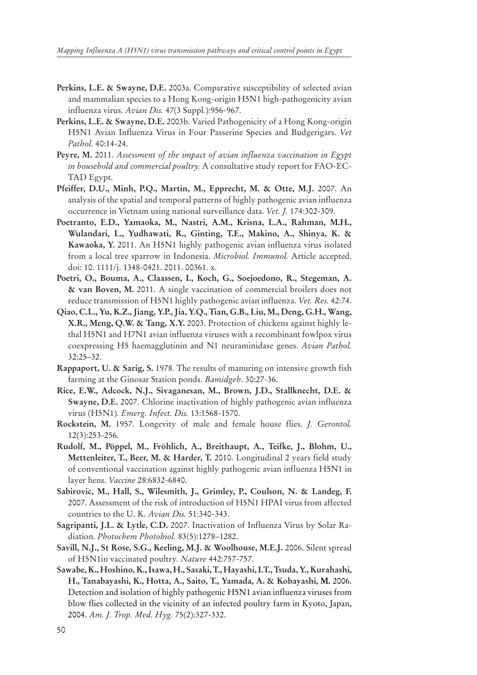- **Perkins, L.E. & Swayne, D.E.** 2003a. Comparative susceptibility of selected avian and mammalian species to a Hong Kong-origin H5N1 high-pathogenicity avian influenza virus. *Avian Dis.* 47(3 Suppl.):956-967.
- **Perkins, L.E. & Swayne, D.E.** 2003b. Varied Pathogenicity of a Hong Kong-origin H5N1 Avian Influenza Virus in Four Passerine Species and Budgerigars. *Vet Pathol.* 40:14-24.
- **Peyre, M.** 2011. *Assessment of the impact of avian influenza vaccination in Egypt in household and commercial poultry.* A consultative study report for FAO-EC-TAD Egypt.
- **Pfeiffer, D.U., Minh, P.Q., Martin, M., Epprecht, M. & Otte, M.J.** 2007. An analysis of the spatial and temporal patterns of highly pathogenic avian influenza occurrence in Vietnam using national surveillance data. *Vet. J.* 174:302-309.
- **Poetranto, E.D., Yamaoka, M., Nastri, A.M., Krisna, L.A., Rahman, M.H., Wulandari, L., Yudhawati, R., Ginting, T.E., Makino, A., Shinya, K. & Kawaoka, Y.** 2011. An H5N1 highly pathogenic avian influenza virus isolated from a local tree sparrow in Indonesia. *Microbiol. Immunol.* Article accepted. doi: 10. 1111/j. 1348-0421. 2011. 00361. x.
- **Poetri, O., Bouma, A., Claassen, I., Koch, G., Soejoedono, R., Stegeman, A. & van Boven, M.** 2011. A single vaccination of commercial broilers does not reduce transmission of H5N1 highly pathogenic avian influenza. *Vet. Res.* 42:74.
- **Qiao, C.L., Yu, K.Z., Jiang, Y.P., Jia, Y.Q., Tian, G.B., Liu, M., Deng, G.H., Wang, X.R., Meng, Q.W. & Tang, X.Y.** 2003. Protection of chickens against highly lethal H5N1 and H7N1 avian influenza viruses with a recombinant fowlpox virus coexpressing H5 haemagglutinin and N1 neuraminidase genes. *Avian Pathol.*  32:25–32.
- **Rappaport, U. & Sarig, S.** 1978. The results of manuring on intensive growth fish farming at the Ginosar Station ponds. *Bamidgeh*. 30:27-36.
- **Rice, E.W., Adcock, N.J., Sivaganesan, M., Brown, J.D., Stallknecht, D.E. & Swayne, D.E.** 2007. Chlorine inactivation of highly pathogenic avian influenza virus (H5N1). *Emerg. Infect. Dis.* 13:1568-1570.
- **Rockstein, M.** 1957. Longevity of male and female house flies. *J. Gerontol.* 12(3):253-256.
- **Rudolf, M., Pöppel, M., Fröhlich, A., Breithaupt, A., Teifke, J., Blohm, U., Mettenleiter, T., Beer, M. & Harder, T.** 2010. Longitudinal 2 years field study of conventional vaccination against highly pathogenic avian influenza H5N1 in layer hens. *Vaccine* 28:6832-6840.
- **Sabirovic, M., Hall, S., Wilesmith, J., Grimley, P., Coulson, N. & Landeg, F.** 2007. Assessment of the risk of introduction of H5N1 HPAI virus from affected countries to the U. K. *Avian Dis.* 51:340-343.
- **Sagripanti, J.L. & Lytle, C.D.** 2007. Inactivation of Influenza Virus by Solar Radiation. *Photochem Photobiol.* 83(5):1278–1282.
- **Savill, N.J., St Rose, S.G., Keeling, M.J. & Woolhouse, M.E.J.** 2006. Silent spread of H5N1in vaccinated poultry*. Nature* 442:757-757.
- **Sawabe, K., Hoshino, K., Isawa, H., Sasaki, T., Hayashi, I.T., Tsuda, Y., Kurahashi, H., Tanabayashi, K., Hotta, A., Saito, T., Yamada, A. & Kobayashi, M.** 2006. Detection and isolation of highly pathogenic H5N1 avian influenza viruses from blow flies collected in the vicinity of an infected poultry farm in Kyoto, Japan, 2004. *Am. J. Trop. Med. Hyg.* 75(2):327-332.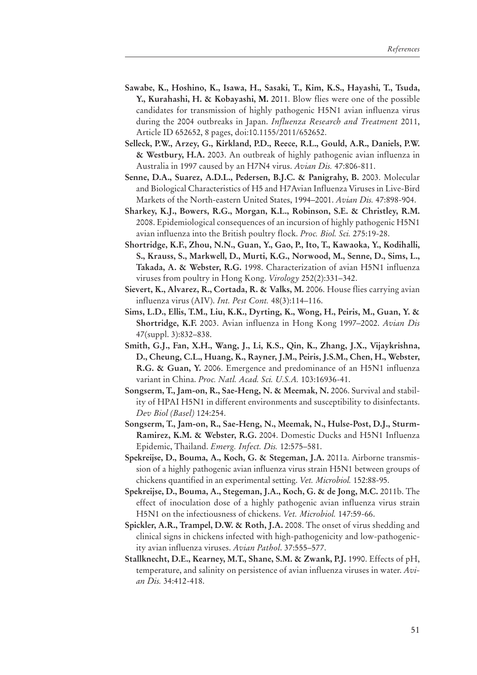- **Sawabe, K., Hoshino, K., Isawa, H., Sasaki, T., Kim, K.S., Hayashi, T., Tsuda, Y., Kurahashi, H. & Kobayashi, M.** 2011. Blow flies were one of the possible candidates for transmission of highly pathogenic H5N1 avian influenza virus during the 2004 outbreaks in Japan. *Influenza Research and Treatment* 2011, Article ID 652652, 8 pages, doi:10.1155/2011/652652.
- **Selleck, P.W., Arzey, G., Kirkland, P.D., Reece, R.L., Gould, A.R., Daniels, P.W. & Westbury, H.A.** 2003. An outbreak of highly pathogenic avian influenza in Australia in 1997 caused by an H7N4 virus. *Avian Dis.* 47:806-811.
- **Senne, D.A., Suarez, A.D.L., Pedersen, B.J.C. & Panigrahy, B.** 2003. Molecular and Biological Characteristics of H5 and H7Avian Influenza Viruses in Live-Bird Markets of the North-eastern United States, 1994–2001. *Avian Dis.* 47:898-904.
- **Sharkey, K.J., Bowers, R.G., Morgan, K.L., Robinson, S.E. & Christley, R.M.** 2008. Epidemiological consequences of an incursion of highly pathogenic H5N1 avian influenza into the British poultry flock. *Proc. Biol. Sci.* 275:19-28.
- **Shortridge, K.F., Zhou, N.N., Guan, Y., Gao, P., Ito, T., Kawaoka, Y., Kodihalli, S., Krauss, S., Markwell, D., Murti, K.G., Norwood, M., Senne, D., Sims, L., Takada, A. & Webster, R.G.** 1998. Characterization of avian H5N1 influenza viruses from poultry in Hong Kong. *Virology* 252(2):331–342.
- **Sievert, K., Alvarez, R., Cortada, R. & Valks, M.** 2006. House flies carrying avian influenza virus (AIV). *Int. Pest Cont.* 48(3):114–116.
- **Sims, L.D., Ellis, T.M., Liu, K.K., Dyrting, K., Wong, H., Peiris, M., Guan, Y. & Shortridge, K.F.** 2003. Avian influenza in Hong Kong 1997–2002. *Avian Dis* 47(suppl. 3):832–838.
- **Smith, G.J., Fan, X.H., Wang, J., Li, K.S., Qin, K., Zhang, J.X., Vijaykrishna, D., Cheung, C.L., Huang, K., Rayner, J.M., Peiris, J.S.M., Chen, H., Webster, R.G. & Guan, Y.** 2006. Emergence and predominance of an H5N1 influenza variant in China. *Proc. Natl. Acad. Sci. U.S.A.* 103:16936-41.
- **Songserm, T., Jam-on, R., Sae-Heng, N. & Meemak, N.** 2006. Survival and stability of HPAI H5N1 in different environments and susceptibility to disinfectants. *Dev Biol (Basel)* 124:254.
- **Songserm, T., Jam-on, R., Sae-Heng, N., Meemak, N., Hulse-Post, D.J., Sturm-Ramirez, K.M. & Webster, R.G.** 2004. Domestic Ducks and H5N1 Influenza Epidemic, Thailand. *Emerg. Infect. Dis.* 12:575–581.
- **Spekreijse, D., Bouma, A., Koch, G. & Stegeman, J.A.** 2011a. Airborne transmission of a highly pathogenic avian influenza virus strain H5N1 between groups of chickens quantified in an experimental setting. *Vet. Microbiol.* 152:88-95.
- **Spekreijse, D., Bouma, A., Stegeman, J.A., Koch, G. & de Jong, M.C.** 2011b. The effect of inoculation dose of a highly pathogenic avian influenza virus strain H5N1 on the infectiousness of chickens. *Vet. Microbiol.* 147:59-66.
- **Spickler, A.R., Trampel, D.W. & Roth, J.A.** 2008. The onset of virus shedding and clinical signs in chickens infected with high-pathogenicity and low-pathogenicity avian influenza viruses. *Avian Pathol*. 37:555–577.
- **Stallknecht, D.E., Kearney, M.T., Shane, S.M. & Zwank, P.J.** 1990. Effects of pH, temperature, and salinity on persistence of avian influenza viruses in water. *Avian Dis.* 34:412-418.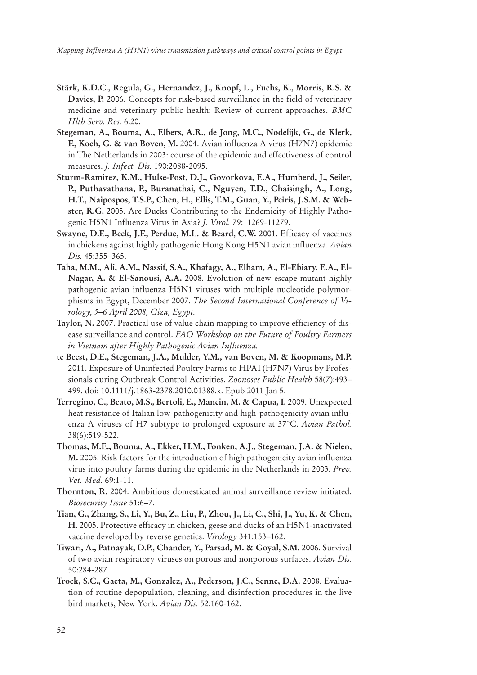- **Stärk, K.D.C., Regula, G., Hernandez, J., Knopf, L., Fuchs, K., Morris, R.S. & Davies, P.** 2006. Concepts for risk-based surveillance in the field of veterinary medicine and veterinary public health: Review of current approaches. *BMC Hlth Serv. Res.* 6:20.
- **Stegeman, A., Bouma, A., Elbers, A.R., de Jong, M.C., Nodelijk, G., de Klerk, F., Koch, G. & van Boven, M.** 2004. Avian influenza A virus (H7N7) epidemic in The Netherlands in 2003: course of the epidemic and effectiveness of control measures. *J. Infect. Dis.* 190:2088-2095.
- **Sturm-Ramirez, K.M., Hulse-Post, D.J., Govorkova, E.A., Humberd, J., Seiler, P., Puthavathana, P., Buranathai, C., Nguyen, T.D., Chaisingh, A., Long, H.T., Naipospos, T.S.P., Chen, H., Ellis, T.M., Guan, Y., Peiris, J.S.M. & Webster, R.G.** 2005. Are Ducks Contributing to the Endemicity of Highly Pathogenic H5N1 Influenza Virus in Asia? *J. Virol.* 79:11269-11279.
- **Swayne, D.E., Beck, J.F., Perdue, M.L. & Beard, C.W.** 2001. Efficacy of vaccines in chickens against highly pathogenic Hong Kong H5N1 avian influenza. *Avian Dis.* 45:355–365.
- **Taha, M.M., Ali, A.M., Nassif, S.A., Khafagy, A., Elham, A., El-Ebiary, E.A., El-Nagar, A. & El-Sanousi, A.A.** 2008. Evolution of new escape mutant highly pathogenic avian influenza H5N1 viruses with multiple nucleotide polymorphisms in Egypt, December 2007. *The Second International Conference of Virology, 5–6 April 2008, Giza, Egypt.*
- **Taylor, N.** 2007. Practical use of value chain mapping to improve efficiency of disease surveillance and control. *FAO Workshop on the Future of Poultry Farmers in Vietnam after Highly Pathogenic Avian Influenza.*
- **te Beest, D.E., Stegeman, J.A., Mulder, Y.M., van Boven, M. & Koopmans, M.P.** 2011. Exposure of Uninfected Poultry Farms to HPAI (H7N7) Virus by Professionals during Outbreak Control Activities. *Zoonoses Public Health* 58(7):493– 499. doi: 10.1111/j.1863-2378.2010.01388.x. Epub 2011 Jan 5.
- **Terregino, C., Beato, M.S., Bertoli, E., Mancin, M. & Capua, I.** 2009. Unexpected heat resistance of Italian low-pathogenicity and high-pathogenicity avian influenza A viruses of H7 subtype to prolonged exposure at 37°C. *Avian Pathol.* 38(6):519-522.
- **Thomas, M.E., Bouma, A., Ekker, H.M., Fonken, A.J., Stegeman, J.A. & Nielen, M.** 2005. Risk factors for the introduction of high pathogenicity avian influenza virus into poultry farms during the epidemic in the Netherlands in 2003. *Prev. Vet. Med.* 69:1-11.
- **Thornton, R.** 2004. Ambitious domesticated animal surveillance review initiated. *Biosecurity Issue* 51:6–7.
- **Tian, G., Zhang, S., Li, Y., Bu, Z., Liu, P., Zhou, J., Li, C., Shi, J., Yu, K. & Chen, H.** 2005. Protective efficacy in chicken, geese and ducks of an H5N1-inactivated vaccine developed by reverse genetics. *Virology* 341:153–162.
- **Tiwari, A., Patnayak, D.P., Chander, Y., Parsad, M. & Goyal, S.M.** 2006. Survival of two avian respiratory viruses on porous and nonporous surfaces. *Avian Dis.*  50:284-287.
- **Trock, S.C., Gaeta, M., Gonzalez, A., Pederson, J.C., Senne, D.A.** 2008. Evaluation of routine depopulation, cleaning, and disinfection procedures in the live bird markets, New York. *Avian Dis.* 52:160-162.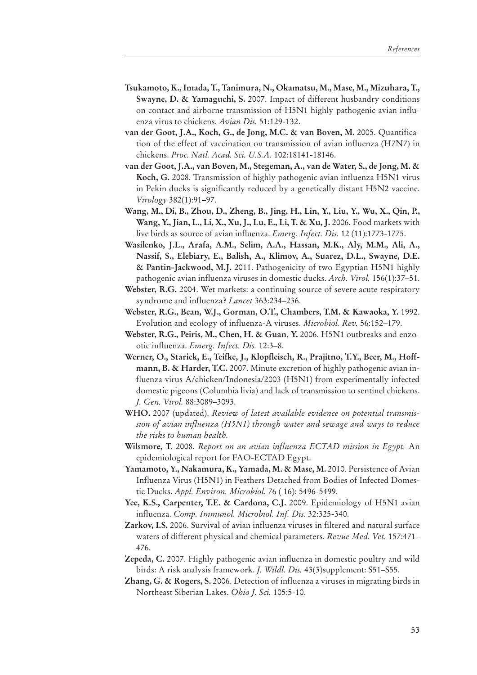- **Tsukamoto, K., Imada, T., Tanimura, N., Okamatsu, M., Mase, M., Mizuhara, T., Swayne, D. & Yamaguchi, S.** 2007. Impact of different husbandry conditions on contact and airborne transmission of H5N1 highly pathogenic avian influenza virus to chickens. *Avian Dis.* 51:129-132.
- **van der Goot, J.A., Koch, G., de Jong, M.C. & van Boven, M.** 2005. Quantification of the effect of vaccination on transmission of avian influenza (H7N7) in chickens. *Proc. Natl. Acad. Sci. U.S.A.* 102:18141-18146.
- **van der Goot, J.A., van Boven, M., Stegeman, A., van de Water, S., de Jong, M. & Koch, G.** 2008. Transmission of highly pathogenic avian influenza H5N1 virus in Pekin ducks is significantly reduced by a genetically distant H5N2 vaccine. *Virology* 382(1):91–97.
- **Wang, M., Di, B., Zhou, D., Zheng, B., Jing, H., Lin, Y., Liu, Y., Wu, X., Qin, P., Wang, Y., Jian, L., Li, X., Xu, J., Lu, E., Li, T. & Xu, J.** 2006. Food markets with live birds as source of avian influenza. *Emerg. Infect. Dis.* 12 (11):1773-1775.
- **Wasilenko, J.L., Arafa, A.M., Selim, A.A., Hassan, M.K., Aly, M.M., Ali, A., Nassif, S., Elebiary, E., Balish, A., Klimov, A., Suarez, D.L., Swayne, D.E. & Pantin-Jackwood, M.J.** 2011. Pathogenicity of two Egyptian H5N1 highly pathogenic avian influenza viruses in domestic ducks. *Arch. Virol.* 156(1):37–51.
- **Webster, R.G.** 2004. Wet markets: a continuing source of severe acute respiratory syndrome and influenza? *Lancet* 363:234–236.
- **Webster, R.G., Bean, W.J., Gorman, O.T., Chambers, T.M. & Kawaoka, Y.** 1992. Evolution and ecology of influenza-A viruses. *Microbiol. Rev.* 56:152–179.
- **Webster, R.G., Peiris, M., Chen, H. & Guan, Y.** 2006. H5N1 outbreaks and enzootic influenza. *Emerg. Infect. Dis.* 12:3–8.
- **Werner, O., Starick, E., Teifke, J., Klopfleisch, R., Prajitno, T.Y., Beer, M., Hoffmann, B. & Harder, T.C.** 2007. Minute excretion of highly pathogenic avian influenza virus A/chicken/Indonesia/2003 (H5N1) from experimentally infected domestic pigeons (Columbia livia) and lack of transmission to sentinel chickens. *J. Gen. Virol.* 88:3089–3093.
- **WHO.** 2007 (updated). *Review of latest available evidence on potential transmission of avian influenza (H5N1) through water and sewage and ways to reduce the risks to human health.*
- **Wilsmore, T.** 2008. *Report on an avian influenza ECTAD mission in Egypt.* An epidemiological report for FAO-ECTAD Egypt.
- **Yamamoto, Y., Nakamura, K., Yamada, M. & Mase, M.** 2010. Persistence of Avian Influenza Virus (H5N1) in Feathers Detached from Bodies of Infected Domestic Ducks. *Appl. Environ. Microbiol.* 76 ( 16): 5496-5499.
- **Yee, K.S., Carpenter, T.E. & Cardona, C.J.** 2009. Epidemiology of H5N1 avian influenza. *Comp. Immunol. Microbiol. Inf. Dis.* 32:325-340.
- **Zarkov, I.S.** 2006. Survival of avian influenza viruses in filtered and natural surface waters of different physical and chemical parameters. *Revue Med. Vet.* 157:471– 476.
- **Zepeda, C.** 2007. Highly pathogenic avian influenza in domestic poultry and wild birds: A risk analysis framework. *J. Wildl. Dis.* 43(3)supplement: S51–S55.
- **Zhang, G. & Rogers, S.** 2006. Detection of influenza a viruses in migrating birds in Northeast Siberian Lakes. *Ohio J. Sci.* 105:5-10.